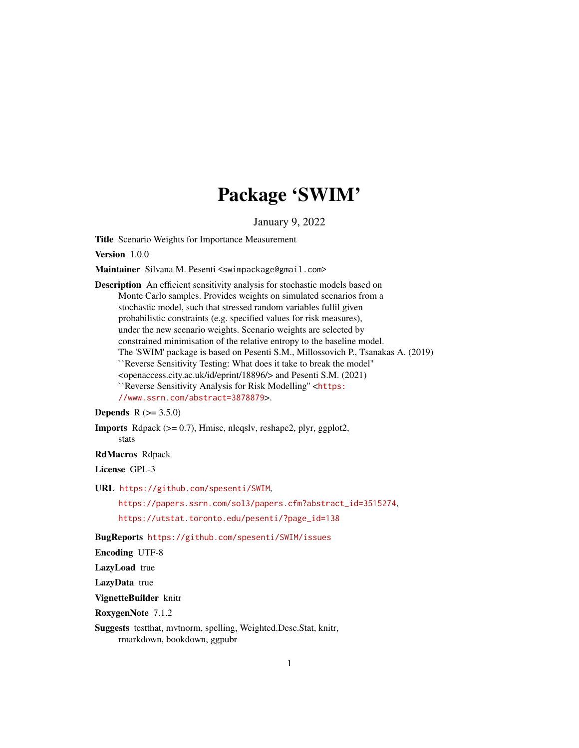# Package 'SWIM'

January 9, 2022

<span id="page-0-0"></span>Title Scenario Weights for Importance Measurement

Version 1.0.0

Maintainer Silvana M. Pesenti <swimpackage@gmail.com>

Description An efficient sensitivity analysis for stochastic models based on Monte Carlo samples. Provides weights on simulated scenarios from a stochastic model, such that stressed random variables fulfil given probabilistic constraints (e.g. specified values for risk measures), under the new scenario weights. Scenario weights are selected by constrained minimisation of the relative entropy to the baseline model. The 'SWIM' package is based on Pesenti S.M., Millossovich P., Tsanakas A. (2019) ``Reverse Sensitivity Testing: What does it take to break the model'' <openaccess.city.ac.uk/id/eprint/18896/> and Pesenti S.M. (2021) ``Reverse Sensitivity Analysis for Risk Modelling'' <[https:](https://www.ssrn.com/abstract=3878879) [//www.ssrn.com/abstract=3878879](https://www.ssrn.com/abstract=3878879)>.

# **Depends**  $R (= 3.5.0)$

**Imports** Rdpack  $(>= 0.7)$ , Hmisc, nleqslv, reshape2, plyr, ggplot2, stats

#### RdMacros Rdpack

License GPL-3

URL <https://github.com/spesenti/SWIM>,

[https://papers.ssrn.com/sol3/papers.cfm?abstract\\_id=3515274](https://papers.ssrn.com/sol3/papers.cfm?abstract_id=3515274), [https://utstat.toronto.edu/pesenti/?page\\_id=138](https://utstat.toronto.edu/pesenti/?page_id=138)

BugReports <https://github.com/spesenti/SWIM/issues>

Encoding UTF-8

LazyLoad true

LazyData true

VignetteBuilder knitr

RoxygenNote 7.1.2

Suggests testthat, mvtnorm, spelling, Weighted.Desc.Stat, knitr, rmarkdown, bookdown, ggpubr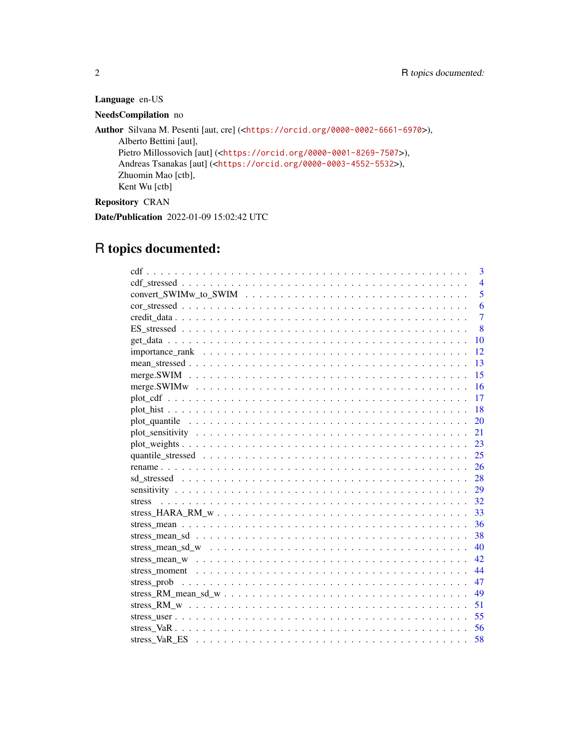# Language en-US

# NeedsCompilation no

Author Silvana M. Pesenti [aut, cre] (<<https://orcid.org/0000-0002-6661-6970>>), Alberto Bettini [aut], Pietro Millossovich [aut] (<<https://orcid.org/0000-0001-8269-7507>>), Andreas Tsanakas [aut] (<<https://orcid.org/0000-0003-4552-5532>>), Zhuomin Mao [ctb], Kent Wu [ctb] Repository CRAN

Date/Publication 2022-01-09 15:02:42 UTC

# R topics documented:

| 3              |
|----------------|
| $\overline{4}$ |
| 5              |
| 6              |
| $\overline{7}$ |
| 8              |
| 10             |
| 12             |
| 13             |
| 15             |
| 16             |
| 17             |
| -18            |
| 20             |
| 21             |
| 23             |
| 25             |
|                |
|                |
|                |
|                |
| 33             |
| - 36           |
| 38             |
| 40             |
| 42             |
| 44             |
| 47             |
| 49             |
| 51             |
| 55             |
|                |
|                |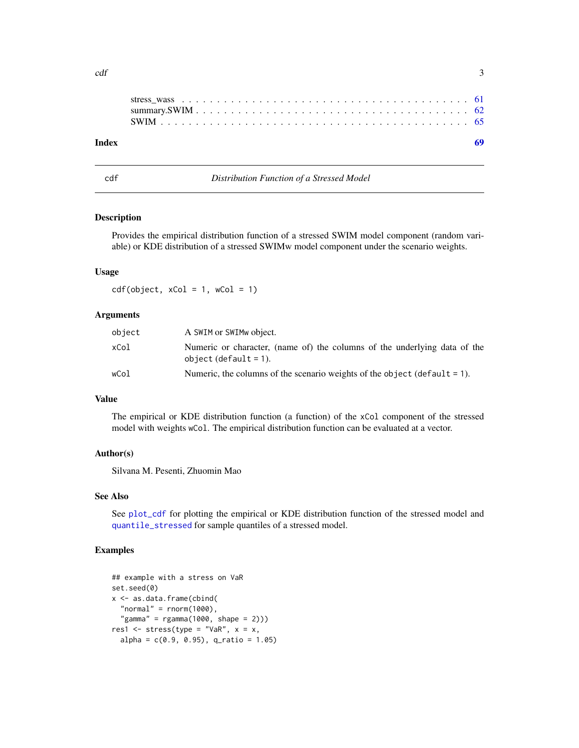<span id="page-2-0"></span>

| Index |  |  |  |  |  |  |  |  |  |  |  |  |  |  |  |  |  |  |
|-------|--|--|--|--|--|--|--|--|--|--|--|--|--|--|--|--|--|--|
|       |  |  |  |  |  |  |  |  |  |  |  |  |  |  |  |  |  |  |
|       |  |  |  |  |  |  |  |  |  |  |  |  |  |  |  |  |  |  |
|       |  |  |  |  |  |  |  |  |  |  |  |  |  |  |  |  |  |  |

<span id="page-2-1"></span>

cdf *Distribution Function of a Stressed Model*

# Description

Provides the empirical distribution function of a stressed SWIM model component (random variable) or KDE distribution of a stressed SWIMw model component under the scenario weights.

#### Usage

 $cdf(object, xCol = 1, wCol = 1)$ 

### Arguments

| object | A SWIM or SWIM object.                                                                                |
|--------|-------------------------------------------------------------------------------------------------------|
| xCol   | Numeric or character, (name of) the columns of the underlying data of the<br>object $(default = 1)$ . |
| wCol   | Numeric, the columns of the scenario weights of the object (default $= 1$ ).                          |

# Value

The empirical or KDE distribution function (a function) of the xCol component of the stressed model with weights wCol. The empirical distribution function can be evaluated at a vector.

#### Author(s)

Silvana M. Pesenti, Zhuomin Mao

#### See Also

See [plot\\_cdf](#page-16-1) for plotting the empirical or KDE distribution function of the stressed model and [quantile\\_stressed](#page-24-1) for sample quantiles of a stressed model.

# Examples

```
## example with a stress on VaR
set.seed(0)
x <- as.data.frame(cbind(
  "normal" = rnorm(1000),
  "gamma" = rgamma(1000, shape = 2)))res1 \leq stress(type = "VaR", x = x,
 alpha = c(0.9, 0.95), q_ratio = 1.05)
```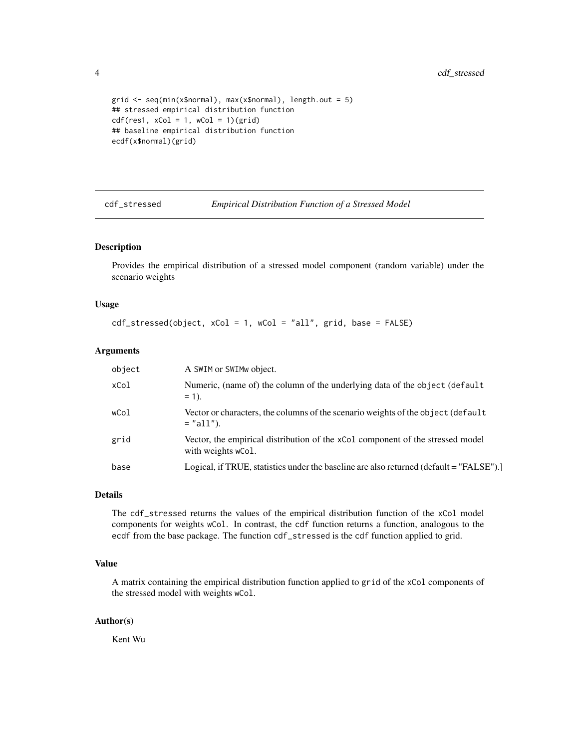```
grid \leq seq(min(x$normal), max(x$normal), length.out = 5)
## stressed empirical distribution function
cdf(res1, xCol = 1, wCol = 1)(grid)## baseline empirical distribution function
ecdf(x$normal)(grid)
```
cdf\_stressed *Empirical Distribution Function of a Stressed Model*

#### Description

Provides the empirical distribution of a stressed model component (random variable) under the scenario weights

#### Usage

```
cdf_stressed(object, xCol = 1, wCol = "all", grid, base = FALSE)
```
#### Arguments

| object | A SWIM or SWIMw object.                                                                              |
|--------|------------------------------------------------------------------------------------------------------|
| xCol   | Numeric, (name of) the column of the underlying data of the object (default<br>$= 1$ .               |
| wCol   | Vector or characters, the columns of the scenario weights of the object (default<br>$=$ "all").      |
| grid   | Vector, the empirical distribution of the xCo1 component of the stressed model<br>with weights wCol. |
| base   | Logical, if TRUE, statistics under the baseline are also returned (default = "FALSE").               |

#### Details

The cdf\_stressed returns the values of the empirical distribution function of the xCol model components for weights wCol. In contrast, the cdf function returns a function, analogous to the ecdf from the base package. The function cdf\_stressed is the cdf function applied to grid.

#### Value

A matrix containing the empirical distribution function applied to grid of the xCol components of the stressed model with weights wCol.

#### Author(s)

Kent Wu

<span id="page-3-0"></span>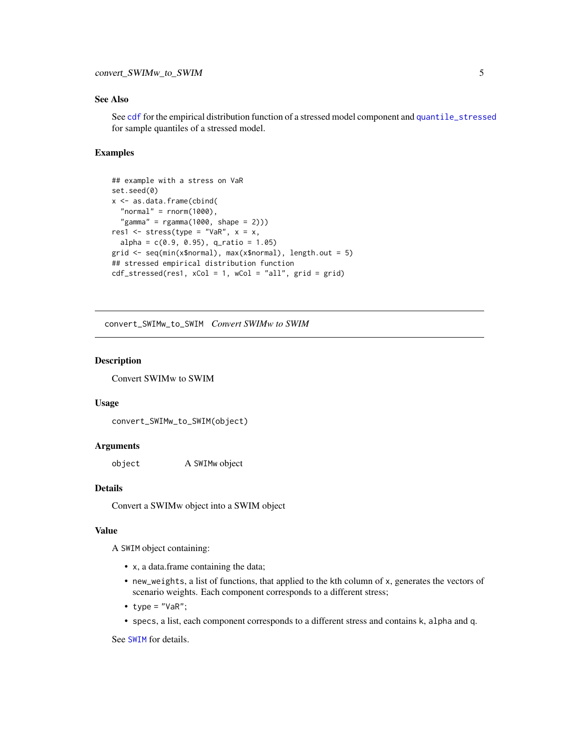# <span id="page-4-0"></span>See Also

See [cdf](#page-2-1) for the empirical distribution function of a stressed model component and [quantile\\_stressed](#page-24-1) for sample quantiles of a stressed model.

# Examples

```
## example with a stress on VaR
set.seed(0)
x <- as.data.frame(cbind(
 "normal" = rnorm(1000),
 "gamma" = rgamma(1000, shape = 2))res1 \le stress(type = "VaR", x = x,
 alpha = c(0.9, 0.95), q_ratio = 1.05)
grid <- seq(min(x$normal), max(x$normal), length.out = 5)
## stressed empirical distribution function
cdf\_stressed(res1, xCol = 1, wCol = "all", grid = grid)
```
convert\_SWIMw\_to\_SWIM *Convert SWIMw to SWIM*

#### Description

Convert SWIMw to SWIM

#### Usage

```
convert_SWIMw_to_SWIM(object)
```
# Arguments

object A SWIMw object

# Details

Convert a SWIMw object into a SWIM object

#### Value

A SWIM object containing:

- x, a data.frame containing the data;
- new\_weights, a list of functions, that applied to the kth column of x, generates the vectors of scenario weights. Each component corresponds to a different stress;
- type =  $"VaR"$ ;
- specs, a list, each component corresponds to a different stress and contains k, alpha and q.

See [SWIM](#page-64-1) for details.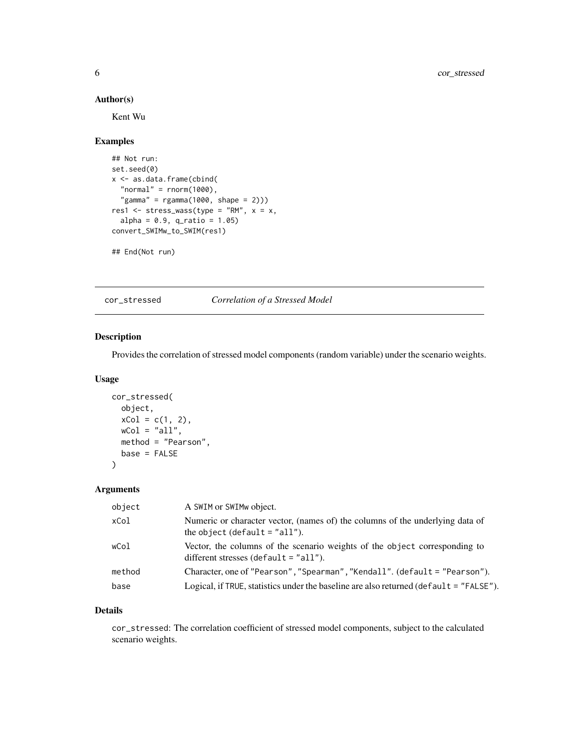# Author(s)

Kent Wu

# Examples

```
## Not run:
set.seed(0)
x <- as.data.frame(cbind(
  "normal" = rnorm(1000),
  "gamma" = rgamma(1000, shape = 2)))res1 <- stress_wass(type = "RM", x = x,
  alpha = 0.9, q_{ratio} = 1.05)convert_SWIMw_to_SWIM(res1)
```
## End(Not run)

<span id="page-5-1"></span>cor\_stressed *Correlation of a Stressed Model*

# Description

Provides the correlation of stressed model components (random variable) under the scenario weights.

#### Usage

```
cor_stressed(
 object,
 xCol = c(1, 2),wCol = "all",method = "Pearson",
 base = FALSE
)
```
# Arguments

| object | A SWIM or SWIMw object.                                                                                                |
|--------|------------------------------------------------------------------------------------------------------------------------|
| xCol   | Numeric or character vector, (names of) the columns of the underlying data of<br>the object (default $=$ "all").       |
| wCol   | Vector, the columns of the scenario weights of the object corresponding to<br>different stresses (default = $"all"$ ). |
| method | Character, one of "Pearson", "Spearman", "Kendall". (default = "Pearson").                                             |
| base   | Logical, if TRUE, statistics under the baseline are also returned ( $default = "FALSE"$ ).                             |

#### Details

cor\_stressed: The correlation coefficient of stressed model components, subject to the calculated scenario weights.

<span id="page-5-0"></span>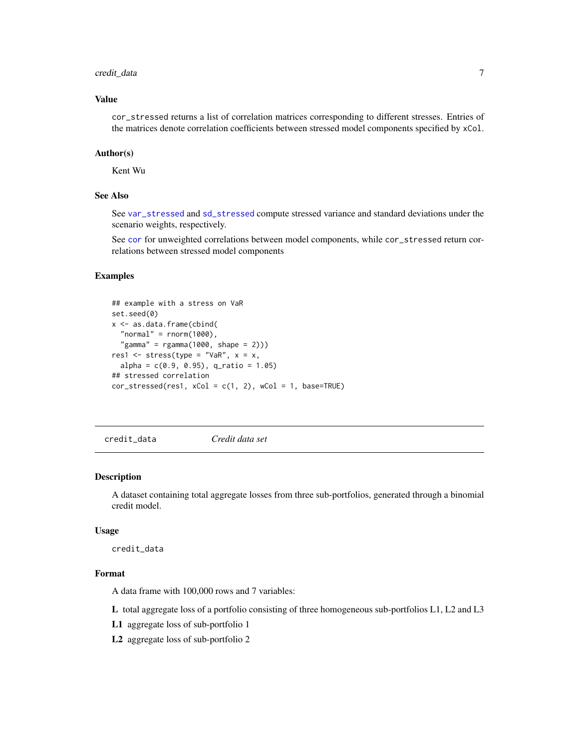# <span id="page-6-0"></span>credit\_data 7

# Value

cor\_stressed returns a list of correlation matrices corresponding to different stresses. Entries of the matrices denote correlation coefficients between stressed model components specified by xCol.

#### Author(s)

Kent Wu

#### See Also

See [var\\_stressed](#page-27-1) and [sd\\_stressed](#page-27-2) compute stressed variance and standard deviations under the scenario weights, respectively.

See [cor](#page-0-0) for unweighted correlations between model components, while cor\_stressed return correlations between stressed model components

# Examples

```
## example with a stress on VaR
set.seed(0)
x <- as.data.frame(cbind(
  "normal" = rnorm(1000),
  "gamma" = rgamma(1000, shape = 2)))res1 \le stress(type = "VaR", x = x,
 alpha = c(0.9, 0.95), q_ratio = 1.05)
## stressed correlation
cor\_stressed(res1, xCol = c(1, 2), wCol = 1, base=True)
```
credit\_data *Credit data set*

#### Description

A dataset containing total aggregate losses from three sub-portfolios, generated through a binomial credit model.

#### Usage

credit\_data

#### Format

A data frame with 100,000 rows and 7 variables:

L total aggregate loss of a portfolio consisting of three homogeneous sub-portfolios L1, L2 and L3

L1 aggregate loss of sub-portfolio 1

L2 aggregate loss of sub-portfolio 2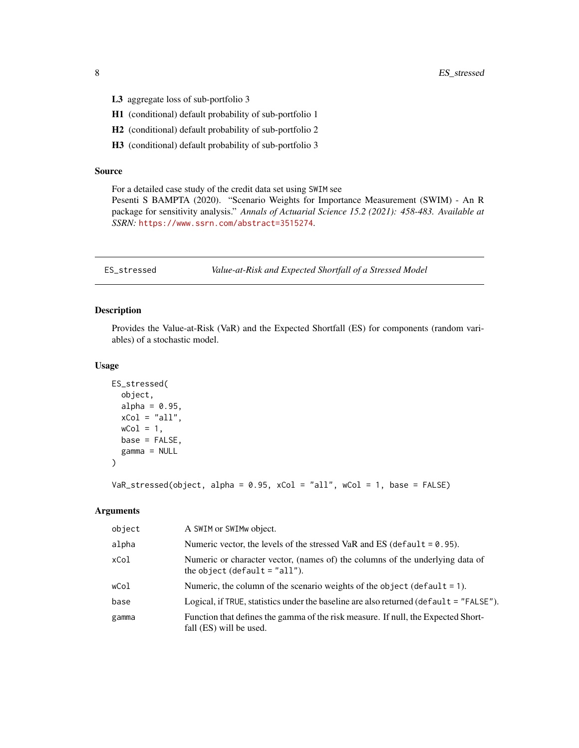- <span id="page-7-0"></span>L3 aggregate loss of sub-portfolio 3
- H1 (conditional) default probability of sub-portfolio 1
- H2 (conditional) default probability of sub-portfolio 2
- H3 (conditional) default probability of sub-portfolio 3

#### Source

For a detailed case study of the credit data set using SWIM see

Pesenti S BAMPTA (2020). "Scenario Weights for Importance Measurement (SWIM) - An R package for sensitivity analysis." *Annals of Actuarial Science 15.2 (2021): 458-483. Available at SSRN:* <https://www.ssrn.com/abstract=3515274>.

ES\_stressed *Value-at-Risk and Expected Shortfall of a Stressed Model*

# Description

Provides the Value-at-Risk (VaR) and the Expected Shortfall (ES) for components (random variables) of a stochastic model.

#### Usage

```
ES_stressed(
  object,
  alpha = 0.95,
  xCol = "all",wCol = 1,
  base = FALSE,gamma = NULL
\mathcal{L}
```
 $VaR_s$ tressed(object, alpha = 0.95, xCol = "all", wCol = 1, base = FALSE)

#### Arguments

| object | A SWIM or SWIMw object.                                                                                          |
|--------|------------------------------------------------------------------------------------------------------------------|
| alpha  | Numeric vector, the levels of the stressed VaR and ES (default $= 0.95$ ).                                       |
| xCol   | Numeric or character vector, (names of) the columns of the underlying data of<br>the object (default $=$ "all"). |
| wCol   | Numeric, the column of the scenario weights of the object (default $= 1$ ).                                      |
| base   | Logical, if TRUE, statistics under the baseline are also returned (default = $"FALEE"$ ).                        |
| gamma  | Function that defines the gamma of the risk measure. If null, the Expected Short-<br>fall (ES) will be used.     |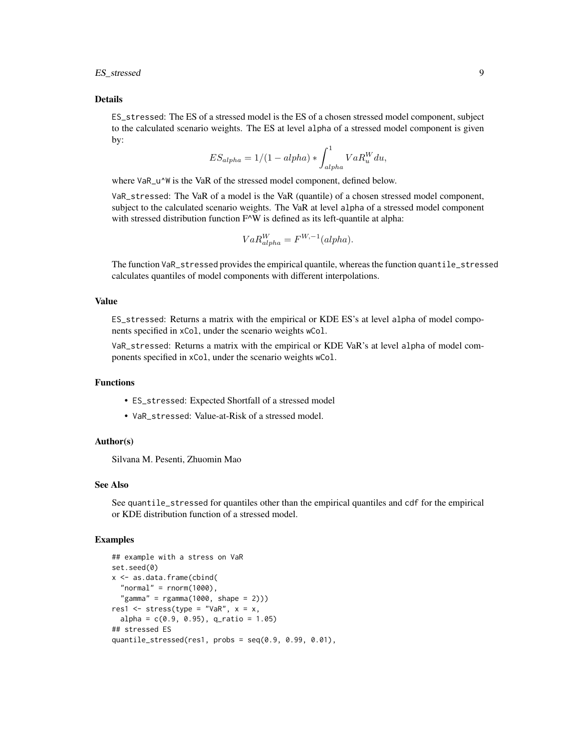ES\_stressed 9

#### Details

ES\_stressed: The ES of a stressed model is the ES of a chosen stressed model component, subject to the calculated scenario weights. The ES at level alpha of a stressed model component is given by:

$$
ES_{alpha} = 1/(1 - alpha) * \int_{alpha}^{1} VaR_u^W du,
$$

where VaR\_u^W is the VaR of the stressed model component, defined below.

VaR\_stressed: The VaR of a model is the VaR (quantile) of a chosen stressed model component, subject to the calculated scenario weights. The VaR at level alpha of a stressed model component with stressed distribution function F^W is defined as its left-quantile at alpha:

$$
VaR_{alpha}^{W} = F^{W, -1}(alpha).
$$

The function VaR\_stressed provides the empirical quantile, whereas the function quantile\_stressed calculates quantiles of model components with different interpolations.

#### Value

ES\_stressed: Returns a matrix with the empirical or KDE ES's at level alpha of model components specified in xCol, under the scenario weights wCol.

VaR\_stressed: Returns a matrix with the empirical or KDE VaR's at level alpha of model components specified in xCol, under the scenario weights wCol.

# Functions

- ES\_stressed: Expected Shortfall of a stressed model
- VaR\_stressed: Value-at-Risk of a stressed model.

# Author(s)

Silvana M. Pesenti, Zhuomin Mao

# See Also

See quantile\_stressed for quantiles other than the empirical quantiles and cdf for the empirical or KDE distribution function of a stressed model.

#### Examples

```
## example with a stress on VaR
set.seed(0)
x <- as.data.frame(cbind(
 "normal" = rnorm(1000),
  "gamma" = rgamma(1000, shape = 2)))res1 \le stress(type = "VaR", x = x,
 alpha = c(0.9, 0.95), q_ratio = 1.05)
## stressed ES
quantile_stressed(res1, probs = seq(0.9, 0.99, 0.01),
```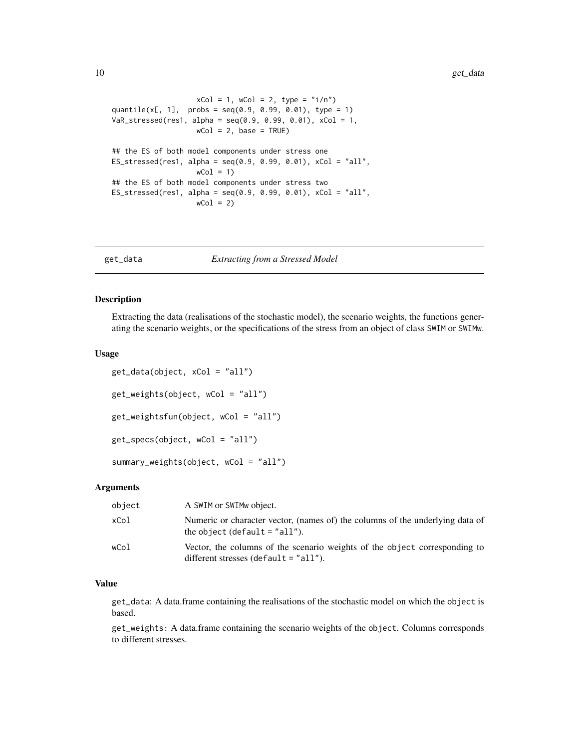```
xCol = 1, wCol = 2, type = "i/n")
quantile(x[, 1], probs = seq(0.9, 0.99, 0.01), type = 1)
VaR_stressed(res1, alpha = seq(0.9, 0.99, 0.01), xCol = 1,
                   wCol = 2, base = TRUE)
## the ES of both model components under stress one
ES_stressed(res1, alpha = seq(0.9, 0.99, 0.01), xCol = "all",wCol = 1## the ES of both model components under stress two
ES\_stressed(res1, alpha = seq(0.9, 0.99, 0.01), xCol = "all",wCol = 2)
```
<span id="page-9-2"></span>

get\_data *Extracting from a Stressed Model*

#### <span id="page-9-1"></span>Description

Extracting the data (realisations of the stochastic model), the scenario weights, the functions generating the scenario weights, or the specifications of the stress from an object of class SWIM or SWIMw.

#### Usage

```
get_data(object, xCol = "all")
get_weights(object, wCol = "all")
get_weightsfun(object, wCol = "all")
get_specs(object, wCol = "all")
summary_weights(object, wCol = "all")
```
#### Arguments

| object | A SWIM or SWIM wobject.                                                                                               |
|--------|-----------------------------------------------------------------------------------------------------------------------|
| xCol   | Numeric or character vector, (names of) the columns of the underlying data of<br>the object (default $=$ "all").      |
| wCol   | Vector, the columns of the scenario weights of the object corresponding to<br>different stresses (default $=$ "all"). |

# Value

get\_data: A data.frame containing the realisations of the stochastic model on which the object is based.

get\_weights: A data.frame containing the scenario weights of the object. Columns corresponds to different stresses.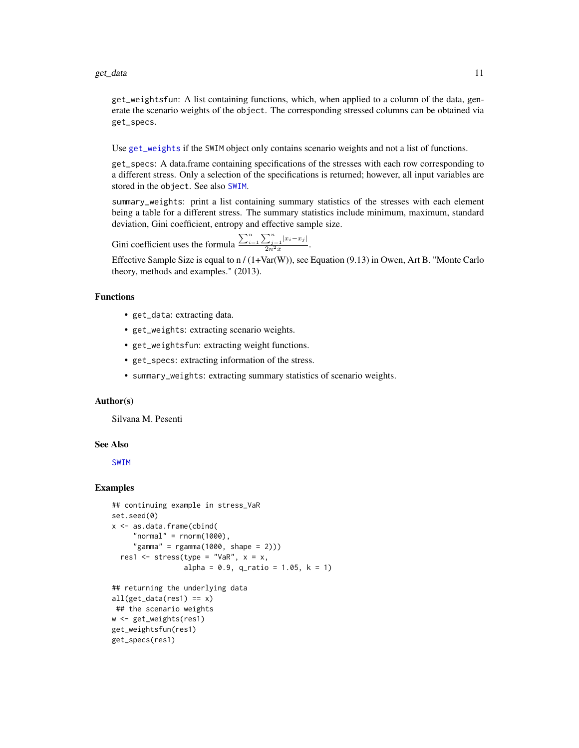<span id="page-10-0"></span>get\_weightsfun: A list containing functions, which, when applied to a column of the data, generate the scenario weights of the object. The corresponding stressed columns can be obtained via get\_specs.

Use [get\\_weights](#page-9-1) if the SWIM object only contains scenario weights and not a list of functions.

get\_specs: A data.frame containing specifications of the stresses with each row corresponding to a different stress. Only a selection of the specifications is returned; however, all input variables are stored in the object. See also [SWIM](#page-64-1).

summary\_weights: print a list containing summary statistics of the stresses with each element being a table for a different stress. The summary statistics include minimum, maximum, standard deviation, Gini coefficient, entropy and effective sample size.

Gini coefficient uses the formula  $\frac{\sum_{i=1}^{n} \sum_{j=1}^{n} |x_i - x_j|}{2n^2 \overline{x}}$  $\frac{2j=1}{2n^2\bar{x}}$ .

Effective Sample Size is equal to n / (1+Var(W)), see Equation (9.13) in Owen, Art B. "Monte Carlo theory, methods and examples." (2013).

#### Functions

- get\_data: extracting data.
- get\_weights: extracting scenario weights.
- get\_weightsfun: extracting weight functions.
- get\_specs: extracting information of the stress.
- summary\_weights: extracting summary statistics of scenario weights.

# Author(s)

Silvana M. Pesenti

get\_specs(res1)

#### See Also

[SWIM](#page-64-1)

#### Examples

```
## continuing example in stress_VaR
set.seed(0)
x <- as.data.frame(cbind(
     "normal" = rnorm(1000),
     "gamma" = rgamma(1000, shape = 2)))res1 <- stress(type = "VaR", x = x,
                 alpha = 0.9, q_ratio = 1.05, k = 1)
## returning the underlying data
all(get_data(res1) == x)## the scenario weights
w <- get_weights(res1)
get_weightsfun(res1)
```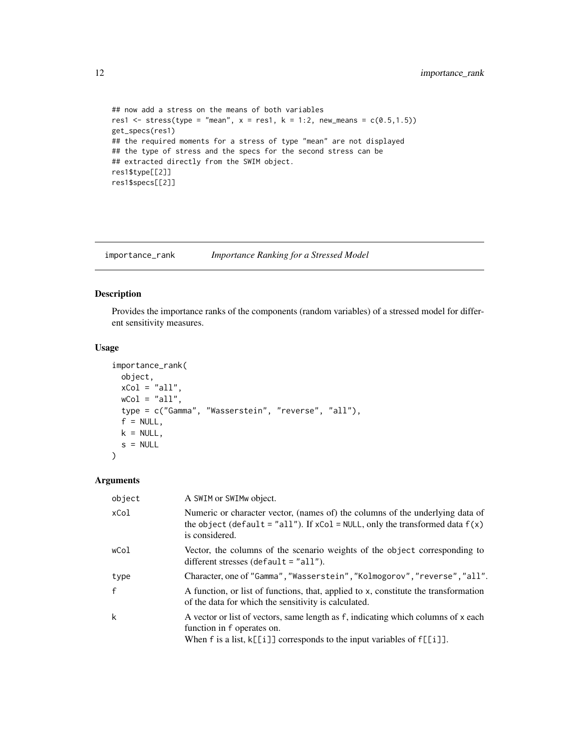```
## now add a stress on the means of both variables
res1 <- stress(type = "mean", x = \text{res1}, k = 1:2, new_means = c(0.5, 1.5))
get_specs(res1)
## the required moments for a stress of type "mean" are not displayed
## the type of stress and the specs for the second stress can be
## extracted directly from the SWIM object.
res1$type[[2]]
res1$specs[[2]]
```
<span id="page-11-1"></span>importance\_rank *Importance Ranking for a Stressed Model*

# Description

Provides the importance ranks of the components (random variables) of a stressed model for different sensitivity measures.

# Usage

```
importance_rank(
 object,
 xCol = "all",wCol = "all",type = c("Gamma", "Wasserstein", "reverse", "all"),
 f = NULL,k = NULL,s = NULL
```
# Arguments

)

| object | A SWIM or SWIMw object.                                                                                                                                                                        |
|--------|------------------------------------------------------------------------------------------------------------------------------------------------------------------------------------------------|
| xCol   | Numeric or character vector, (names of) the columns of the underlying data of<br>the object (default = "all"). If $xCol = NULL$ , only the transformed data $f(x)$<br>is considered.           |
| wCol   | Vector, the columns of the scenario weights of the object corresponding to<br>different stresses (default $=$ "all").                                                                          |
| type   | Character, one of "Gamma", "Wasserstein", "Kolmogorov", "reverse", "all".                                                                                                                      |
| f      | A function, or list of functions, that, applied to x, constitute the transformation<br>of the data for which the sensitivity is calculated.                                                    |
| k      | A vector or list of vectors, same length as f, indicating which columns of x each<br>function in f operates on.<br>When f is a list, $k[[i]]$ corresponds to the input variables of $f[[i]]$ . |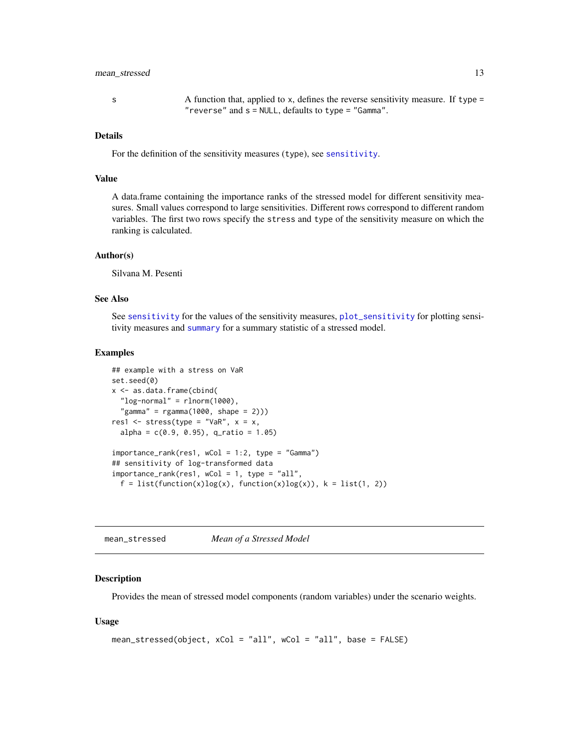# <span id="page-12-0"></span>mean\_stressed 13

s A function that, applied to x, defines the reverse sensitivity measure. If type = "reverse" and s = NULL, defaults to type = "Gamma".

## Details

For the definition of the sensitivity measures (type), see [sensitivity](#page-28-1).

#### Value

A data.frame containing the importance ranks of the stressed model for different sensitivity measures. Small values correspond to large sensitivities. Different rows correspond to different random variables. The first two rows specify the stress and type of the sensitivity measure on which the ranking is calculated.

#### Author(s)

Silvana M. Pesenti

#### See Also

See [sensitivity](#page-28-1) for the values of the sensitivity measures, [plot\\_sensitivity](#page-20-1) for plotting sensitivity measures and [summary](#page-0-0) for a summary statistic of a stressed model.

#### Examples

```
## example with a stress on VaR
set.seed(0)
x <- as.data.frame(cbind(
 "log-normal" = rlnorm(1000),
  "gamma" = rgamma(1000, shape = 2))res1 <- stress(type = "VaR", x = x,
 alpha = c(0.9, 0.95), q_ratio = 1.05)
importance_rank(res1, wCol = 1:2, type = "Gamma")
## sensitivity of log-transformed data
importance_rank(res1, wCol = 1, type = "all",
 f = list(function(x)log(x), function(x)log(x)), k = list(1, 2))
```
<span id="page-12-1"></span>mean\_stressed *Mean of a Stressed Model*

#### Description

Provides the mean of stressed model components (random variables) under the scenario weights.

#### Usage

```
mean_stressed(object, xCol = "all", wCol = "all", base = FALSE)
```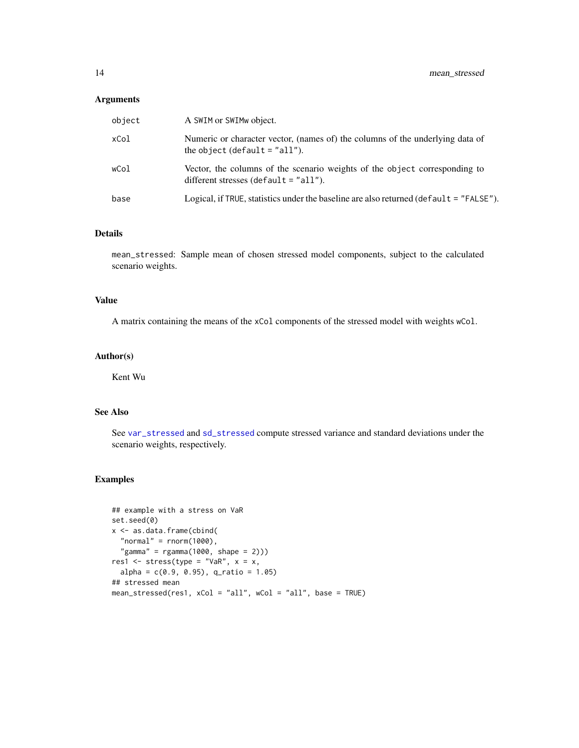#### <span id="page-13-0"></span>Arguments

| object | A SWIM or SWIMw object.                                                                                               |
|--------|-----------------------------------------------------------------------------------------------------------------------|
| xCol   | Numeric or character vector, (names of) the columns of the underlying data of<br>the object (default $=$ "all").      |
| wCol   | Vector, the columns of the scenario weights of the object corresponding to<br>different stresses (default $=$ "all"). |
| base   | Logical, if TRUE, statistics under the baseline are also returned (default = "FALSE").                                |

# Details

mean\_stressed: Sample mean of chosen stressed model components, subject to the calculated scenario weights.

# Value

A matrix containing the means of the xCol components of the stressed model with weights wCol.

### Author(s)

Kent Wu

# See Also

See [var\\_stressed](#page-27-1) and [sd\\_stressed](#page-27-2) compute stressed variance and standard deviations under the scenario weights, respectively.

# Examples

```
## example with a stress on VaR
set.seed(0)
x <- as.data.frame(cbind(
  "normal" = rnorm(1000),
  "gamma" = rgamma(1000, shape = 2)))res1 <- stress(type = "VaR", x = x,
  alpha = c(0.9, 0.95), q_ratio = 1.05)
## stressed mean
mean_stressed(res1, xCol = "all", wCol = "all", base = TRUE)
```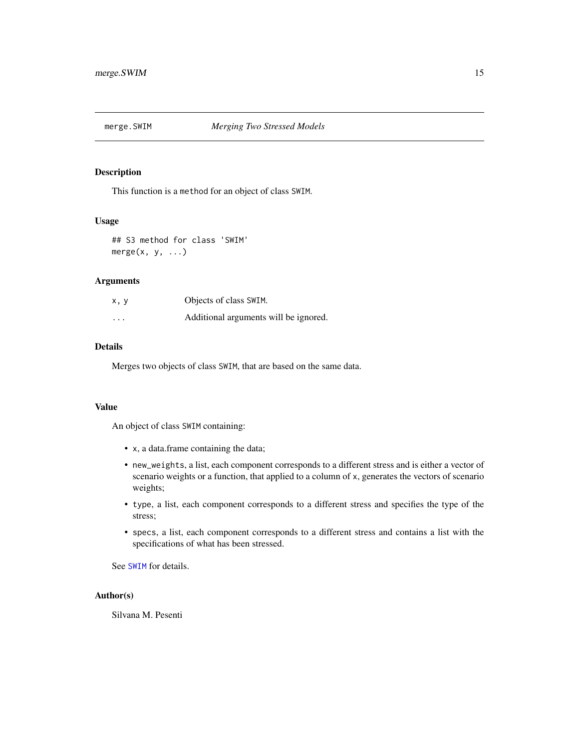<span id="page-14-0"></span>

This function is a method for an object of class SWIM.

#### Usage

## S3 method for class 'SWIM'  $merge(x, y, \ldots)$ 

# Arguments

| x, y     | Objects of class SWIM.                |
|----------|---------------------------------------|
| $\cdots$ | Additional arguments will be ignored. |

#### Details

Merges two objects of class SWIM, that are based on the same data.

#### Value

An object of class SWIM containing:

- x, a data.frame containing the data;
- new\_weights, a list, each component corresponds to a different stress and is either a vector of scenario weights or a function, that applied to a column of x, generates the vectors of scenario weights;
- type, a list, each component corresponds to a different stress and specifies the type of the stress;
- specs, a list, each component corresponds to a different stress and contains a list with the specifications of what has been stressed.

See [SWIM](#page-64-1) for details.

### Author(s)

Silvana M. Pesenti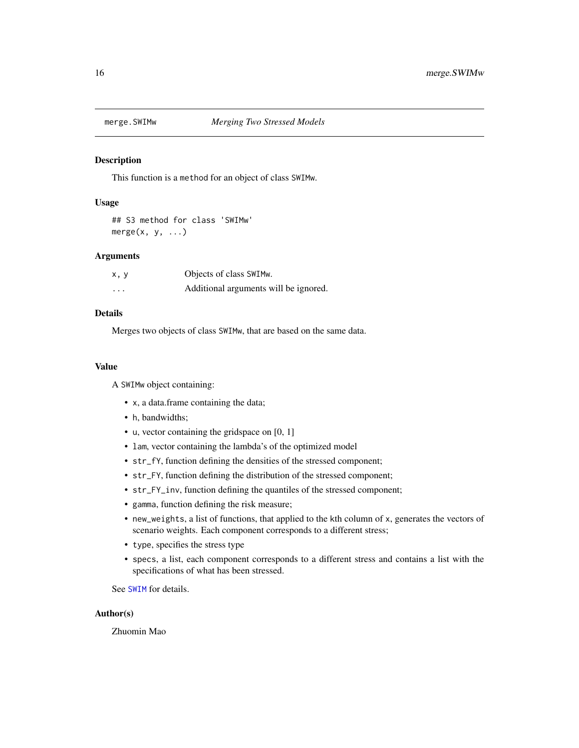<span id="page-15-0"></span>

This function is a method for an object of class SWIMw.

# Usage

## S3 method for class 'SWIMw' merge $(x, y, \ldots)$ 

#### Arguments

| x, y     | Objects of class SWIMw.               |
|----------|---------------------------------------|
| $\cdots$ | Additional arguments will be ignored. |

# Details

Merges two objects of class SWIMw, that are based on the same data.

#### Value

A SWIMw object containing:

- x, a data.frame containing the data;
- h, bandwidths;
- u, vector containing the gridspace on [0, 1]
- lam, vector containing the lambda's of the optimized model
- str\_fY, function defining the densities of the stressed component;
- str\_FY, function defining the distribution of the stressed component;
- str\_FY\_inv, function defining the quantiles of the stressed component;
- gamma, function defining the risk measure;
- new\_weights, a list of functions, that applied to the kth column of x, generates the vectors of scenario weights. Each component corresponds to a different stress;
- type, specifies the stress type
- specs, a list, each component corresponds to a different stress and contains a list with the specifications of what has been stressed.

See [SWIM](#page-64-1) for details.

# Author(s)

Zhuomin Mao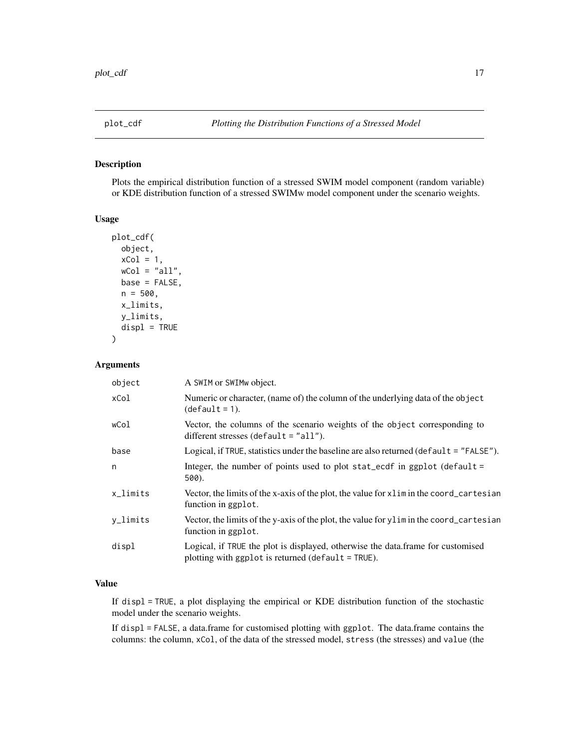<span id="page-16-1"></span><span id="page-16-0"></span>

Plots the empirical distribution function of a stressed SWIM model component (random variable) or KDE distribution function of a stressed SWIMw model component under the scenario weights.

#### Usage

```
plot_cdf(
  object,
  xCol = 1,
 wCol = "all",base = FALSE,
  n = 500,x_limits,
 y_limits,
  displ = TRUE)
```
# Arguments

| object   | A SWIM or SWIMw object.                                                                                                                 |
|----------|-----------------------------------------------------------------------------------------------------------------------------------------|
| xCol     | Numeric or character, (name of) the column of the underlying data of the object<br>$(detault = 1).$                                     |
| wCol     | Vector, the columns of the scenario weights of the object corresponding to<br>different stresses (default $=$ "all").                   |
| base     | Logical, if TRUE, statistics under the baseline are also returned (default = "FALSE").                                                  |
| n        | Integer, the number of points used to plot stat_ecdf in ggplot (default =<br>500).                                                      |
| x_limits | Vector, the limits of the x-axis of the plot, the value for x l im in the coord_cartesian<br>function in ggplot.                        |
| y_limits | Vector, the limits of the y-axis of the plot, the value for ylim in the coord_cartesian<br>function in ggplot.                          |
| displ    | Logical, if TRUE the plot is displayed, otherwise the data.frame for customised<br>plotting with ggplot is returned (default $=$ TRUE). |

# Value

If displ = TRUE, a plot displaying the empirical or KDE distribution function of the stochastic model under the scenario weights.

If displ = FALSE, a data.frame for customised plotting with ggplot. The data.frame contains the columns: the column, xCol, of the data of the stressed model, stress (the stresses) and value (the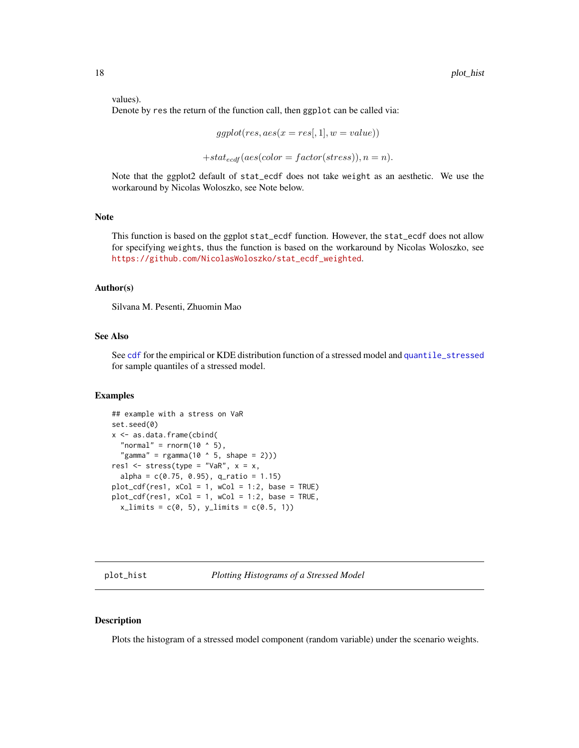<span id="page-17-0"></span>values).

Denote by res the return of the function call, then ggplot can be called via:

$$
ggplot(res, aes(x = res[, 1], w = value))
$$

 $+stat_{ecdf}(aes(color = factor(stress)), n = n).$ 

Note that the ggplot2 default of stat\_ecdf does not take weight as an aesthetic. We use the workaround by Nicolas Woloszko, see Note below.

# Note

This function is based on the ggplot stat\_ecdf function. However, the stat\_ecdf does not allow for specifying weights, thus the function is based on the workaround by Nicolas Woloszko, see [https://github.com/NicolasWoloszko/stat\\_ecdf\\_weighted](https://github.com/NicolasWoloszko/stat_ecdf_weighted).

#### Author(s)

Silvana M. Pesenti, Zhuomin Mao

#### See Also

See [cdf](#page-2-1) for the empirical or KDE distribution function of a stressed model and [quantile\\_stressed](#page-24-1) for sample quantiles of a stressed model.

#### Examples

```
## example with a stress on VaR
set.seed(0)
x <- as.data.frame(cbind(
 "normal" = rnorm(10 \land 5),
  "gamma" = rgamma(10 \land 5, shape = 2)))res1 \le stress(type = "VaR", x = x,
 alpha = c(0.75, 0.95), q_ratio = 1.15)
plot_cdf(res1, xCol = 1, wCol = 1:2, base = TRUE)plot_cdf(res1, xCol = 1, wCol = 1:2, base = TRUE,x_{\text{limits}} = c(0, 5), y_{\text{limits}} = c(0.5, 1)
```
plot\_hist *Plotting Histograms of a Stressed Model*

#### **Description**

Plots the histogram of a stressed model component (random variable) under the scenario weights.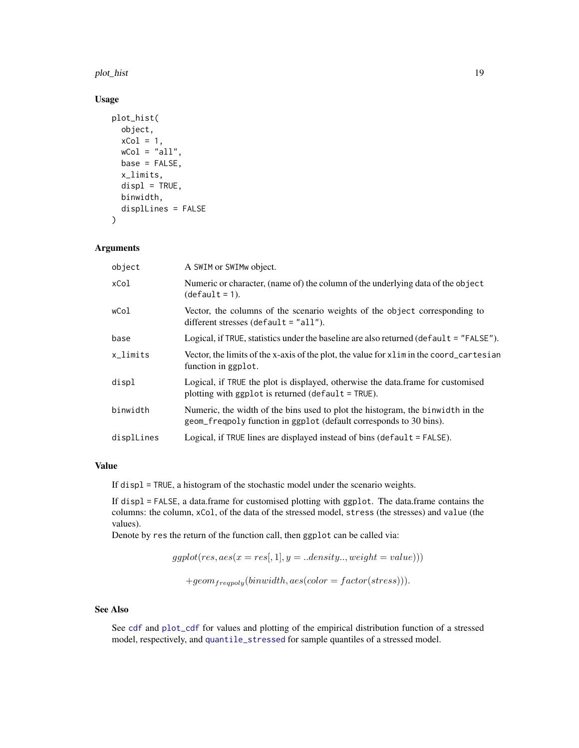<span id="page-18-0"></span>plot\_hist 19

# Usage

```
plot_hist(
  object,
  xCol = 1,
  wCol = "all",base = FALSE,
  x_limits,
  displ = TRUE,binwidth,
  displLines = FALSE
\lambda
```
# Arguments

| object     | A SWIM or SWIMw object.                                                                                                                              |
|------------|------------------------------------------------------------------------------------------------------------------------------------------------------|
| xCol       | Numeric or character, (name of) the column of the underlying data of the object<br>$(detault = 1).$                                                  |
| wCol       | Vector, the columns of the scenario weights of the object corresponding to<br>different stresses (default = $"all"$ ).                               |
| base       | Logical, if TRUE, statistics under the baseline are also returned ( $\text{default} = "FALSE"$ ).                                                    |
| x_limits   | Vector, the limits of the x-axis of the plot, the value for x l im in the coord_cartesian<br>function in ggplot.                                     |
| displ      | Logical, if TRUE the plot is displayed, otherwise the data frame for customised<br>plotting with ggplot is returned (default = TRUE).                |
| binwidth   | Numeric, the width of the bins used to plot the histogram, the binwidth in the<br>geom_freqpoly function in ggplot (default corresponds to 30 bins). |
| displLines | Logical, if TRUE lines are displayed instead of bins ( $default = FALSE$ ).                                                                          |
|            |                                                                                                                                                      |

#### Value

If displ = TRUE, a histogram of the stochastic model under the scenario weights.

If displ = FALSE, a data.frame for customised plotting with ggplot. The data.frame contains the columns: the column, xCol, of the data of the stressed model, stress (the stresses) and value (the values).

Denote by res the return of the function call, then ggplot can be called via:

$$
ggblot(res, aes(x = res[, 1], y = .. density.., weight = value)))
$$

$$
+geom_{frequency}(binwidth, aes(color = factor(stress))).
$$

# See Also

See [cdf](#page-2-1) and [plot\\_cdf](#page-16-1) for values and plotting of the empirical distribution function of a stressed model, respectively, and [quantile\\_stressed](#page-24-1) for sample quantiles of a stressed model.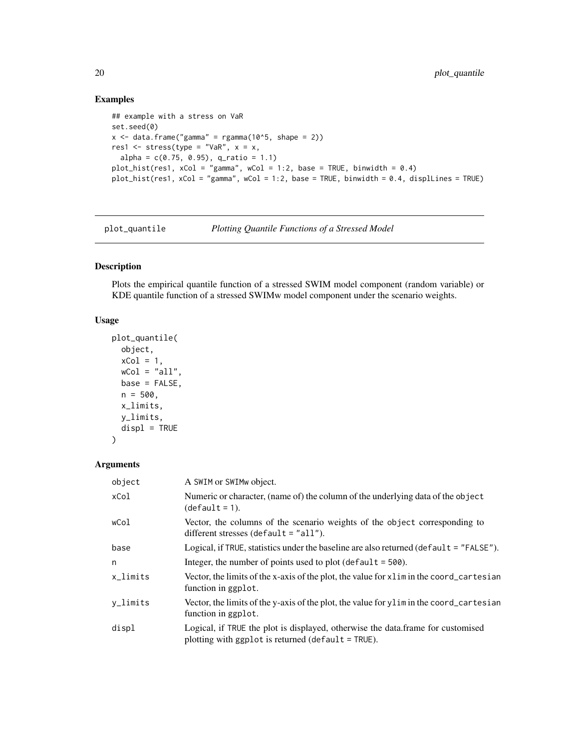# Examples

```
## example with a stress on VaR
set.seed(0)
x \le - data.frame("gamma" = rgamma(10^5, shape = 2))
res1 \le stress(type = "VaR", x = x,
  alpha = c(0.75, 0.95), q_ratio = 1.1)
plot_hist(res1, xCol = "gamma", wCol = 1:2, base = TRUE, binwidth = 0.4)
plot_hist(res1, xCol = "gamma", wCol = 1:2, base = TRUE, binwidth = 0.4, displLines = TRUE)
```
<span id="page-19-1"></span>plot\_quantile *Plotting Quantile Functions of a Stressed Model*

# Description

Plots the empirical quantile function of a stressed SWIM model component (random variable) or KDE quantile function of a stressed SWIMw model component under the scenario weights.

#### Usage

```
plot_quantile(
 object,
 xCol = 1,
 wCol = "all",base = FALSE,
 n = 500,x_limits,
 y_limits,
 displ = TRUE)
```
#### Arguments

| object   | A SWIM or SWIMw object.                                                                                                                 |
|----------|-----------------------------------------------------------------------------------------------------------------------------------------|
| xCol     | Numeric or character, (name of) the column of the underlying data of the object<br>$(detault = 1).$                                     |
| wCol     | Vector, the columns of the scenario weights of the object corresponding to<br>different stresses (default $=$ "all").                   |
| base     | Logical, if TRUE, statistics under the baseline are also returned ( $\delta$ efault = "FALSE").                                         |
| n        | Integer, the number of points used to plot (default $=$ 500).                                                                           |
| x_limits | Vector, the limits of the x-axis of the plot, the value for x l im in the coord_cartesian<br>function in ggplot.                        |
| y_limits | Vector, the limits of the y-axis of the plot, the value for y limin the coord_cartesian<br>function in ggplot.                          |
| displ    | Logical, if TRUE the plot is displayed, otherwise the data frame for customised<br>plotting with $ggplot$ is returned (default = TRUE). |

<span id="page-19-0"></span>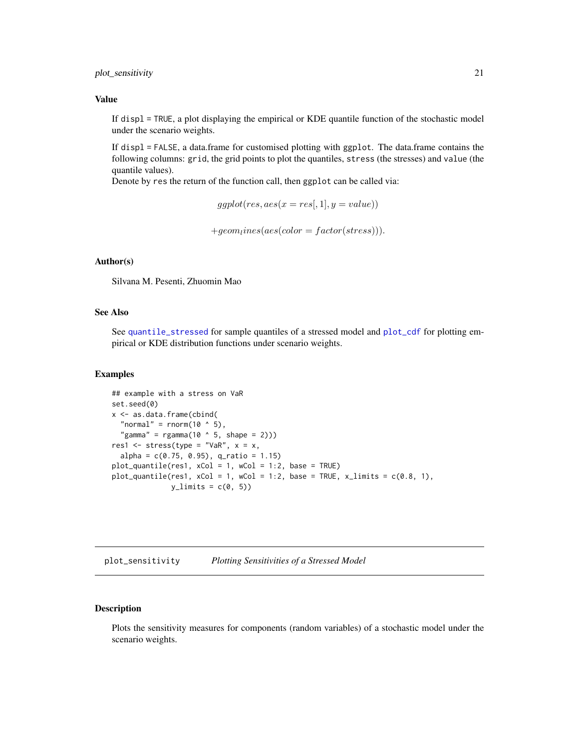#### <span id="page-20-0"></span>plot\_sensitivity 21

#### Value

If displ = TRUE, a plot displaying the empirical or KDE quantile function of the stochastic model under the scenario weights.

If displ = FALSE, a data.frame for customised plotting with ggplot. The data.frame contains the following columns: grid, the grid points to plot the quantiles, stress (the stresses) and value (the quantile values).

Denote by res the return of the function call, then ggplot can be called via:

```
ggplot(res, aes(x = res[, 1], y = value)
```
 $+geom<sub>l</sub>ines(aes(color = factor(stress))).$ 

#### Author(s)

Silvana M. Pesenti, Zhuomin Mao

# See Also

See [quantile\\_stressed](#page-24-1) for sample quantiles of a stressed model and [plot\\_cdf](#page-16-1) for plotting empirical or KDE distribution functions under scenario weights.

# Examples

```
## example with a stress on VaR
set.seed(0)
x <- as.data.frame(cbind(
  "normal" = rnorm(10 \land 5),
  "gamma" = rgamma(10 \land 5, shape = 2)))res1 \leq stress(type = "VaR", x = x,
 alpha = c(0.75, 0.95), q_ratio = 1.15)
plot_quantile(res1, xCol = 1, wCol = 1:2, base = TRUE)plot_quantile(res1, xCol = 1, wCol = 1:2, base = TRUE, x_limits = c(0.8, 1),
              y<sup>1imits = c(0, 5)</sup>
```
<span id="page-20-1"></span>plot\_sensitivity *Plotting Sensitivities of a Stressed Model*

#### Description

Plots the sensitivity measures for components (random variables) of a stochastic model under the scenario weights.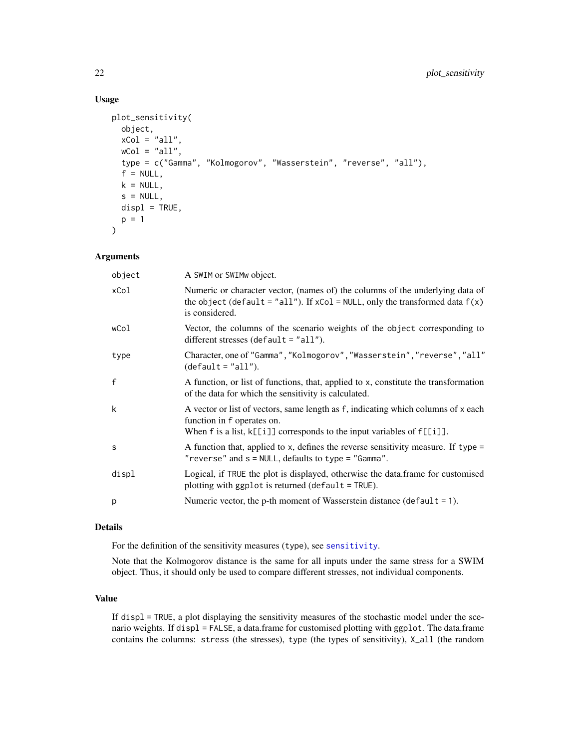# Usage

```
plot_sensitivity(
 object,
 xCol = "all",wCol = "all",type = c("Gamma", "Kolmogorov", "Wasserstein", "reverse", "all"),
  f = NULL,k = NULL,s = NULL,displ = TRUE,p = 1)
```
### Arguments

| object | A SWIM or SWIMw object.                                                                                                                                                                        |
|--------|------------------------------------------------------------------------------------------------------------------------------------------------------------------------------------------------|
| xCol   | Numeric or character vector, (names of) the columns of the underlying data of<br>the object (default = "all"). If $xCol = NULL$ , only the transformed data $f(x)$<br>is considered.           |
| wCol   | Vector, the columns of the scenario weights of the object corresponding to<br>different stresses (default = $"all"$ ).                                                                         |
| type   | Character, one of "Gamma", "Kolmogorov", "Wasserstein", "reverse", "all"<br>$(detault = "all").$                                                                                               |
| f      | A function, or list of functions, that, applied to x, constitute the transformation<br>of the data for which the sensitivity is calculated.                                                    |
| k      | A vector or list of vectors, same length as f, indicating which columns of x each<br>function in f operates on.<br>When f is a list, $k[[i]]$ corresponds to the input variables of $f[[i]]$ . |
| S      | A function that, applied to x, defines the reverse sensitivity measure. If type $=$<br>"reverse" and s = NULL, defaults to type = "Gamma".                                                     |
| displ  | Logical, if TRUE the plot is displayed, otherwise the data.frame for customised<br>plotting with $ggplot$ is returned (default = TRUE).                                                        |
| p      | Numeric vector, the p-th moment of Wasserstein distance ( $default = 1$ ).                                                                                                                     |

# Details

For the definition of the sensitivity measures (type), see [sensitivity](#page-28-1).

Note that the Kolmogorov distance is the same for all inputs under the same stress for a SWIM object. Thus, it should only be used to compare different stresses, not individual components.

# Value

If displ = TRUE, a plot displaying the sensitivity measures of the stochastic model under the scenario weights. If displ = FALSE, a data.frame for customised plotting with ggplot. The data.frame contains the columns: stress (the stresses), type (the types of sensitivity), X\_all (the random

<span id="page-21-0"></span>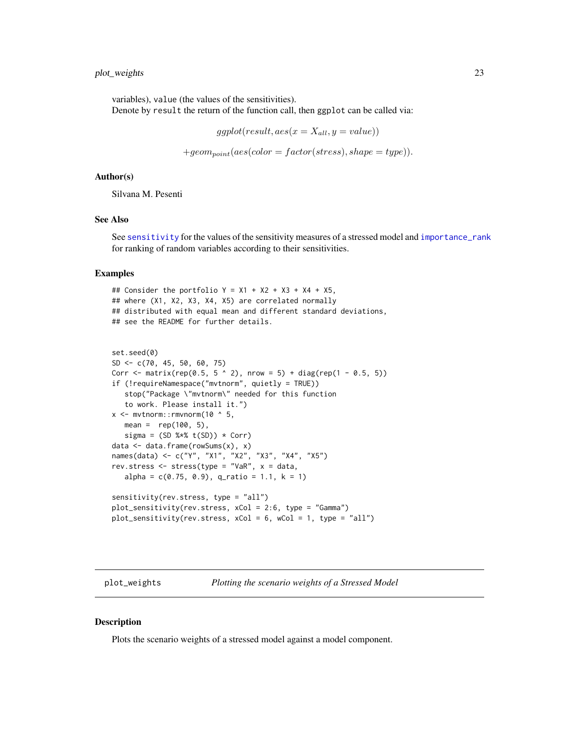# <span id="page-22-0"></span>plot\_weights 23

variables), value (the values of the sensitivities). Denote by result the return of the function call, then ggplot can be called via:

 $ggplot(result, aes(x = X_{all}, y = value))$ 

 $+geom_{point}(aes(color = factor(stress), shape = type)).$ 

#### Author(s)

Silvana M. Pesenti

#### See Also

See [sensitivity](#page-28-1) for the values of the sensitivity measures of a stressed model and [importance\\_rank](#page-11-1) for ranking of random variables according to their sensitivities.

#### Examples

## Consider the portfolio  $Y = X1 + X2 + X3 + X4 + X5$ , ## where (X1, X2, X3, X4, X5) are correlated normally ## distributed with equal mean and different standard deviations, ## see the README for further details.

```
set.seed(0)
SD <- c(70, 45, 50, 60, 75)
Corr <- matrix(rep(0.5, 5 \land 2), nrow = 5) + diag(rep(1 - 0.5, 5))
if (!requireNamespace("mvtnorm", quietly = TRUE))
   stop("Package \"mvtnorm\" needed for this function
   to work. Please install it.")
x <- mvtnorm:: rmvnorm(10 \land 5,
  mean = rep(100, 5),
  sigma = (SD %*% t(SD)) * Corr)data <- data.frame(rowSums(x), x)
names(data) <- c("Y", "X1", "X2", "X3", "X4", "X5")
rev.stress \leq stress(type = "VaR", x = data,
  alpha = c(0.75, 0.9), q_ratio = 1.1, k = 1)
sensitivity(rev.stress, type = "all")
plot_sensitivity(rev.stress, xCol = 2:6, type = "Gamma")
plot_sensitivity(rev.stress, xCol = 6, wCol = 1, type = "all")
```
plot\_weights *Plotting the scenario weights of a Stressed Model*

#### **Description**

Plots the scenario weights of a stressed model against a model component.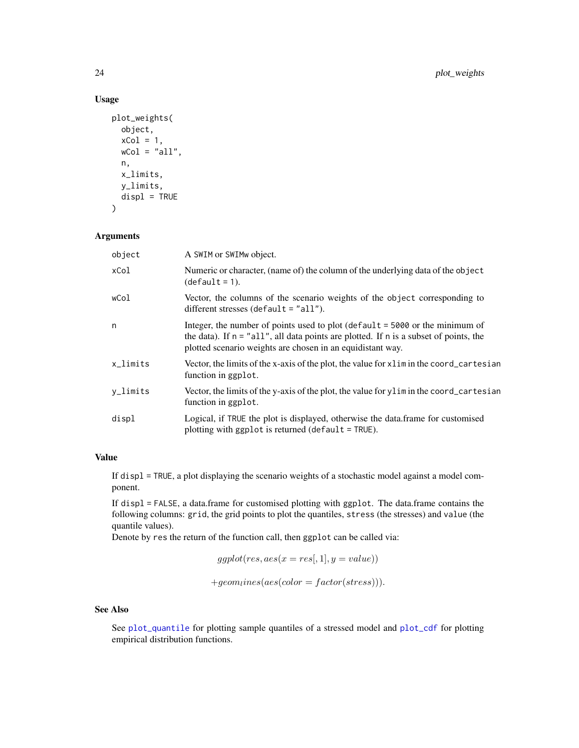# Usage

```
plot_weights(
  object,
  xCol = 1,
  wCol = "all",n,
  x_limits,
  y_limits,
  displ = TRUE\mathcal{E}
```
# Arguments

| object      | A SWIM or SWIMw object.                                                                                                                                                                                                                   |
|-------------|-------------------------------------------------------------------------------------------------------------------------------------------------------------------------------------------------------------------------------------------|
| xCol        | Numeric or character, (name of) the column of the underlying data of the object<br>$(detault = 1).$                                                                                                                                       |
| wCol        | Vector, the columns of the scenario weights of the object corresponding to<br>different stresses (default $=$ "all").                                                                                                                     |
| n           | Integer, the number of points used to plot (default $= 5000$ or the minimum of<br>the data). If $n = "all",$ all data points are plotted. If $n$ is a subset of points, the<br>plotted scenario weights are chosen in an equidistant way. |
| $x$ _limits | Vector, the limits of the x-axis of the plot, the value for x l im in the coord_cartesian<br>function in ggplot.                                                                                                                          |
| y_limits    | Vector, the limits of the y-axis of the plot, the value for y limin the coord_cartesian<br>function in ggplot.                                                                                                                            |
| displ       | Logical, if TRUE the plot is displayed, otherwise the data.frame for customised<br>plotting with ggplot is returned (default = TRUE).                                                                                                     |

# Value

If displ = TRUE, a plot displaying the scenario weights of a stochastic model against a model component.

If displ = FALSE, a data.frame for customised plotting with ggplot. The data.frame contains the following columns: grid, the grid points to plot the quantiles, stress (the stresses) and value (the quantile values).

Denote by res the return of the function call, then ggplot can be called via:

```
ggplot(res, aes(x = res[, 1], y = value)
```
 $+geom lines(aes(color = factor(stress))).$ 

# See Also

See [plot\\_quantile](#page-19-1) for plotting sample quantiles of a stressed model and [plot\\_cdf](#page-16-1) for plotting empirical distribution functions.

<span id="page-23-0"></span>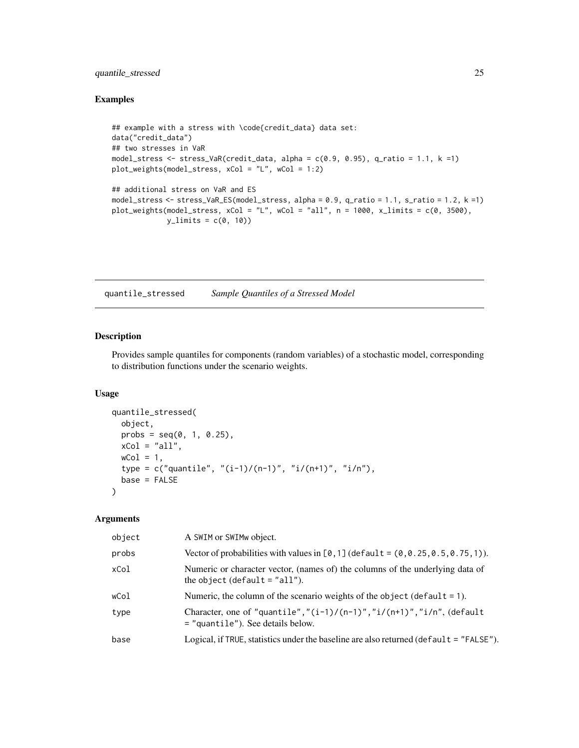# <span id="page-24-0"></span>quantile\_stressed 25

#### Examples

```
## example with a stress with \code{credit_data} data set:
data("credit_data")
## two stresses in VaR
model_stress \le stress_VaR(credit_data, alpha = c(0.9, 0.95), q_ratio = 1.1, k =1)
plot_weights(model_stress, xCol = "L", wCol = 1:2)
## additional stress on VaR and ES
model_stress <- stress_VaR_ES(model_stress, alpha = 0.9, q_ratio = 1.1, s_ratio = 1.2, k =1)
plot\_weights (model\_stress, xCol = "L", wCol = "all", n = 1000, x_limits = c(0, 3500),y_{\text{limits}} = c(0, 10)
```
<span id="page-24-1"></span>quantile\_stressed *Sample Quantiles of a Stressed Model*

#### Description

Provides sample quantiles for components (random variables) of a stochastic model, corresponding to distribution functions under the scenario weights.

#### Usage

```
quantile_stressed(
  object,
 probs = seq(0, 1, 0.25),
 xCol = "all",wCol = 1,
  type = c("quantile", "(i-1)/(n-1)", "i/(n+1)", "i/n"),
 base = FALSE
\mathcal{L}
```
# Arguments

| object | A SWIM or SWIMw object.                                                                                                    |
|--------|----------------------------------------------------------------------------------------------------------------------------|
| probs  | Vector of probabilities with values in $[0,1]$ (default = $(0,0.25,0.5,0.75,1)$ ).                                         |
| xCol   | Numeric or character vector, (names of) the columns of the underlying data of<br>the object (default $=$ "all").           |
| wCol   | Numeric, the column of the scenario weights of the object (default $= 1$ ).                                                |
| type   | Character, one of "quantile", " $(i-1)/(n-1)$ ", " $i/(n+1)$ ", " $i/n$ ", (default<br>$=$ "quantile"). See details below. |
| base   | Logical, if TRUE, statistics under the baseline are also returned ( $default = "FALSE"$ ).                                 |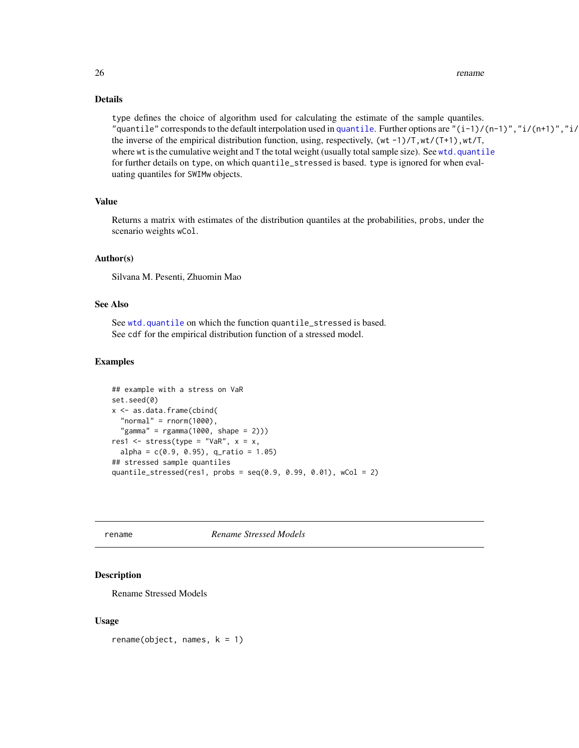#### <span id="page-25-0"></span>26 rename control of the control of the control of the control of the control of the control of the control of the control of the control of the control of the control of the control of the control of the control of the co

#### Details

type defines the choice of algorithm used for calculating the estimate of the sample quantiles. "[quantile](#page-0-0)" corresponds to the default interpolation used in quantile. Further options are " $(i-1)/(n-1)$ ", "i/ $(n+1)$ ", "i/ the inverse of the empirical distribution function, using, respectively,  $(wt -1)/T, wt/(T+1), wt/T$ , where wt is the cumulative weight and  $T$  the total weight (usually total sample size). See [wtd.quantile](#page-0-0) for further details on type, on which quantile\_stressed is based. type is ignored for when evaluating quantiles for SWIMw objects.

#### Value

Returns a matrix with estimates of the distribution quantiles at the probabilities, probs, under the scenario weights wCol.

#### Author(s)

Silvana M. Pesenti, Zhuomin Mao

### See Also

See [wtd.quantile](#page-0-0) on which the function quantile\_stressed is based. See cdf for the empirical distribution function of a stressed model.

#### Examples

```
## example with a stress on VaR
set.seed(0)
x <- as.data.frame(cbind(
 "normal" = rnorm(1000),
  "gamma" = rgamma(1000, shape = 2)))res1 <- stress(type = "VaR", x = x,
 alpha = c(0.9, 0.95), q_ratio = 1.05)
## stressed sample quantiles
quantile_stressed(res1, probs = seq(0.9, 0.99, 0.01), wCol = 2)
```
rename *Rename Stressed Models*

#### Description

Rename Stressed Models

#### Usage

 $r$ ename(object, names,  $k = 1$ )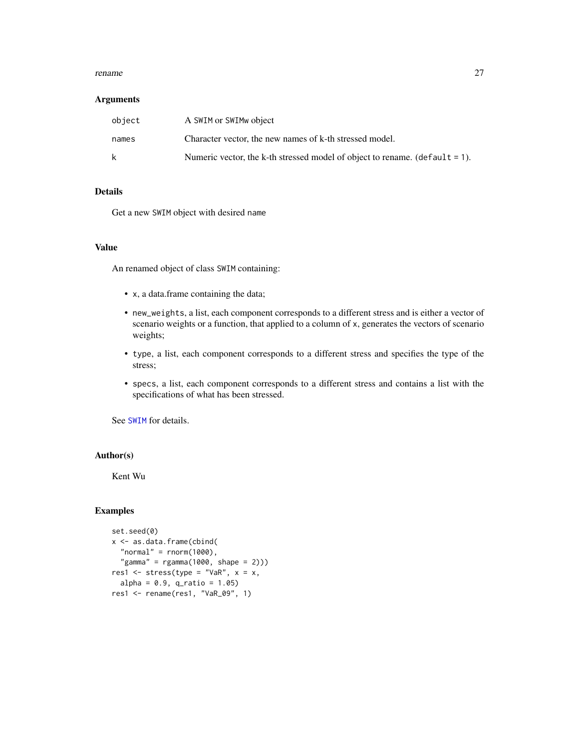#### <span id="page-26-0"></span>rename 27

#### Arguments

| object | A SWIM or SWIM object                                                          |
|--------|--------------------------------------------------------------------------------|
| names  | Character vector, the new names of k-th stressed model.                        |
| k      | Numeric vector, the k-th stressed model of object to rename. (default $= 1$ ). |

# Details

Get a new SWIM object with desired name

# Value

An renamed object of class SWIM containing:

- x, a data.frame containing the data;
- new\_weights, a list, each component corresponds to a different stress and is either a vector of scenario weights or a function, that applied to a column of x, generates the vectors of scenario weights;
- type, a list, each component corresponds to a different stress and specifies the type of the stress;
- specs, a list, each component corresponds to a different stress and contains a list with the specifications of what has been stressed.

See [SWIM](#page-64-1) for details.

# Author(s)

Kent Wu

# Examples

```
set.seed(0)
x <- as.data.frame(cbind(
  "normal" = rnorm(1000),
  "gamma" = rgamma(1000, shape = 2)))res1 <- stress(type = "VaR", x = x,
  alpha = 0.9, q_{ratio} = 1.05)res1 <- rename(res1, "VaR_09", 1)
```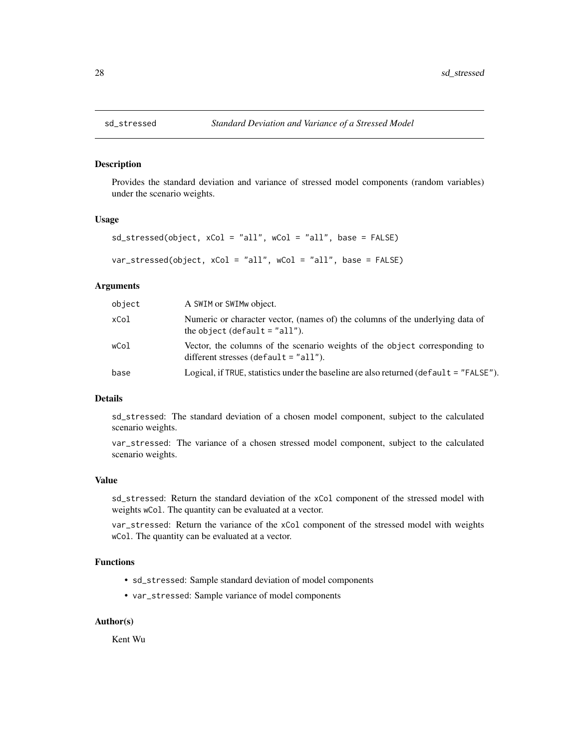<span id="page-27-2"></span><span id="page-27-1"></span><span id="page-27-0"></span>

Provides the standard deviation and variance of stressed model components (random variables) under the scenario weights.

#### Usage

```
sd_stressed(object, xCol = "all", wCol = "all", base = FALSE)
var_stressed(object, xCol = "all", wCol = "all", base = FALSE)
```
#### Arguments

| object | A SWIM or SWIM wobject.                                                                                               |
|--------|-----------------------------------------------------------------------------------------------------------------------|
| xCol   | Numeric or character vector, (names of) the columns of the underlying data of<br>the object (default $=$ "all").      |
| wCol   | Vector, the columns of the scenario weights of the object corresponding to<br>different stresses (default $=$ "all"). |
| base   | Logical, if TRUE, statistics under the baseline are also returned (default = "FALSE").                                |

#### Details

sd\_stressed: The standard deviation of a chosen model component, subject to the calculated scenario weights.

var\_stressed: The variance of a chosen stressed model component, subject to the calculated scenario weights.

#### Value

sd\_stressed: Return the standard deviation of the xCol component of the stressed model with weights wCol. The quantity can be evaluated at a vector.

var\_stressed: Return the variance of the xCol component of the stressed model with weights wCol. The quantity can be evaluated at a vector.

### Functions

- sd\_stressed: Sample standard deviation of model components
- var\_stressed: Sample variance of model components

#### Author(s)

Kent Wu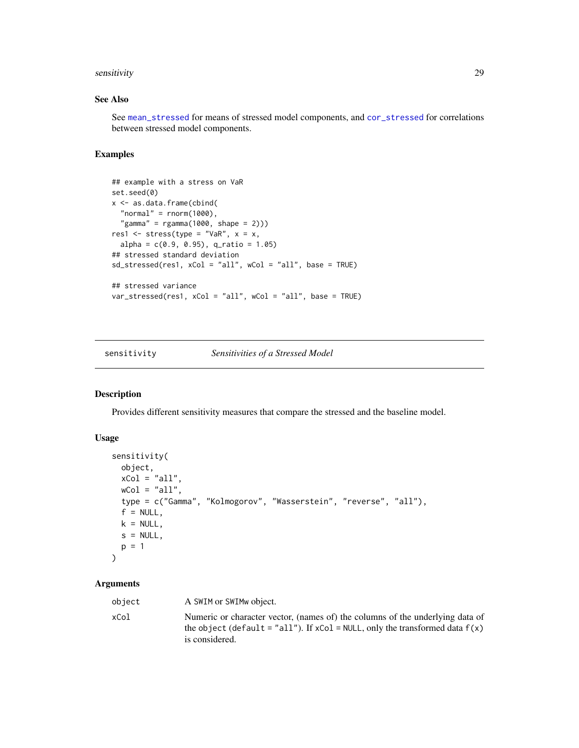#### <span id="page-28-0"></span>sensitivity 29

# See Also

See [mean\\_stressed](#page-12-1) for means of stressed model components, and [cor\\_stressed](#page-5-1) for correlations between stressed model components.

#### Examples

```
## example with a stress on VaR
set.seed(0)
x <- as.data.frame(cbind(
  "normal" = rnorm(1000),
  "gamma" = rgamma(1000, shape = 2)))res1 <- stress(type = "VaR", x = x,
  alpha = c(0.9, 0.95), q_ratio = 1.05)
## stressed standard deviation
sd_stressed(res1, xCol = "all", wCol = "all", base = TRUE)
## stressed variance
var_stressed(res1, xCol = "all", wCol = "all", base = TRUE)
```
<span id="page-28-1"></span>sensitivity *Sensitivities of a Stressed Model*

# Description

Provides different sensitivity measures that compare the stressed and the baseline model.

#### Usage

```
sensitivity(
 object,
 xCol = "all",wCol = "all",type = c("Gamma", "Kolmogorov", "Wasserstein", "reverse", "all"),
  f = NULL,k = NULL,s = NULL,p = 1\mathcal{L}
```
#### Arguments

| object | A SWIM or SWIM object.                                                                                                                                                               |
|--------|--------------------------------------------------------------------------------------------------------------------------------------------------------------------------------------|
| xCol   | Numeric or character vector, (names of) the columns of the underlying data of<br>the object (default = "all"). If $xCol = NULL$ , only the transformed data $f(x)$<br>is considered. |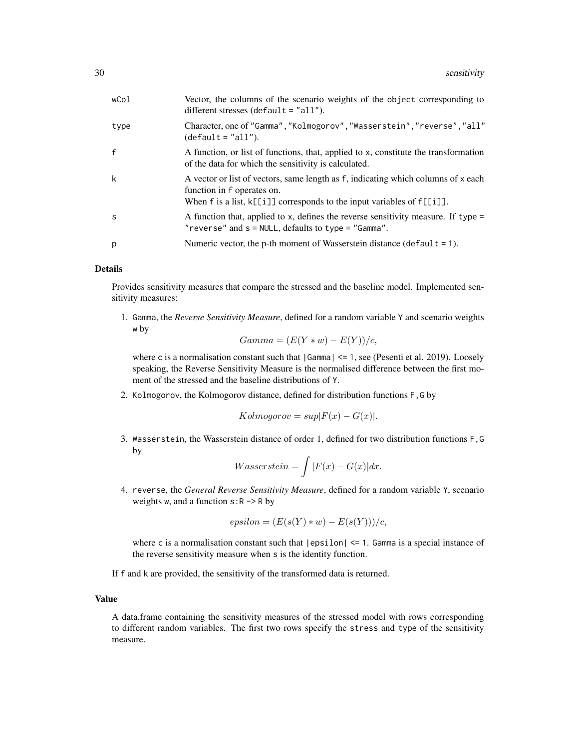| wCol         | Vector, the columns of the scenario weights of the object corresponding to<br>different stresses (default $=$ "all").                                                                          |
|--------------|------------------------------------------------------------------------------------------------------------------------------------------------------------------------------------------------|
| type         | Character, one of "Gamma", "Kolmogorov", "Wasserstein", "reverse", "all"<br>$(detault = "all").$                                                                                               |
| $\mathsf{f}$ | A function, or list of functions, that, applied to x, constitute the transformation<br>of the data for which the sensitivity is calculated.                                                    |
| k            | A vector or list of vectors, same length as f, indicating which columns of x each<br>function in f operates on.<br>When f is a list, $k[[i]]$ corresponds to the input variables of $f[[i]]$ . |
| -S           | A function that, applied to x, defines the reverse sensitivity measure. If type $=$<br>" $reverse$ " and $s = NULL$ , defaults to type = " $Gamma$ ".                                          |
| p            | Numeric vector, the p-th moment of Wasserstein distance (default $= 1$ ).                                                                                                                      |

#### Details

Provides sensitivity measures that compare the stressed and the baseline model. Implemented sensitivity measures:

1. Gamma, the *Reverse Sensitivity Measure*, defined for a random variable Y and scenario weights w by

$$
Gamma = (E(Y * w) - E(Y))/c,
$$

where c is a normalisation constant such that  $|Gamma| \le 1$ , see (Pesenti et al. 2019). Loosely speaking, the Reverse Sensitivity Measure is the normalised difference between the first moment of the stressed and the baseline distributions of Y.

2. Kolmogorov, the Kolmogorov distance, defined for distribution functions F,G by

$$
Kolmogorov = sup|F(x) - G(x)|.
$$

3. Wasserstein, the Wasserstein distance of order 1, defined for two distribution functions F,G by

$$
Wasserstein = \int |F(x) - G(x)| dx.
$$

4. reverse, the *General Reverse Sensitivity Measure*, defined for a random variable Y, scenario weights w, and a function  $s:R \rightarrow R$  by

$$
epsilon = (E(s(Y) * w) - E(s(Y)))/c,
$$

where c is a normalisation constant such that  $|epsilon| \leq 1$ . Gamma is a special instance of the reverse sensitivity measure when s is the identity function.

If f and k are provided, the sensitivity of the transformed data is returned.

# Value

A data.frame containing the sensitivity measures of the stressed model with rows corresponding to different random variables. The first two rows specify the stress and type of the sensitivity measure.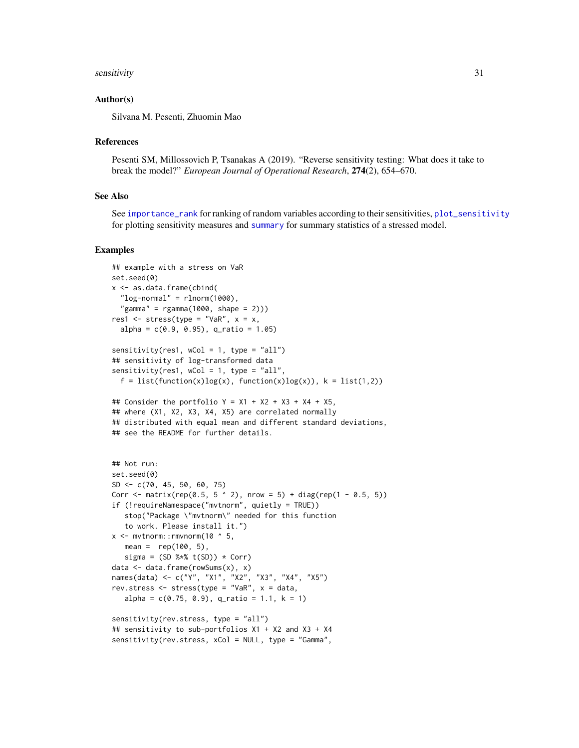#### <span id="page-30-0"></span>sensitivity 31

#### Author(s)

Silvana M. Pesenti, Zhuomin Mao

#### References

Pesenti SM, Millossovich P, Tsanakas A (2019). "Reverse sensitivity testing: What does it take to break the model?" *European Journal of Operational Research*, 274(2), 654–670.

#### See Also

See [importance\\_rank](#page-11-1) for ranking of random variables according to their sensitivities, [plot\\_sensitivity](#page-20-1) for plotting sensitivity measures and [summary](#page-0-0) for summary statistics of a stressed model.

#### Examples

```
## example with a stress on VaR
set.seed(0)
x <- as.data.frame(cbind(
 "log-normal" = rlnorm(1000),
  "gamma" = rgamma(1000, shape = 2)))res1 <- stress(type = "VaR", x = x,
 alpha = c(0.9, 0.95), q_ratio = 1.05)
sensitivity(res1, wCol = 1, type = "all")
## sensitivity of log-transformed data
sensitivity(res1, wCol = 1, type = "all",
 f = list(function(x)log(x), function(x)log(x)), k = list(1,2))## Consider the portfolio Y = X1 + X2 + X3 + X4 + X5,
## where (X1, X2, X3, X4, X5) are correlated normally
## distributed with equal mean and different standard deviations,
## see the README for further details.
## Not run:
set.seed(0)
SD <- c(70, 45, 50, 60, 75)
Corr <- matrix(rep(0.5, 5 \land 2), nrow = 5) + diag(rep(1 - 0.5, 5))
if (!requireNamespace("mvtnorm", quietly = TRUE))
   stop("Package \"mvtnorm\" needed for this function
   to work. Please install it.")
x \leq - mvtnorm:: rmvnorm(10 \land 5,
  mean = rep(100, 5),sigma = (SD %*% t(SD)) * Corr)data <- data.frame(rowSums(x), x)
names(data) <- c("Y", "X1", "X2", "X3", "X4", "X5")
rev.stress <- stress(type = "VaR", x = data,
  alpha = c(0.75, 0.9), q_ratio = 1.1, k = 1)
sensitivity(rev.stress, type = "all")
## sensitivity to sub-portfolios X1 + X2 and X3 + X4
sensitivity(rev.stress, xCol = NULL, type = "Gamma",
```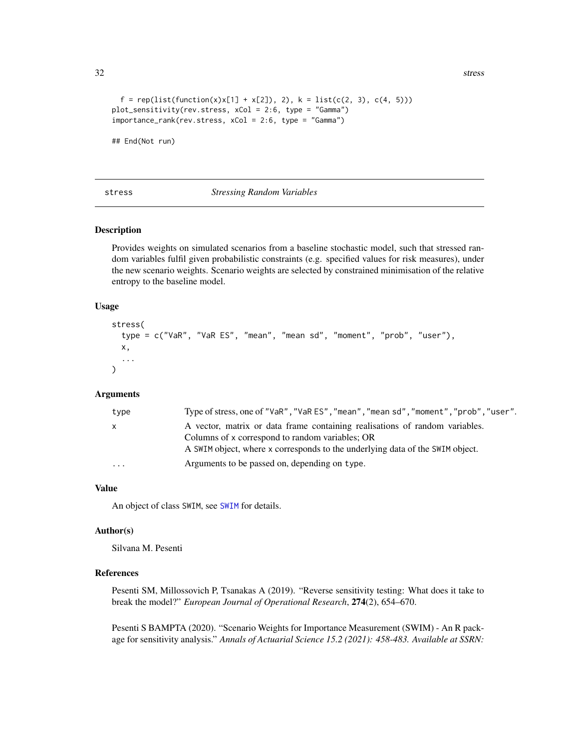32 stress and the stress stress stress in the stress stress stress stress stress in the stress stress stress in the stress stress stress in the stress stress in the stress stress in the stress stress in the stress stress i

```
f = rep(list(function(x)x[1] + x[2]), 2), k = list(c(2, 3), c(4, 5)))plot_sensitivity(rev.stress, xCol = 2:6, type = "Gamma")
importance_rank(rev.stress, xCol = 2:6, type = "Gamma")
```
## End(Not run)

#### <span id="page-31-1"></span>stress *Stressing Random Variables*

#### Description

Provides weights on simulated scenarios from a baseline stochastic model, such that stressed random variables fulfil given probabilistic constraints (e.g. specified values for risk measures), under the new scenario weights. Scenario weights are selected by constrained minimisation of the relative entropy to the baseline model.

#### Usage

```
stress(
  type = c("VaR", "VaR ES", "mean", "mean sd", "moment", "prob", "user"),
 x,
  ...
)
```
# Arguments

| type              | Type of stress, one of "VaR", "VaR ES", "mean", "mean sd", "moment", "prob", "user". |
|-------------------|--------------------------------------------------------------------------------------|
| $\mathsf{X}$      | A vector, matrix or data frame containing realisations of random variables.          |
|                   | Columns of x correspond to random variables; OR                                      |
|                   | A SWIM object, where x corresponds to the underlying data of the SWIM object.        |
| $\cdot\cdot\cdot$ | Arguments to be passed on, depending on type.                                        |

#### Value

An object of class SWIM, see [SWIM](#page-64-1) for details.

#### Author(s)

Silvana M. Pesenti

#### References

Pesenti SM, Millossovich P, Tsanakas A (2019). "Reverse sensitivity testing: What does it take to break the model?" *European Journal of Operational Research*, 274(2), 654–670.

Pesenti S BAMPTA (2020). "Scenario Weights for Importance Measurement (SWIM) - An R package for sensitivity analysis." *Annals of Actuarial Science 15.2 (2021): 458-483. Available at SSRN:*

<span id="page-31-0"></span>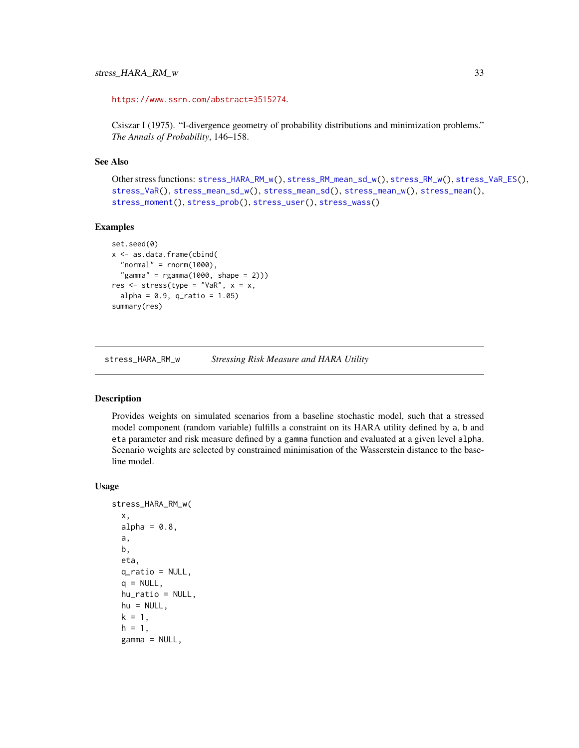<span id="page-32-0"></span><https://www.ssrn.com/abstract=3515274>.

Csiszar I (1975). "I-divergence geometry of probability distributions and minimization problems." *The Annals of Probability*, 146–158.

#### See Also

```
Other stress functions: stress_HARA_RM_w(), stress_RM_mean_sd_w(), stress_RM_w(), stress_VaR_ES(),
stress_VaR(), stress_mean_sd_w(), stress_mean_sd(), stress_mean_w(), stress_mean(),
stress_moment(), stress_prob(), stress_user(), stress_wass()
```
#### Examples

```
set.seed(0)
x <- as.data.frame(cbind(
  "normal" = rnorm(1000),
  "gamma" = rgamma(1000, shape = 2)))res \leq stress(type = "VaR", x = x,
 alpha = 0.9, q_{ratio} = 1.05)summary(res)
```
<span id="page-32-1"></span>stress\_HARA\_RM\_w *Stressing Risk Measure and HARA Utility*

# Description

Provides weights on simulated scenarios from a baseline stochastic model, such that a stressed model component (random variable) fulfills a constraint on its HARA utility defined by a, b and eta parameter and risk measure defined by a gamma function and evaluated at a given level alpha. Scenario weights are selected by constrained minimisation of the Wasserstein distance to the baseline model.

#### Usage

```
stress_HARA_RM_w(
  x,
  alpha = 0.8,
  a,
 b,
  eta,
  q_ratio = NULL,
  q = NULL,
 hu_ratio = NULL,
 hu = NULL,k = 1,
  h = 1,
  gamma = NULL,
```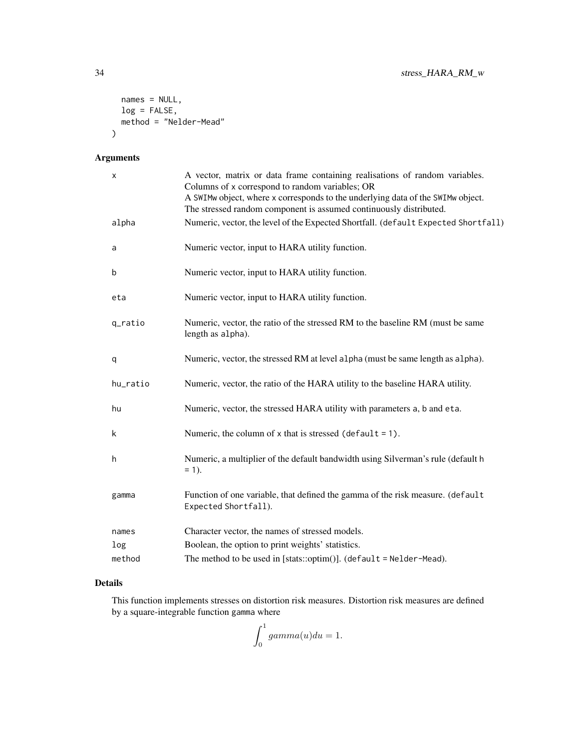```
names = NULL,
  log = FALSE,
  method = "Nelder-Mead"
\mathcal{L}
```
# Arguments

| x        | A vector, matrix or data frame containing realisations of random variables.<br>Columns of x correspond to random variables; OR                        |
|----------|-------------------------------------------------------------------------------------------------------------------------------------------------------|
|          | A SWIMw object, where x corresponds to the underlying data of the SWIMw object.<br>The stressed random component is assumed continuously distributed. |
| alpha    | Numeric, vector, the level of the Expected Shortfall. (default Expected Shortfall)                                                                    |
| a        | Numeric vector, input to HARA utility function.                                                                                                       |
| b        | Numeric vector, input to HARA utility function.                                                                                                       |
| eta      | Numeric vector, input to HARA utility function.                                                                                                       |
| q_ratio  | Numeric, vector, the ratio of the stressed RM to the baseline RM (must be same<br>length as alpha).                                                   |
| q        | Numeric, vector, the stressed RM at level alpha (must be same length as alpha).                                                                       |
| hu_ratio | Numeric, vector, the ratio of the HARA utility to the baseline HARA utility.                                                                          |
| hu       | Numeric, vector, the stressed HARA utility with parameters a, b and eta.                                                                              |
| k        | Numeric, the column of $x$ that is stressed (default = 1).                                                                                            |
| h        | Numeric, a multiplier of the default bandwidth using Silverman's rule (default h<br>$= 1$ ).                                                          |
| gamma    | Function of one variable, that defined the gamma of the risk measure. (default<br>Expected Shortfall).                                                |
| names    | Character vector, the names of stressed models.                                                                                                       |
| log      | Boolean, the option to print weights' statistics.                                                                                                     |
| method   | The method to be used in [stats::optim()]. (default = $N$ elder-Mead).                                                                                |

# Details

This function implements stresses on distortion risk measures. Distortion risk measures are defined by a square-integrable function gamma where

$$
\int_0^1 gamma(u)du = 1.
$$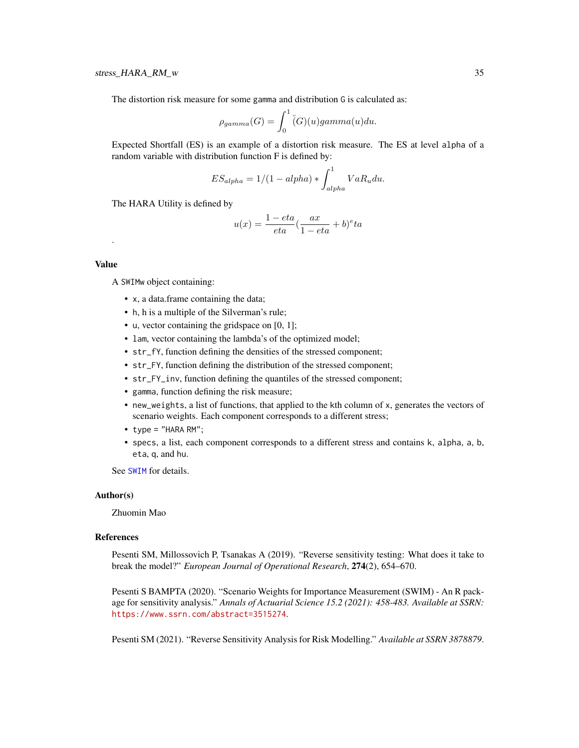<span id="page-34-0"></span>The distortion risk measure for some gamma and distribution G is calculated as:

$$
\rho_{gamma}(G) = \int_0^1 \check{G}(u) \gamma(m) \alpha(u) du.
$$

Expected Shortfall (ES) is an example of a distortion risk measure. The ES at level alpha of a random variable with distribution function F is defined by:

$$
ES_{alpha} = 1/(1 - alpha) * \int_{alpha}^{1} VaR_u du.
$$

The HARA Utility is defined by

$$
u(x) = \frac{1 - eta}{eta} \left(\frac{ax}{1 - eta} + b\right)^e ta
$$

# Value

.

A SWIMw object containing:

- x, a data.frame containing the data;
- h, h is a multiple of the Silverman's rule;
- u, vector containing the gridspace on [0, 1];
- lam, vector containing the lambda's of the optimized model;
- str\_fY, function defining the densities of the stressed component;
- str\_FY, function defining the distribution of the stressed component;
- str\_FY\_inv, function defining the quantiles of the stressed component;
- gamma, function defining the risk measure;
- new\_weights, a list of functions, that applied to the kth column of x, generates the vectors of scenario weights. Each component corresponds to a different stress;
- type = "HARA RM";
- specs, a list, each component corresponds to a different stress and contains k, alpha, a, b, eta, q, and hu.

See [SWIM](#page-64-1) for details.

#### Author(s)

Zhuomin Mao

#### References

Pesenti SM, Millossovich P, Tsanakas A (2019). "Reverse sensitivity testing: What does it take to break the model?" *European Journal of Operational Research*, 274(2), 654–670.

Pesenti S BAMPTA (2020). "Scenario Weights for Importance Measurement (SWIM) - An R package for sensitivity analysis." *Annals of Actuarial Science 15.2 (2021): 458-483. Available at SSRN:* <https://www.ssrn.com/abstract=3515274>.

Pesenti SM (2021). "Reverse Sensitivity Analysis for Risk Modelling." *Available at SSRN 3878879*.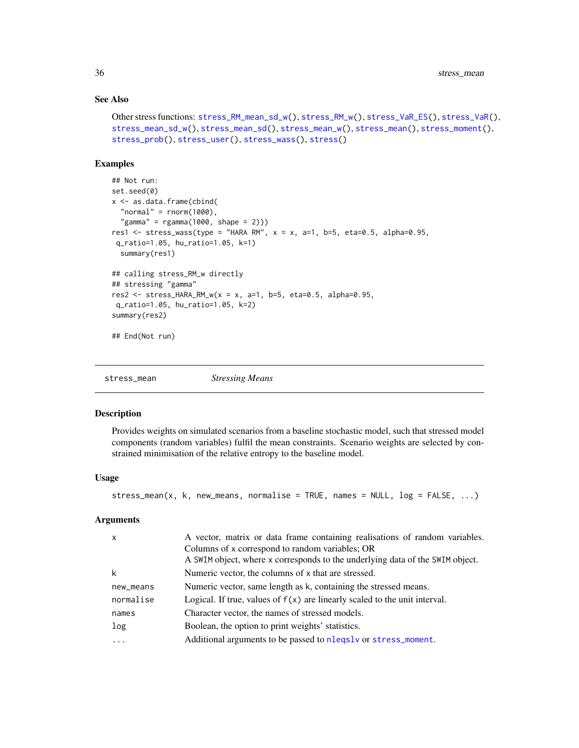#### See Also

```
Other stress functions: stress_RM_mean_sd_w(), stress_RM_w(), stress_VaR_ES(), stress_VaR(),
stress_mean_sd_w(), stress_mean_sd(), stress_mean_w(), stress_mean(), stress_moment(),
stress_prob(), stress_user(), stress_wass(), stress()
```
#### Examples

```
## Not run:
set.seed(0)
x <- as.data.frame(cbind(
 "normal" = rnorm(1000),
 "gamma" = rgamma(1000, shape = 2)))res1 <- stress_wass(type = "HARA RM", x = x, a=1, b=5, eta=0.5, alpha=0.95,
q_ratio=1.05, hu_ratio=1.05, k=1)
 summary(res1)
## calling stress_RM_w directly
## stressing "gamma"
res2 <- stress_HARA_RM_w(x = x, a=1, b=5, eta=0.5, alpha=0.95,
q_ratio=1.05, hu_ratio=1.05, k=2)
summary(res2)
## End(Not run)
```
<span id="page-35-1"></span>stress\_mean *Stressing Means*

#### **Description**

Provides weights on simulated scenarios from a baseline stochastic model, such that stressed model components (random variables) fulfil the mean constraints. Scenario weights are selected by constrained minimisation of the relative entropy to the baseline model.

#### Usage

```
stress_mean(x, k, new_means, normalise = TRUE, names = NULL, log = FALSE, ...)
```
#### Arguments

| $\boldsymbol{\mathsf{x}}$ | A vector, matrix or data frame containing realisations of random variables.<br>Columns of x correspond to random variables; OR<br>A SWIM object, where x corresponds to the underlying data of the SWIM object. |
|---------------------------|-----------------------------------------------------------------------------------------------------------------------------------------------------------------------------------------------------------------|
| k                         | Numeric vector, the columns of x that are stressed.                                                                                                                                                             |
| new_means                 | Numeric vector, same length as k, containing the stressed means.                                                                                                                                                |
| normalise                 | Logical. If true, values of $f(x)$ are linearly scaled to the unit interval.                                                                                                                                    |
| names                     | Character vector, the names of stressed models.                                                                                                                                                                 |
| log                       | Boolean, the option to print weights' statistics.                                                                                                                                                               |
| .                         | Additional arguments to be passed to nlegsly or stress_moment.                                                                                                                                                  |
|                           |                                                                                                                                                                                                                 |

<span id="page-35-0"></span>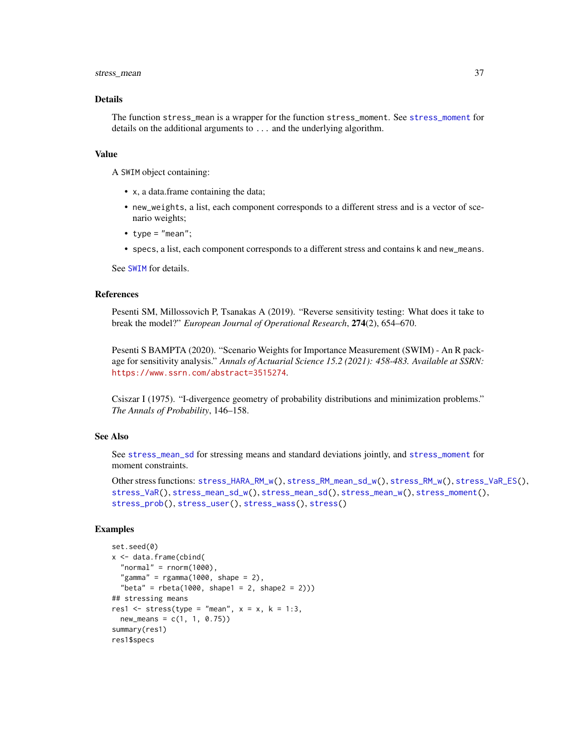#### <span id="page-36-0"></span>stress\_mean 37

#### Details

The function stress\_mean is a wrapper for the function stress\_moment. See [stress\\_moment](#page-43-1) for details on the additional arguments to ... and the underlying algorithm.

#### Value

A SWIM object containing:

- x, a data.frame containing the data;
- new\_weights, a list, each component corresponds to a different stress and is a vector of scenario weights;
- type =  $"mean";$
- specs, a list, each component corresponds to a different stress and contains k and new\_means.

See [SWIM](#page-64-1) for details.

#### References

Pesenti SM, Millossovich P, Tsanakas A (2019). "Reverse sensitivity testing: What does it take to break the model?" *European Journal of Operational Research*, 274(2), 654–670.

Pesenti S BAMPTA (2020). "Scenario Weights for Importance Measurement (SWIM) - An R package for sensitivity analysis." *Annals of Actuarial Science 15.2 (2021): 458-483. Available at SSRN:* <https://www.ssrn.com/abstract=3515274>.

Csiszar I (1975). "I-divergence geometry of probability distributions and minimization problems." *The Annals of Probability*, 146–158.

#### See Also

See [stress\\_mean\\_sd](#page-37-1) for stressing means and standard deviations jointly, and [stress\\_moment](#page-43-1) for moment constraints.

```
Other stress functions: stress_HARA_RM_w(), stress_RM_mean_sd_w(), stress_RM_w(), stress_VaR_ES(),
stress_VaR(), stress_mean_sd_w(), stress_mean_sd(), stress_mean_w(), stress_moment(),
stress_prob(), stress_user(), stress_wass(), stress()
```
#### Examples

```
set.seed(0)
x <- data.frame(cbind(
  "normal" = r_{\text{norm}}(1000),
  "gamma" = rgamma(1000, shape = 2),
  "beta" = rbeta(1000, shape1 = 2, shape2 = 2))## stressing means
res1 \le stress(type = "mean", x = x, k = 1:3,
  new_means = c(1, 1, 0.75)summary(res1)
res1$specs
```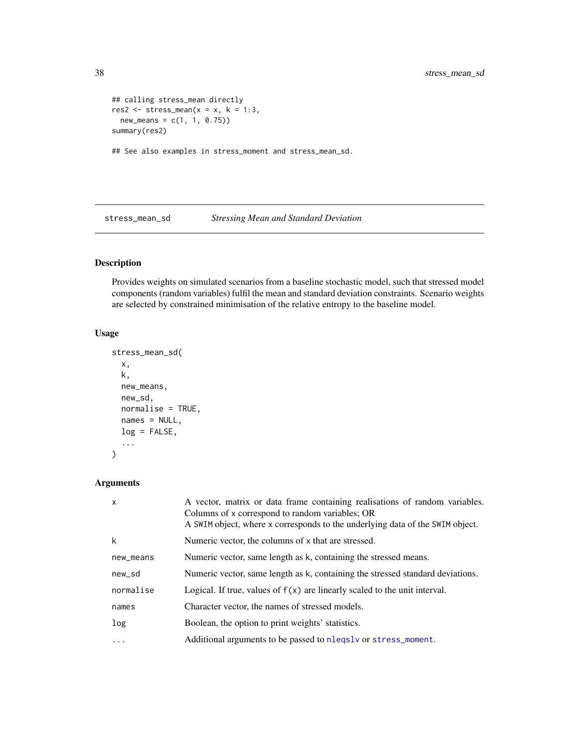```
## calling stress_mean directly
res2 \le stress_mean(x = x, k = 1:3,
 new\_means = c(1, 1, 0.75)summary(res2)
## See also examples in stress_moment and stress_mean_sd.
```
<span id="page-37-1"></span>stress\_mean\_sd *Stressing Mean and Standard Deviation*

# Description

Provides weights on simulated scenarios from a baseline stochastic model, such that stressed model components (random variables) fulfil the mean and standard deviation constraints. Scenario weights are selected by constrained minimisation of the relative entropy to the baseline model.

# Usage

```
stress_mean_sd(
  x,
 k,
 new_means,
 new_sd,
 normalise = TRUE,
 names = NULL,
 log = FALSE,
  ...
)
```
# Arguments

| $\mathsf{x}$ | A vector, matrix or data frame containing realisations of random variables.<br>Columns of x correspond to random variables; OR<br>A SWIM object, where x corresponds to the underlying data of the SWIM object. |
|--------------|-----------------------------------------------------------------------------------------------------------------------------------------------------------------------------------------------------------------|
| k            | Numeric vector, the columns of x that are stressed.                                                                                                                                                             |
| new_means    | Numeric vector, same length as k, containing the stressed means.                                                                                                                                                |
| new_sd       | Numeric vector, same length as k, containing the stressed standard deviations.                                                                                                                                  |
| normalise    | Logical. If true, values of $f(x)$ are linearly scaled to the unit interval.                                                                                                                                    |
| names        | Character vector, the names of stressed models.                                                                                                                                                                 |
| log          | Boolean, the option to print weights' statistics.                                                                                                                                                               |
| $\ddots$     | Additional arguments to be passed to nleqslv or stress_moment.                                                                                                                                                  |

<span id="page-37-0"></span>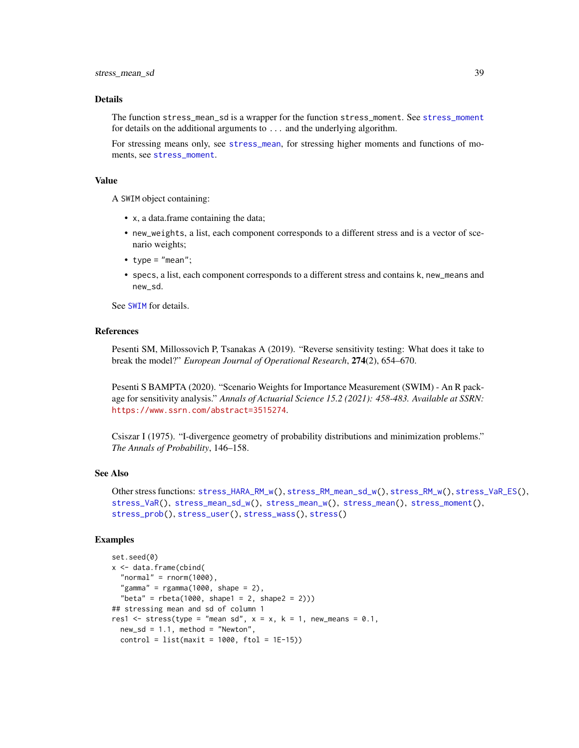#### <span id="page-38-0"></span>Details

The function stress\_mean\_sd is a wrapper for the function stress\_moment. See [stress\\_moment](#page-43-1) for details on the additional arguments to ... and the underlying algorithm.

For stressing means only, see [stress\\_mean](#page-35-1), for stressing higher moments and functions of moments, see [stress\\_moment](#page-43-1).

# Value

A SWIM object containing:

- x, a data.frame containing the data;
- new\_weights, a list, each component corresponds to a different stress and is a vector of scenario weights;
- type =  $"mean";$
- specs, a list, each component corresponds to a different stress and contains k, new\_means and new\_sd.

See [SWIM](#page-64-1) for details.

#### References

Pesenti SM, Millossovich P, Tsanakas A (2019). "Reverse sensitivity testing: What does it take to break the model?" *European Journal of Operational Research*, 274(2), 654–670.

Pesenti S BAMPTA (2020). "Scenario Weights for Importance Measurement (SWIM) - An R package for sensitivity analysis." *Annals of Actuarial Science 15.2 (2021): 458-483. Available at SSRN:* <https://www.ssrn.com/abstract=3515274>.

Csiszar I (1975). "I-divergence geometry of probability distributions and minimization problems." *The Annals of Probability*, 146–158.

#### See Also

```
Other stress functions: stress_HARA_RM_w(), stress_RM_mean_sd_w(), stress_RM_w(), stress_VaR_ES(),
stress_VaR(), stress_mean_sd_w(), stress_mean_w(), stress_mean(), stress_moment(),
stress_prob(), stress_user(), stress_wass(), stress()
```
#### Examples

```
set.seed(0)
x <- data.frame(cbind(
  "normal" = rnorm(1000),
  "gamma" = rgamma(1000, shape = 2),
  "beta" = rbeta(1000, shape1 = 2, shape2 = 2)))## stressing mean and sd of column 1
res1 \le stress(type = "mean sd", x = x, k = 1, new_means = 0.1,
 new\_sd = 1.1, method = "Newton",control = list(maxit = 1000, ftol = 1E-15)
```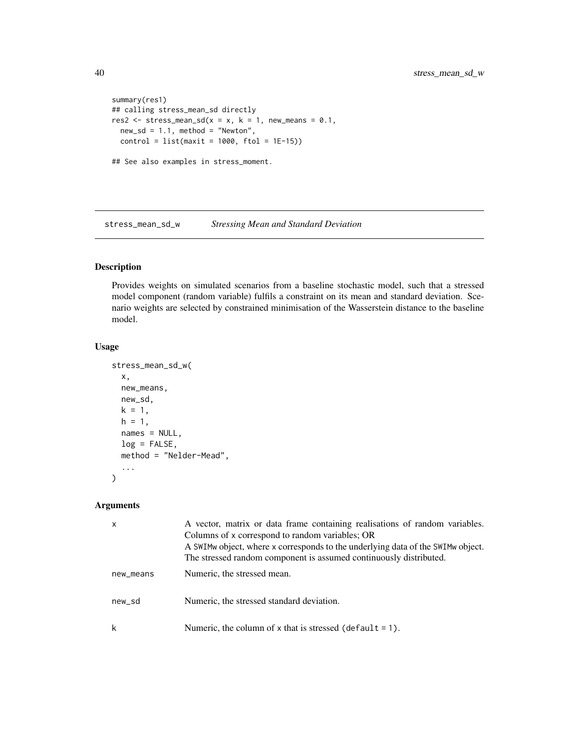```
summary(res1)
## calling stress_mean_sd directly
res2 \le stress_mean_sd(x = x, k = 1, new_means = 0.1,
 new\_sd = 1.1, method = "Newton",
  control = list(maxit = 1000, ftol = 1E-15)## See also examples in stress_moment.
```
<span id="page-39-1"></span>stress\_mean\_sd\_w *Stressing Mean and Standard Deviation*

# Description

Provides weights on simulated scenarios from a baseline stochastic model, such that a stressed model component (random variable) fulfils a constraint on its mean and standard deviation. Scenario weights are selected by constrained minimisation of the Wasserstein distance to the baseline model.

# Usage

```
stress_mean_sd_w(
  x,
  new_means,
  new_sd,
 k = 1,h = 1,
  names = NULL,
  log = FALSE,
  method = "Nelder-Mead",
  ...
)
```
#### Arguments

| $\mathsf{x}$ | A vector, matrix or data frame containing realisations of random variables.<br>Columns of x correspond to random variables; OR<br>A SWIM w object, where x corresponds to the underlying data of the SWIM w object.<br>The stressed random component is assumed continuously distributed. |
|--------------|-------------------------------------------------------------------------------------------------------------------------------------------------------------------------------------------------------------------------------------------------------------------------------------------|
| new_means    | Numeric, the stressed mean.                                                                                                                                                                                                                                                               |
| new_sd       | Numeric, the stressed standard deviation.                                                                                                                                                                                                                                                 |
| k            | Numeric, the column of x that is stressed (default = 1).                                                                                                                                                                                                                                  |

<span id="page-39-0"></span>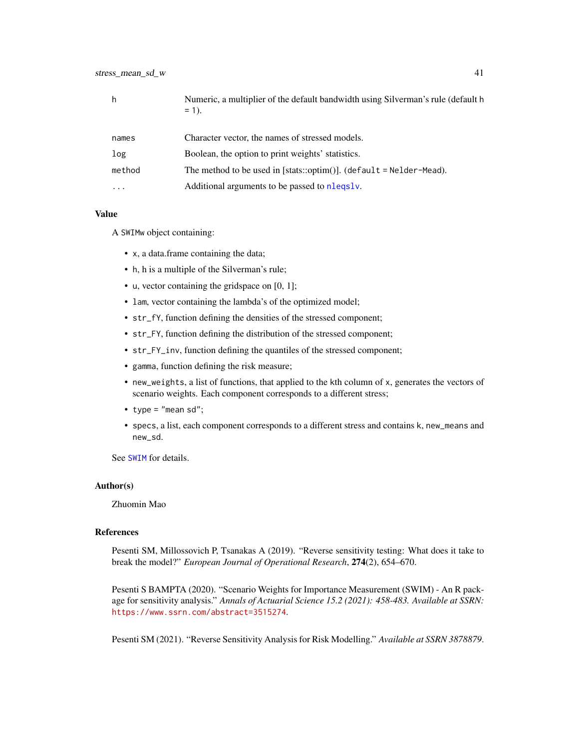<span id="page-40-0"></span>

|        | Numeric, a multiplier of the default bandwidth using Silverman's rule (default h<br>$= 1$ . |
|--------|---------------------------------------------------------------------------------------------|
| names  | Character vector, the names of stressed models.                                             |
| log    | Boolean, the option to print weights' statistics.                                           |
| method | The method to be used in [stats::optim()]. (default = $N$ elder-Mead).                      |
| .      | Additional arguments to be passed to nlegsly.                                               |

#### Value

A SWIMw object containing:

- x, a data.frame containing the data;
- h, h is a multiple of the Silverman's rule;
- u, vector containing the gridspace on [0, 1];
- lam, vector containing the lambda's of the optimized model;
- str\_fY, function defining the densities of the stressed component;
- str\_FY, function defining the distribution of the stressed component;
- str\_FY\_inv, function defining the quantiles of the stressed component;
- gamma, function defining the risk measure;
- new\_weights, a list of functions, that applied to the kth column of x, generates the vectors of scenario weights. Each component corresponds to a different stress;
- type = "mean sd";
- specs, a list, each component corresponds to a different stress and contains k, new\_means and new\_sd.

See [SWIM](#page-64-1) for details.

#### Author(s)

Zhuomin Mao

#### References

Pesenti SM, Millossovich P, Tsanakas A (2019). "Reverse sensitivity testing: What does it take to break the model?" *European Journal of Operational Research*, 274(2), 654–670.

Pesenti S BAMPTA (2020). "Scenario Weights for Importance Measurement (SWIM) - An R package for sensitivity analysis." *Annals of Actuarial Science 15.2 (2021): 458-483. Available at SSRN:* <https://www.ssrn.com/abstract=3515274>.

Pesenti SM (2021). "Reverse Sensitivity Analysis for Risk Modelling." *Available at SSRN 3878879*.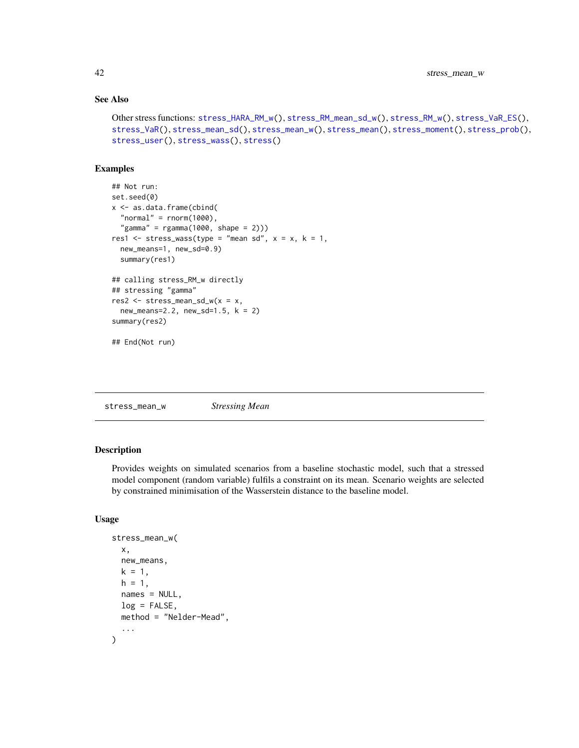# See Also

```
Other stress functions: stress_HARA_RM_w(), stress_RM_mean_sd_w(), stress_RM_w(), stress_VaR_ES(),
stress_VaR(), stress_mean_sd(), stress_mean_w(), stress_mean(), stress_moment(), stress_prob(),
stress_user(), stress_wass(), stress()
```
#### Examples

```
## Not run:
set.seed(0)
x <- as.data.frame(cbind(
 "normal" = rnorm(1000),
  "gamma" = rgamma(1000, shape = 2)))res1 <- stress_wass(type = "mean sd", x = x, k = 1,
 new_means=1, new_sd=0.9)
 summary(res1)
## calling stress_RM_w directly
## stressing "gamma"
res2 <- stress_mean_sd_w(x = x,
 new_means=2.2, new_sd=1.5, k = 2)
summary(res2)
## End(Not run)
```
<span id="page-41-1"></span>stress\_mean\_w *Stressing Mean*

# Description

Provides weights on simulated scenarios from a baseline stochastic model, such that a stressed model component (random variable) fulfils a constraint on its mean. Scenario weights are selected by constrained minimisation of the Wasserstein distance to the baseline model.

# Usage

```
stress_mean_w(
  x,
 new_means,
 k = 1,h = 1,
 names = NULL,
 log = FALSE,
 method = "Nelder-Mead",
  ...
)
```
<span id="page-41-0"></span>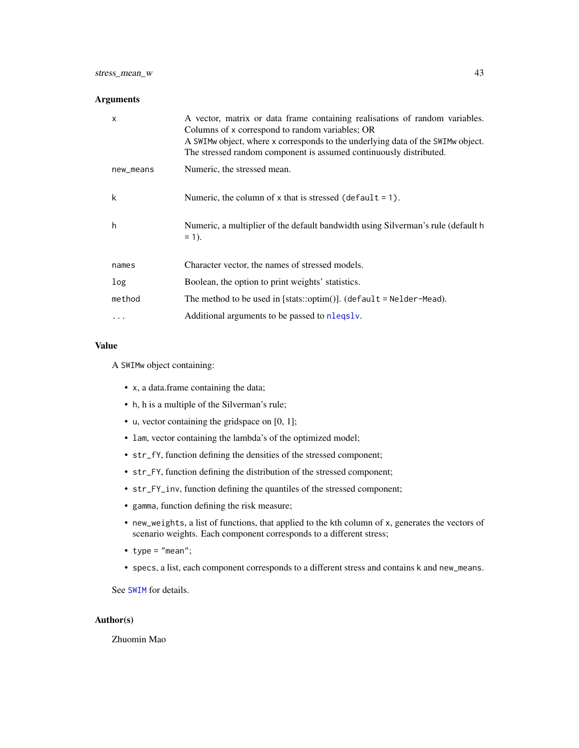# <span id="page-42-0"></span>stress\_mean\_w 43

# Arguments

| X         | A vector, matrix or data frame containing realisations of random variables.<br>Columns of x correspond to random variables; OR<br>A SWIMw object, where x corresponds to the underlying data of the SWIMw object.<br>The stressed random component is assumed continuously distributed. |
|-----------|-----------------------------------------------------------------------------------------------------------------------------------------------------------------------------------------------------------------------------------------------------------------------------------------|
| new_means | Numeric, the stressed mean.                                                                                                                                                                                                                                                             |
| k         | Numeric, the column of $x$ that is stressed (default = 1).                                                                                                                                                                                                                              |
| h         | Numeric, a multiplier of the default bandwidth using Silverman's rule (default h<br>$= 1$ .                                                                                                                                                                                             |
| names     | Character vector, the names of stressed models.                                                                                                                                                                                                                                         |
| log       | Boolean, the option to print weights' statistics.                                                                                                                                                                                                                                       |
| method    | The method to be used in [stats::optim()]. (default = $N$ elder-Mead).                                                                                                                                                                                                                  |
|           | Additional arguments to be passed to nlegsly.                                                                                                                                                                                                                                           |

# Value

A SWIMw object containing:

- x, a data.frame containing the data;
- h, h is a multiple of the Silverman's rule;
- u, vector containing the gridspace on [0, 1];
- lam, vector containing the lambda's of the optimized model;
- str\_fY, function defining the densities of the stressed component;
- str\_FY, function defining the distribution of the stressed component;
- str\_FY\_inv, function defining the quantiles of the stressed component;
- gamma, function defining the risk measure;
- new\_weights, a list of functions, that applied to the kth column of x, generates the vectors of scenario weights. Each component corresponds to a different stress;
- type =  $"mean";$
- specs, a list, each component corresponds to a different stress and contains k and new\_means.

See [SWIM](#page-64-1) for details.

# Author(s)

Zhuomin Mao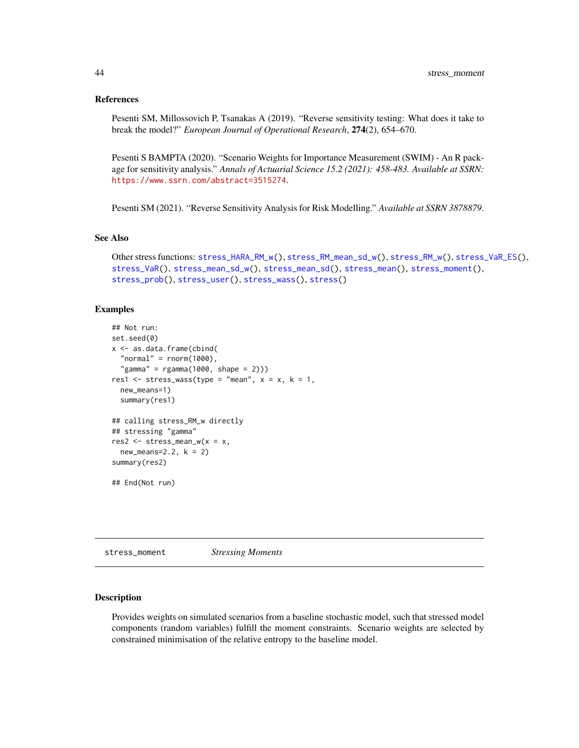#### <span id="page-43-0"></span>References

Pesenti SM, Millossovich P, Tsanakas A (2019). "Reverse sensitivity testing: What does it take to break the model?" *European Journal of Operational Research*, 274(2), 654–670.

Pesenti S BAMPTA (2020). "Scenario Weights for Importance Measurement (SWIM) - An R package for sensitivity analysis." *Annals of Actuarial Science 15.2 (2021): 458-483. Available at SSRN:* <https://www.ssrn.com/abstract=3515274>.

Pesenti SM (2021). "Reverse Sensitivity Analysis for Risk Modelling." *Available at SSRN 3878879*.

# See Also

```
Other stress functions: stress_HARA_RM_w(), stress_RM_mean_sd_w(), stress_RM_w(), stress_VaR_ES(),
stress_VaR(), stress_mean_sd_w(), stress_mean_sd(), stress_mean(), stress_moment(),
stress_prob(), stress_user(), stress_wass(), stress()
```
#### Examples

```
## Not run:
set.seed(0)
x <- as.data.frame(cbind(
  "normal" = r = r \cdot (1000),
  "gamma" = rgamma(1000, shape = 2)))res1 \le stress_wass(type = "mean", x = x, k = 1,
 new_means=1)
 summary(res1)
## calling stress_RM_w directly
## stressing "gamma"
res2 \leq stress_mean_w(x = x,new_means=2.2, k = 2)summary(res2)
## End(Not run)
```
<span id="page-43-1"></span>stress\_moment *Stressing Moments*

#### Description

Provides weights on simulated scenarios from a baseline stochastic model, such that stressed model components (random variables) fulfill the moment constraints. Scenario weights are selected by constrained minimisation of the relative entropy to the baseline model.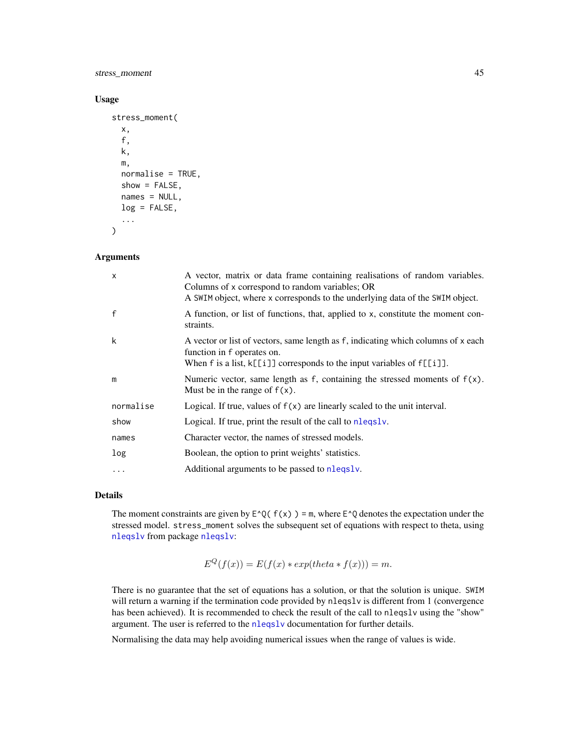<span id="page-44-0"></span>stress\_moment 45

#### Usage

```
stress_moment(
 x,
  f,
 k,
 m,
 normalise = TRUE,
  show = FALSE,names = NULL,log = FALSE,
  ...
)
```
# Arguments

| X         | A vector, matrix or data frame containing realisations of random variables.<br>Columns of x correspond to random variables; OR<br>A SWIM object, where x corresponds to the underlying data of the SWIM object. |
|-----------|-----------------------------------------------------------------------------------------------------------------------------------------------------------------------------------------------------------------|
| f         | A function, or list of functions, that, applied to x, constitute the moment con-<br>straints.                                                                                                                   |
| k         | A vector or list of vectors, same length as f, indicating which columns of x each<br>function in f operates on.<br>When f is a list, $k[[i]]$ corresponds to the input variables of $f[[i]]$ .                  |
| m         | Numeric vector, same length as f, containing the stressed moments of $f(x)$ .<br>Must be in the range of $f(x)$ .                                                                                               |
| normalise | Logical. If true, values of $f(x)$ are linearly scaled to the unit interval.                                                                                                                                    |
| show      | Logical. If true, print the result of the call to nlegsly.                                                                                                                                                      |
| names     | Character vector, the names of stressed models.                                                                                                                                                                 |
| log       | Boolean, the option to print weights' statistics.                                                                                                                                                               |
| .         | Additional arguments to be passed to nlegsly.                                                                                                                                                                   |

# Details

The moment constraints are given by  $E^{\wedge}Q(f(x)) = m$ , where  $E^{\wedge}Q$  denotes the expectation under the stressed model. stress\_moment solves the subsequent set of equations with respect to theta, using [nleqslv](#page-0-0) from package [nleqslv](#page-0-0):

$$
E^{Q}(f(x)) = E(f(x) * exp(theta * f(x))) = m.
$$

There is no guarantee that the set of equations has a solution, or that the solution is unique. SWIM will return a warning if the termination code provided by nleqslv is different from 1 (convergence has been achieved). It is recommended to check the result of the call to nleqslv using the "show" argument. The user is referred to the [nleqslv](#page-0-0) documentation for further details.

Normalising the data may help avoiding numerical issues when the range of values is wide.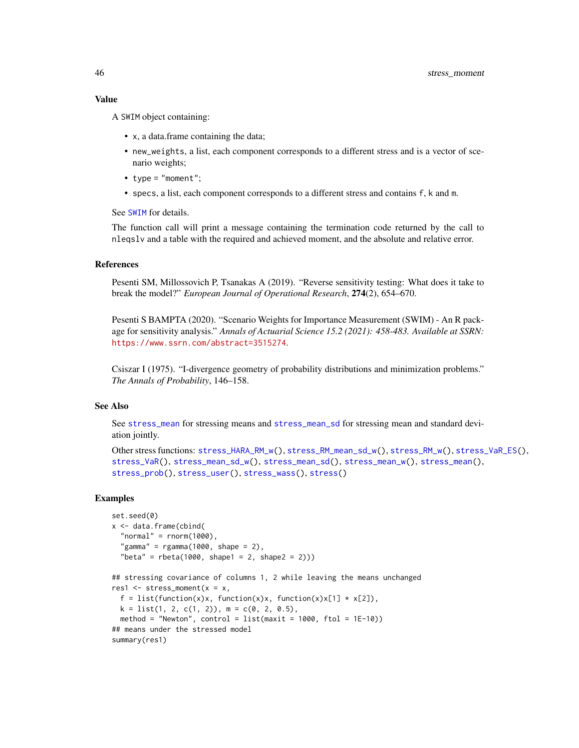<span id="page-45-0"></span>A SWIM object containing:

- x, a data.frame containing the data;
- new\_weights, a list, each component corresponds to a different stress and is a vector of scenario weights;
- type = "moment";
- specs, a list, each component corresponds to a different stress and contains f, k and m.

See [SWIM](#page-64-1) for details.

The function call will print a message containing the termination code returned by the call to nleqslv and a table with the required and achieved moment, and the absolute and relative error.

# References

Pesenti SM, Millossovich P, Tsanakas A (2019). "Reverse sensitivity testing: What does it take to break the model?" *European Journal of Operational Research*, 274(2), 654–670.

Pesenti S BAMPTA (2020). "Scenario Weights for Importance Measurement (SWIM) - An R package for sensitivity analysis." *Annals of Actuarial Science 15.2 (2021): 458-483. Available at SSRN:* <https://www.ssrn.com/abstract=3515274>.

Csiszar I (1975). "I-divergence geometry of probability distributions and minimization problems." *The Annals of Probability*, 146–158.

# See Also

See [stress\\_mean](#page-35-1) for stressing means and [stress\\_mean\\_sd](#page-37-1) for stressing mean and standard deviation jointly.

```
Other stress functions: stress_HARA_RM_w(), stress_RM_mean_sd_w(), stress_RM_w(), stress_VaR_ES(),
stress_VaR(), stress_mean_sd_w(), stress_mean_sd(), stress_mean_w(), stress_mean(),
stress_prob(), stress_user(), stress_wass(), stress()
```
#### Examples

```
set.seed(0)
x <- data.frame(cbind(
 "normal" = rnorm(1000),
  "gamma" = rgamma(1000, shape = 2),
  "beta" = rbeta(1000, shape1 = 2, shape2 = 2)))## stressing covariance of columns 1, 2 while leaving the means unchanged
res1 \leq stress_moment(x = x,
 f = list(function(x)x, function(x)x, function(x)x[1] * x[2]),k = list(1, 2, c(1, 2)), m = c(0, 2, 0.5),method = "Newton", control = list(maxit = 1000, ftol = 1E-10))
## means under the stressed model
summary(res1)
```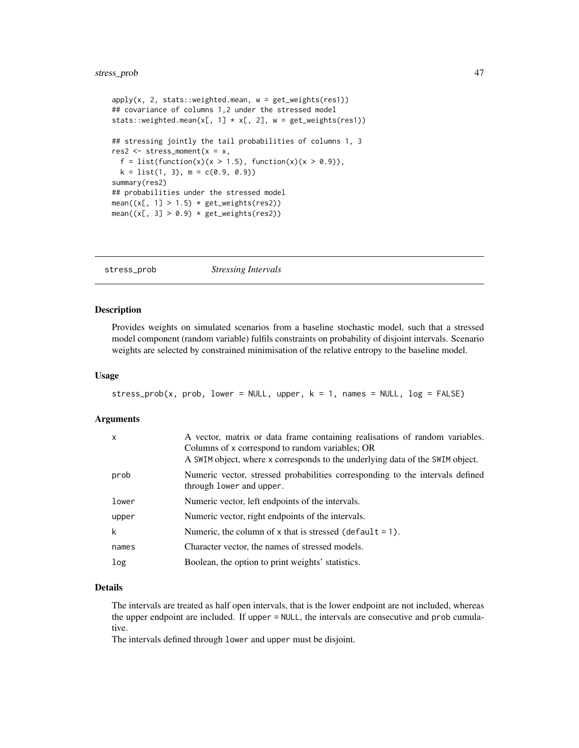```
apply(x, 2, stats::weighted-mean, w = get\_weights(res1))## covariance of columns 1,2 under the stressed model
stats::weighted.mean(x[, 1] * x[, 2], w = get_weights(res1))
## stressing jointly the tail probabilities of columns 1, 3
res2 \leq - stress_moment(x = x,f = list(function(x)(x > 1.5), function(x)(x > 0.9)),k = list(1, 3), m = c(0.9, 0.9)summary(res2)
## probabilities under the stressed model
mean((x[, 1] > 1.5) * get_weights(res2))
mean((x[, 3] > 0.9) * get\_weights(res2))
```
<span id="page-46-1"></span>stress\_prob *Stressing Intervals*

#### Description

Provides weights on simulated scenarios from a baseline stochastic model, such that a stressed model component (random variable) fulfils constraints on probability of disjoint intervals. Scenario weights are selected by constrained minimisation of the relative entropy to the baseline model.

#### Usage

```
stress_prob(x, prob, lower = NULL, upper, k = 1, names = NULL, log = FALSE)
```
#### Arguments

| X     | A vector, matrix or data frame containing realisations of random variables.<br>Columns of x correspond to random variables; OR<br>A SWIM object, where x corresponds to the underlying data of the SWIM object. |
|-------|-----------------------------------------------------------------------------------------------------------------------------------------------------------------------------------------------------------------|
| prob  | Numeric vector, stressed probabilities corresponding to the intervals defined<br>through lower and upper.                                                                                                       |
| lower | Numeric vector, left endpoints of the intervals.                                                                                                                                                                |
| upper | Numeric vector, right endpoints of the intervals.                                                                                                                                                               |
| k     | Numeric, the column of $x$ that is stressed (default = 1).                                                                                                                                                      |
| names | Character vector, the names of stressed models.                                                                                                                                                                 |
| log   | Boolean, the option to print weights' statistics.                                                                                                                                                               |

# Details

The intervals are treated as half open intervals, that is the lower endpoint are not included, whereas the upper endpoint are included. If upper = NULL, the intervals are consecutive and prob cumulative.

The intervals defined through lower and upper must be disjoint.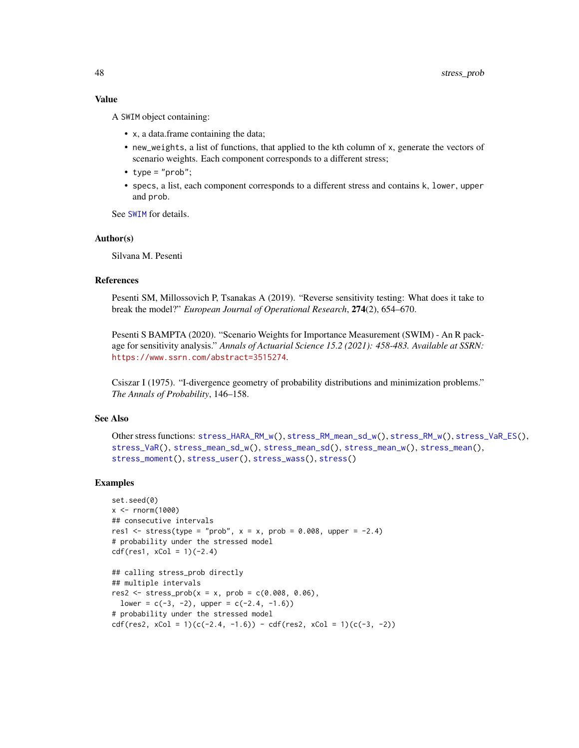#### Value

A SWIM object containing:

- x, a data.frame containing the data;
- new\_weights, a list of functions, that applied to the kth column of x, generate the vectors of scenario weights. Each component corresponds to a different stress;
- $type = "prob":$
- specs, a list, each component corresponds to a different stress and contains k, lower, upper and prob.

See [SWIM](#page-64-1) for details.

#### Author(s)

Silvana M. Pesenti

#### References

Pesenti SM, Millossovich P, Tsanakas A (2019). "Reverse sensitivity testing: What does it take to break the model?" *European Journal of Operational Research*, 274(2), 654–670.

Pesenti S BAMPTA (2020). "Scenario Weights for Importance Measurement (SWIM) - An R package for sensitivity analysis." *Annals of Actuarial Science 15.2 (2021): 458-483. Available at SSRN:* <https://www.ssrn.com/abstract=3515274>.

Csiszar I (1975). "I-divergence geometry of probability distributions and minimization problems." *The Annals of Probability*, 146–158.

#### See Also

```
Other stress functions: stress_HARA_RM_w(), stress_RM_mean_sd_w(), stress_RM_w(), stress_VaR_ES(),
stress_VaR(), stress_mean_sd_w(), stress_mean_sd(), stress_mean_w(), stress_mean(),
stress_moment(), stress_user(), stress_wass(), stress()
```
#### Examples

```
set.seed(0)
x < - rnorm(1000)
## consecutive intervals
res1 <- stress(type = "prob", x = x, prob = 0.008, upper = -2.4)
# probability under the stressed model
cdf(res1, xCol = 1)(-2.4)
```

```
## calling stress_prob directly
## multiple intervals
res2 \leq stress\_prob(x = x, prob = c(0.008, 0.06),lower = c(-3, -2), upper = c(-2.4, -1.6)# probability under the stressed model
cdf(res2, xCol = 1)(c(-2.4, -1.6)) - cdf(res2, xCol = 1)(c(-3, -2))
```
<span id="page-47-0"></span>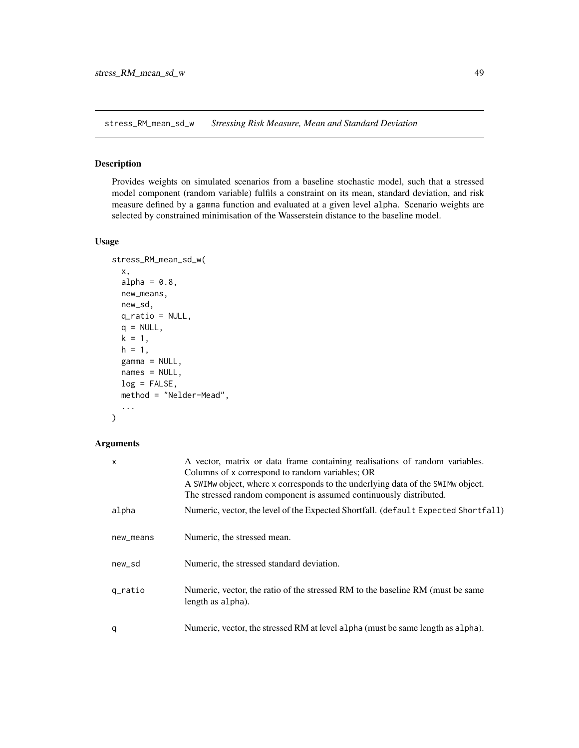<span id="page-48-1"></span><span id="page-48-0"></span>stress\_RM\_mean\_sd\_w *Stressing Risk Measure, Mean and Standard Deviation*

#### Description

Provides weights on simulated scenarios from a baseline stochastic model, such that a stressed model component (random variable) fulfils a constraint on its mean, standard deviation, and risk measure defined by a gamma function and evaluated at a given level alpha. Scenario weights are selected by constrained minimisation of the Wasserstein distance to the baseline model.

#### Usage

```
stress_RM_mean_sd_w(
  x,
  alpha = 0.8,
 new_means,
 new_sd,
 q_ratio = NULL,
 q = NULL,k = 1,h = 1,
 gamma = NULL,names = NULL,
 log = FALSE,
 method = "Nelder-Mead",
  ...
\mathcal{E}
```
#### Arguments

| $\mathsf{x}$ | A vector, matrix or data frame containing realisations of random variables.<br>Columns of x correspond to random variables; OR<br>A SWIMw object, where x corresponds to the underlying data of the SWIMw object.<br>The stressed random component is assumed continuously distributed. |
|--------------|-----------------------------------------------------------------------------------------------------------------------------------------------------------------------------------------------------------------------------------------------------------------------------------------|
| alpha        | Numeric, vector, the level of the Expected Shortfall. (default Expected Shortfall)                                                                                                                                                                                                      |
| new_means    | Numeric, the stressed mean.                                                                                                                                                                                                                                                             |
| new_sd       | Numeric, the stressed standard deviation.                                                                                                                                                                                                                                               |
| q_ratio      | Numeric, vector, the ratio of the stressed RM to the baseline RM (must be same<br>length as alpha).                                                                                                                                                                                     |
| q            | Numeric, vector, the stressed RM at level alpha (must be same length as alpha).                                                                                                                                                                                                         |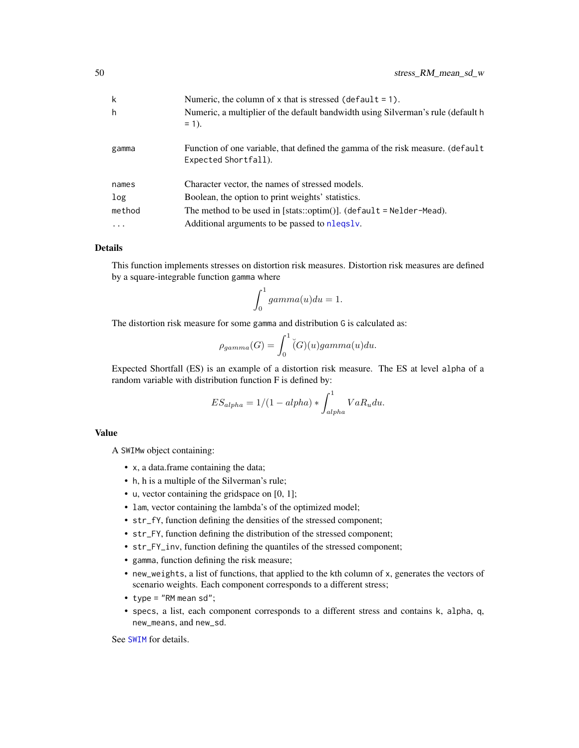<span id="page-49-0"></span>

| k         | Numeric, the column of $x$ that is stressed (default = 1).                                             |
|-----------|--------------------------------------------------------------------------------------------------------|
| h         | Numeric, a multiplier of the default bandwidth using Silverman's rule (default h<br>$= 1$ .            |
| gamma     | Function of one variable, that defined the gamma of the risk measure. (default<br>Expected Shortfall). |
| names     | Character vector, the names of stressed models.                                                        |
| log       | Boolean, the option to print weights' statistics.                                                      |
| method    | The method to be used in [stats::optim()]. (default = $N$ elder-Mead).                                 |
| $\ddotsc$ | Additional arguments to be passed to nlegsly.                                                          |

# **Details**

This function implements stresses on distortion risk measures. Distortion risk measures are defined by a square-integrable function gamma where

$$
\int_0^1 gamma(u) du = 1.
$$

The distortion risk measure for some gamma and distribution G is calculated as:

$$
\rho_{gamma}(G) = \int_0^1 \check{(G)}(u) gamma(u) du.
$$

Expected Shortfall (ES) is an example of a distortion risk measure. The ES at level alpha of a random variable with distribution function F is defined by:

$$
ES_{alpha} = 1/(1 - alpha) * \int_{alpha}^{1} VaR_u du.
$$

#### Value

A SWIMw object containing:

- x, a data.frame containing the data;
- h, h is a multiple of the Silverman's rule;
- u, vector containing the gridspace on [0, 1];
- lam, vector containing the lambda's of the optimized model;
- str\_fY, function defining the densities of the stressed component;
- str\_FY, function defining the distribution of the stressed component;
- str\_FY\_inv, function defining the quantiles of the stressed component;
- gamma, function defining the risk measure;
- new\_weights, a list of functions, that applied to the kth column of x, generates the vectors of scenario weights. Each component corresponds to a different stress;
- type = "RM mean sd";
- specs, a list, each component corresponds to a different stress and contains k, alpha, q, new\_means, and new\_sd.

See [SWIM](#page-64-1) for details.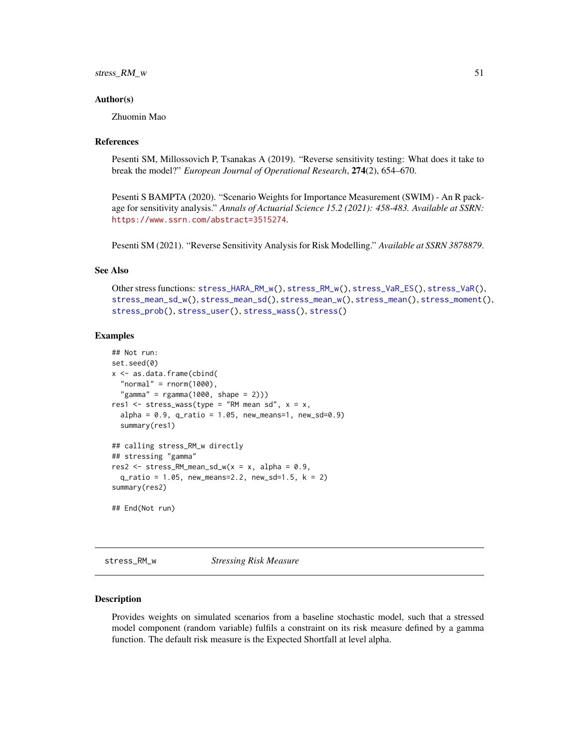#### <span id="page-50-0"></span>stress\_RM\_w 51

#### Author(s)

Zhuomin Mao

#### References

Pesenti SM, Millossovich P, Tsanakas A (2019). "Reverse sensitivity testing: What does it take to break the model?" *European Journal of Operational Research*, 274(2), 654–670.

Pesenti S BAMPTA (2020). "Scenario Weights for Importance Measurement (SWIM) - An R package for sensitivity analysis." *Annals of Actuarial Science 15.2 (2021): 458-483. Available at SSRN:* <https://www.ssrn.com/abstract=3515274>.

Pesenti SM (2021). "Reverse Sensitivity Analysis for Risk Modelling." *Available at SSRN 3878879*.

# See Also

```
Other stress functions: stress_HARA_RM_w(), stress_RM_w(), stress_VaR_ES(), stress_VaR(),
stress_mean_sd_w(), stress_mean_sd(), stress_mean_w(), stress_mean(), stress_moment(),
stress_prob(), stress_user(), stress_wass(), stress()
```
#### Examples

```
## Not run:
set.seed(0)
x <- as.data.frame(cbind(
  "normal" = rnorm(1000),
  "gamma" = rgamma(1000, shape = 2)))res1 <- stress_wass(type = "RM mean sd", x = x,
 alpha = 0.9, q_{ratio} = 1.05, new_{means=1}, new_s d = 0.9summary(res1)
## calling stress_RM_w directly
## stressing "gamma"
res2 <- stress_RM_mean_sd_w(x = x, alpha = 0.9,
 q<sub>ratio</sub> = 1.05, new_means=2.2, new_sd=1.5, k = 2)
summary(res2)
## End(Not run)
```
<span id="page-50-1"></span>stress\_RM\_w *Stressing Risk Measure*

#### Description

Provides weights on simulated scenarios from a baseline stochastic model, such that a stressed model component (random variable) fulfils a constraint on its risk measure defined by a gamma function. The default risk measure is the Expected Shortfall at level alpha.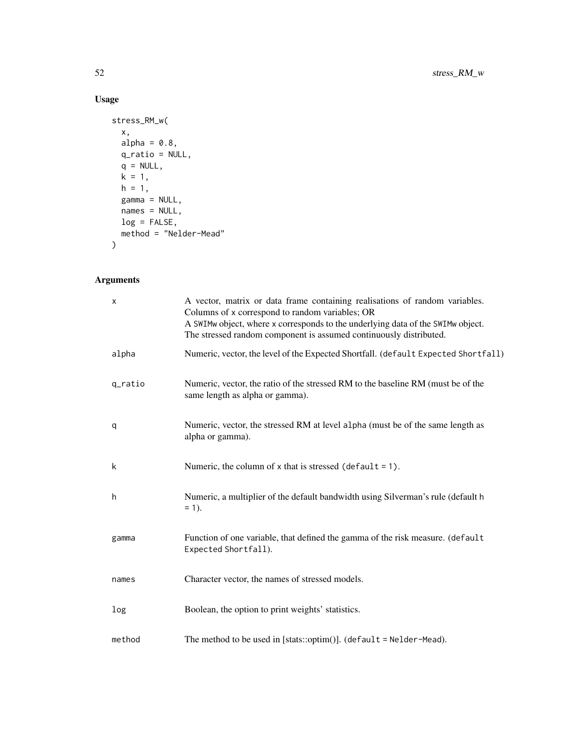# Usage

```
stress_RM_w(
 x,
 alpha = 0.8,
 q_ratio = NULL,
 q = NULL,k = 1,h = 1,gamma = NULL,names = NULL,
 log = FALSE,
 method = "Nelder-Mead"
)
```
# Arguments

| $\times$ | A vector, matrix or data frame containing realisations of random variables.<br>Columns of x correspond to random variables; OR<br>A SWIMw object, where x corresponds to the underlying data of the SWIMw object.<br>The stressed random component is assumed continuously distributed. |
|----------|-----------------------------------------------------------------------------------------------------------------------------------------------------------------------------------------------------------------------------------------------------------------------------------------|
| alpha    | Numeric, vector, the level of the Expected Shortfall. (default Expected Shortfall)                                                                                                                                                                                                      |
| q_ratio  | Numeric, vector, the ratio of the stressed RM to the baseline RM (must be of the<br>same length as alpha or gamma).                                                                                                                                                                     |
| q        | Numeric, vector, the stressed RM at level alpha (must be of the same length as<br>alpha or gamma).                                                                                                                                                                                      |
| k        | Numeric, the column of $x$ that is stressed (default = 1).                                                                                                                                                                                                                              |
| h        | Numeric, a multiplier of the default bandwidth using Silverman's rule (default h<br>$= 1$ ).                                                                                                                                                                                            |
| gamma    | Function of one variable, that defined the gamma of the risk measure. (default<br>Expected Shortfall).                                                                                                                                                                                  |
| names    | Character vector, the names of stressed models.                                                                                                                                                                                                                                         |
| log      | Boolean, the option to print weights' statistics.                                                                                                                                                                                                                                       |
| method   | The method to be used in [stats::optim()]. (default = $N$ elder-Mead).                                                                                                                                                                                                                  |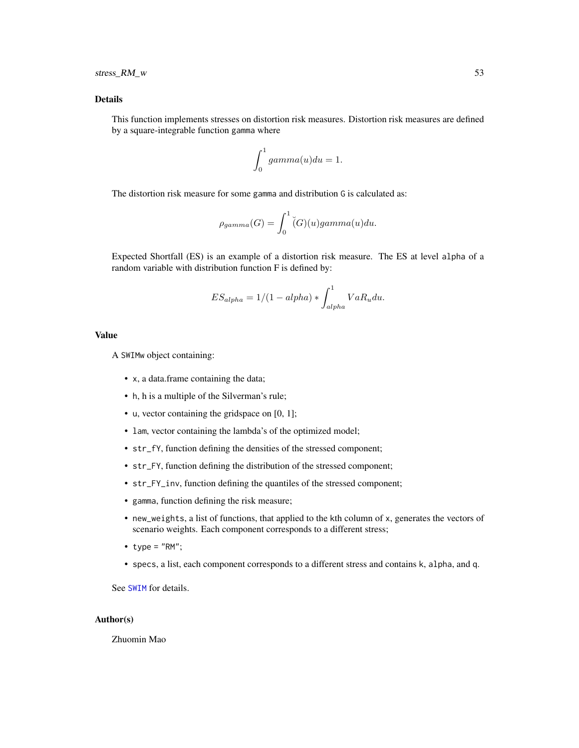#### <span id="page-52-0"></span>Details

This function implements stresses on distortion risk measures. Distortion risk measures are defined by a square-integrable function gamma where

$$
\int_0^1 gamma(u)du = 1.
$$

The distortion risk measure for some gamma and distribution G is calculated as:

$$
\rho_{gamma}(G) = \int_0^1 \check{(G)}(u) gamma(u) du.
$$

Expected Shortfall (ES) is an example of a distortion risk measure. The ES at level alpha of a random variable with distribution function F is defined by:

$$
ES_{alpha} = 1/(1 - alpha) * \int_{alpha}^{1} VaR_u du.
$$

#### Value

A SWIMw object containing:

- x, a data.frame containing the data;
- h, h is a multiple of the Silverman's rule;
- u, vector containing the gridspace on [0, 1];
- lam, vector containing the lambda's of the optimized model;
- str\_fY, function defining the densities of the stressed component;
- str\_FY, function defining the distribution of the stressed component;
- str\_FY\_inv, function defining the quantiles of the stressed component;
- gamma, function defining the risk measure;
- new\_weights, a list of functions, that applied to the kth column of x, generates the vectors of scenario weights. Each component corresponds to a different stress;
- type =  $"RM":$
- specs, a list, each component corresponds to a different stress and contains k, alpha, and q.

See [SWIM](#page-64-1) for details.

# Author(s)

Zhuomin Mao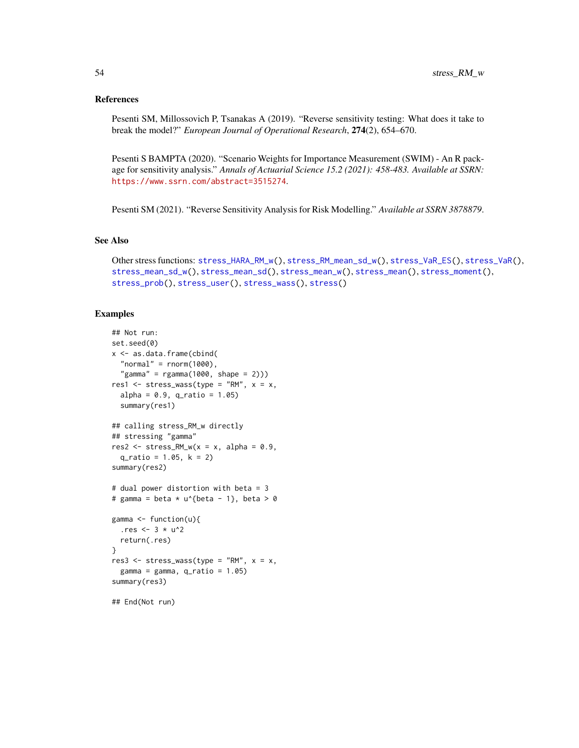#### <span id="page-53-0"></span>References

Pesenti SM, Millossovich P, Tsanakas A (2019). "Reverse sensitivity testing: What does it take to break the model?" *European Journal of Operational Research*, 274(2), 654–670.

Pesenti S BAMPTA (2020). "Scenario Weights for Importance Measurement (SWIM) - An R package for sensitivity analysis." *Annals of Actuarial Science 15.2 (2021): 458-483. Available at SSRN:* <https://www.ssrn.com/abstract=3515274>.

Pesenti SM (2021). "Reverse Sensitivity Analysis for Risk Modelling." *Available at SSRN 3878879*.

#### See Also

```
Other stress functions: stress_HARA_RM_w(), stress_RM_mean_sd_w(), stress_VaR_ES(), stress_VaR(),
stress_mean_sd_w(), stress_mean_sd(), stress_mean_w(), stress_mean(), stress_moment(),
stress_prob(), stress_user(), stress_wass(), stress()
```
#### Examples

```
## Not run:
set.seed(0)
x <- as.data.frame(cbind(
  "normal" = rnorm(1000),
  "gamma" = rgamma(1000, shape = 2)))res1 \le stress_wass(type = "RM", x = x,
  alpha = 0.9, q_{ratio} = 1.05)summary(res1)
## calling stress_RM_w directly
## stressing "gamma"
res2 \leq stress_RM_w(x = x, alpha = 0.9,q_ratio = 1.05, k = 2)
summary(res2)
# dual power distortion with beta = 3
# gamma = beta * u^{beta - 1}, beta > 0
gamma <- function(u){
  .res <-3 * u^2return(.res)
}
res3 <- stress_wass(type = "RM", x = x,
  gamma = gamma, q-ratio = 1.05)
summary(res3)
## End(Not run)
```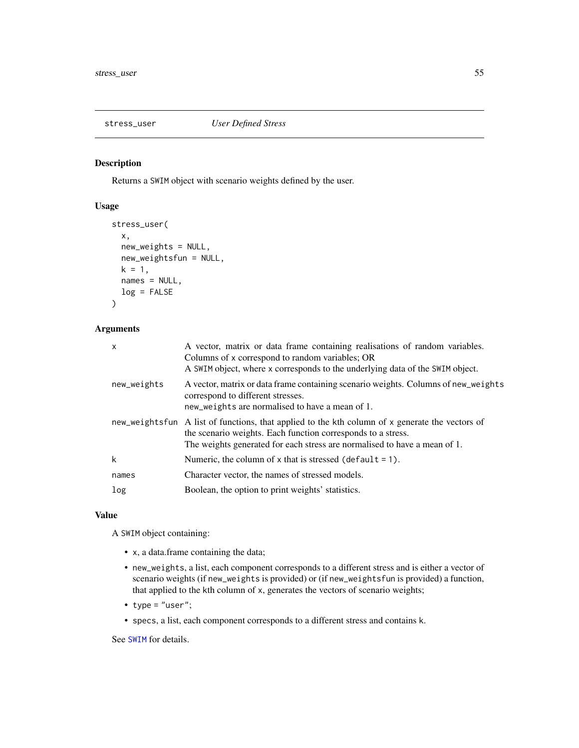<span id="page-54-1"></span><span id="page-54-0"></span>

Returns a SWIM object with scenario weights defined by the user.

# Usage

```
stress_user(
  x,
  new_weights = NULL,
  new_weightsfun = NULL,
  k = 1,
 names = NULL,
  log = FALSE\mathcal{L}
```
# Arguments

| X           | A vector, matrix or data frame containing realisations of random variables.<br>Columns of x correspond to random variables; OR<br>A SWIM object, where x corresponds to the underlying data of the SWIM object.                              |
|-------------|----------------------------------------------------------------------------------------------------------------------------------------------------------------------------------------------------------------------------------------------|
| new_weights | A vector, matrix or data frame containing scenario weights. Columns of new_weights<br>correspond to different stresses.<br>new_weights are normalised to have a mean of 1.                                                                   |
|             | new_weightsfun A list of functions, that applied to the kth column of x generate the vectors of<br>the scenario weights. Each function corresponds to a stress.<br>The weights generated for each stress are normalised to have a mean of 1. |
| k           | Numeric, the column of x that is stressed (default = 1).                                                                                                                                                                                     |
| names       | Character vector, the names of stressed models.                                                                                                                                                                                              |
| log         | Boolean, the option to print weights' statistics.                                                                                                                                                                                            |

#### Value

A SWIM object containing:

- x, a data.frame containing the data;
- new\_weights, a list, each component corresponds to a different stress and is either a vector of scenario weights (if new\_weights is provided) or (if new\_weightsfun is provided) a function, that applied to the kth column of x, generates the vectors of scenario weights;
- type = "user";
- specs, a list, each component corresponds to a different stress and contains k.

See [SWIM](#page-64-1) for details.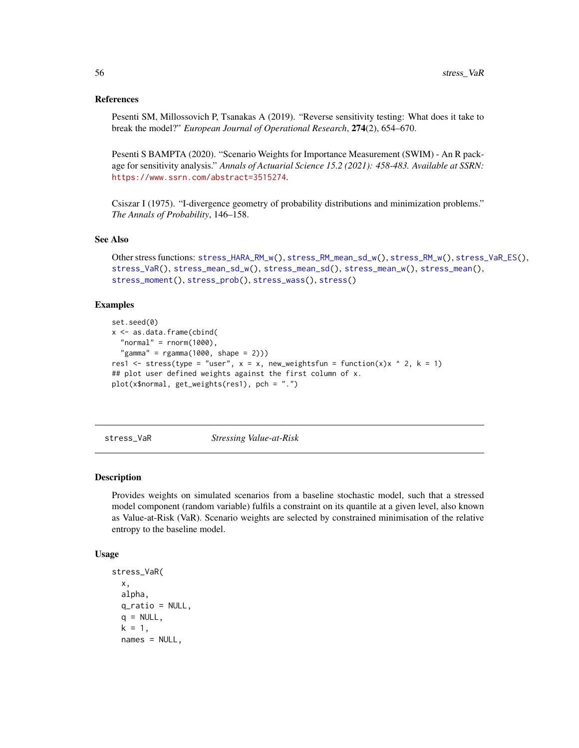#### <span id="page-55-0"></span>References

Pesenti SM, Millossovich P, Tsanakas A (2019). "Reverse sensitivity testing: What does it take to break the model?" *European Journal of Operational Research*, 274(2), 654–670.

Pesenti S BAMPTA (2020). "Scenario Weights for Importance Measurement (SWIM) - An R package for sensitivity analysis." *Annals of Actuarial Science 15.2 (2021): 458-483. Available at SSRN:* <https://www.ssrn.com/abstract=3515274>.

Csiszar I (1975). "I-divergence geometry of probability distributions and minimization problems." *The Annals of Probability*, 146–158.

#### See Also

```
Other stress functions: stress_HARA_RM_w(), stress_RM_mean_sd_w(), stress_RM_w(), stress_VaR_ES(),
stress_VaR(), stress_mean_sd_w(), stress_mean_sd(), stress_mean_w(), stress_mean(),
stress_moment(), stress_prob(), stress_wass(), stress()
```
#### Examples

```
set.seed(0)
x <- as.data.frame(cbind(
  "normal" = rnorm(1000),
  "gamma" = rgamma(1000, shape = 2)))res1 <- stress(type = "user", x = x, new_weightsfun = function(x)x ^ 2, k = 1)
## plot user defined weights against the first column of x.
plot(x$normal, get_weights(res1), pch = ".")
```
<span id="page-55-1"></span>stress\_VaR *Stressing Value-at-Risk*

#### Description

Provides weights on simulated scenarios from a baseline stochastic model, such that a stressed model component (random variable) fulfils a constraint on its quantile at a given level, also known as Value-at-Risk (VaR). Scenario weights are selected by constrained minimisation of the relative entropy to the baseline model.

#### Usage

```
stress_VaR(
  x,
  alpha,
  q<sub>ratio</sub> = NULL,
  q = NULL,k = 1,
  names = NULL,
```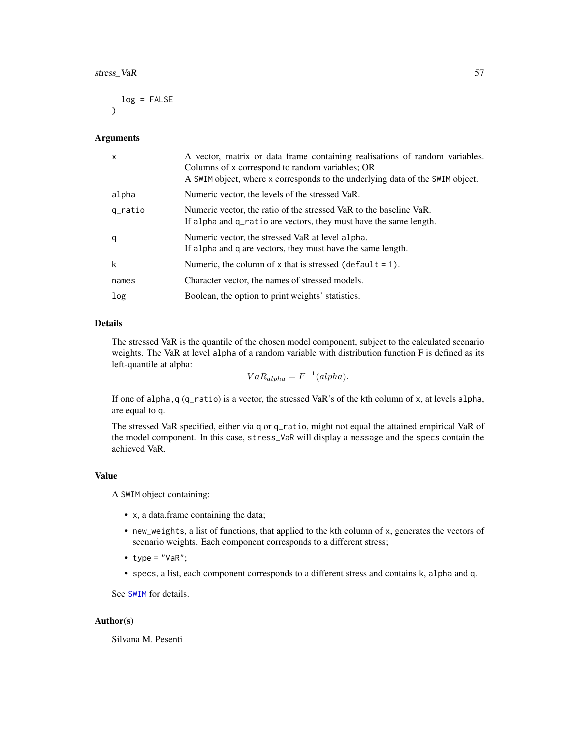<span id="page-56-0"></span>
$$
\log = \text{FALSE}
$$

#### Arguments

| $\mathsf{x}$ | A vector, matrix or data frame containing realisations of random variables.<br>Columns of x correspond to random variables; OR<br>A SWIM object, where x corresponds to the underlying data of the SWIM object. |
|--------------|-----------------------------------------------------------------------------------------------------------------------------------------------------------------------------------------------------------------|
| alpha        | Numeric vector, the levels of the stressed VaR.                                                                                                                                                                 |
| q_ratio      | Numeric vector, the ratio of the stressed VaR to the baseline VaR.<br>If alpha and q_ratio are vectors, they must have the same length.                                                                         |
| q            | Numeric vector, the stressed VaR at level alpha.<br>If alpha and q are vectors, they must have the same length.                                                                                                 |
| k            | Numeric, the column of x that is stressed (default $= 1$ ).                                                                                                                                                     |
| names        | Character vector, the names of stressed models.                                                                                                                                                                 |
| log          | Boolean, the option to print weights' statistics.                                                                                                                                                               |

# Details

The stressed VaR is the quantile of the chosen model component, subject to the calculated scenario weights. The VaR at level alpha of a random variable with distribution function F is defined as its left-quantile at alpha:

 $VaR_{alpha} = F^{-1}(alpha).$ 

If one of alpha,q (q\_ratio) is a vector, the stressed VaR's of the kth column of x, at levels alpha, are equal to q.

The stressed VaR specified, either via q or q\_ratio, might not equal the attained empirical VaR of the model component. In this case, stress\_VaR will display a message and the specs contain the achieved VaR.

#### Value

A SWIM object containing:

- x, a data.frame containing the data;
- new\_weights, a list of functions, that applied to the kth column of x, generates the vectors of scenario weights. Each component corresponds to a different stress;
- type =  $"VaR"$ ;
- specs, a list, each component corresponds to a different stress and contains k, alpha and q.

See [SWIM](#page-64-1) for details.

#### Author(s)

Silvana M. Pesenti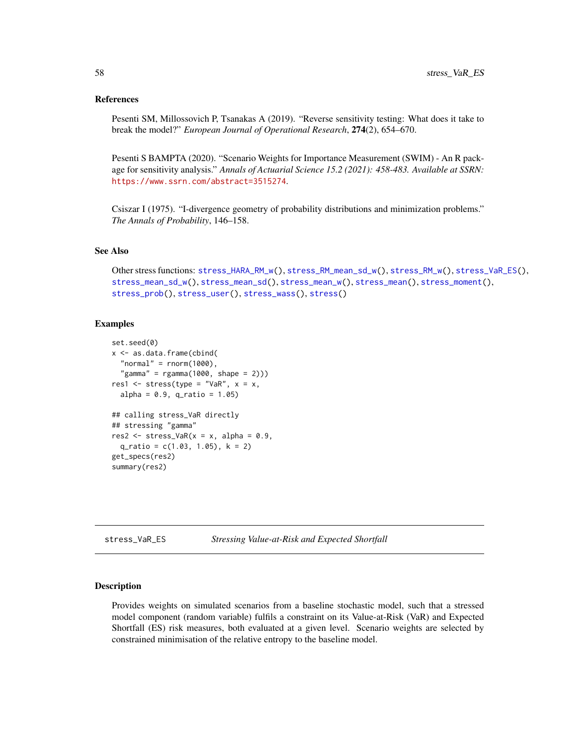#### <span id="page-57-0"></span>References

Pesenti SM, Millossovich P, Tsanakas A (2019). "Reverse sensitivity testing: What does it take to break the model?" *European Journal of Operational Research*, 274(2), 654–670.

Pesenti S BAMPTA (2020). "Scenario Weights for Importance Measurement (SWIM) - An R package for sensitivity analysis." *Annals of Actuarial Science 15.2 (2021): 458-483. Available at SSRN:* <https://www.ssrn.com/abstract=3515274>.

Csiszar I (1975). "I-divergence geometry of probability distributions and minimization problems." *The Annals of Probability*, 146–158.

#### See Also

Other stress functions: [stress\\_HARA\\_RM\\_w\(](#page-32-1)), [stress\\_RM\\_mean\\_sd\\_w\(](#page-48-1)), [stress\\_RM\\_w\(](#page-50-1)), [stress\\_VaR\\_ES\(](#page-57-1)), [stress\\_mean\\_sd\\_w\(](#page-39-1)), [stress\\_mean\\_sd\(](#page-37-1)), [stress\\_mean\\_w\(](#page-41-1)), [stress\\_mean\(](#page-35-1)), [stress\\_moment\(](#page-43-1)), [stress\\_prob\(](#page-46-1)), [stress\\_user\(](#page-54-1)), [stress\\_wass\(](#page-60-1)), [stress\(](#page-31-1))

#### Examples

```
set.seed(0)
x <- as.data.frame(cbind(
  "normal" = rnorm(1000),
  "gamma" = rgamma(1000, shape = 2)))res1 <- stress(type = "VaR", x = x,
 alpha = 0.9, q_{ratio} = 1.05)## calling stress_VaR directly
## stressing "gamma"
res2 \le stress_VaR(x = x, alpha = 0.9,
 q_ratio = c(1.03, 1.05), k = 2)
get_specs(res2)
summary(res2)
```
<span id="page-57-1"></span>stress\_VaR\_ES *Stressing Value-at-Risk and Expected Shortfall*

# Description

Provides weights on simulated scenarios from a baseline stochastic model, such that a stressed model component (random variable) fulfils a constraint on its Value-at-Risk (VaR) and Expected Shortfall (ES) risk measures, both evaluated at a given level. Scenario weights are selected by constrained minimisation of the relative entropy to the baseline model.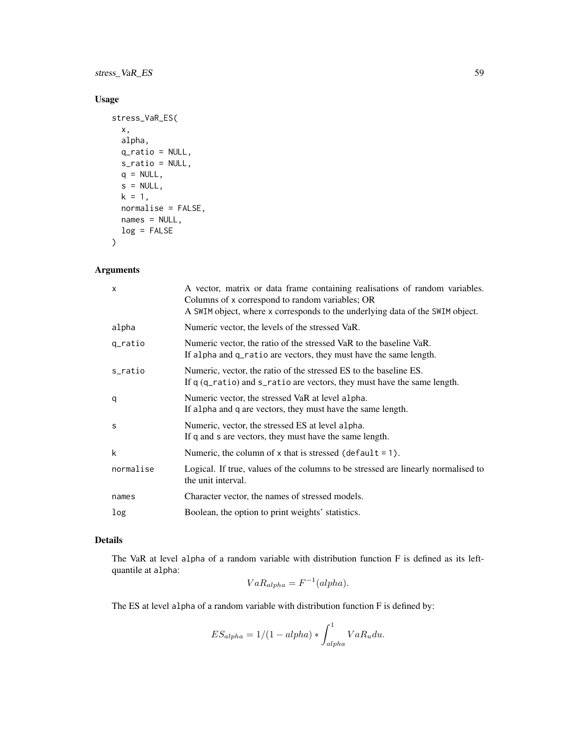stress\_VaR\_ES 59

# Usage

```
stress_VaR_ES(
 x,
 alpha,
 q_ratio = NULL,
 s_ratio = NULL,
 q = NULL,s = NULL,k = 1,normalise = FALSE,
 names = NULL,
 log = FALSE
\mathcal{L}
```
# Arguments

| X         | A vector, matrix or data frame containing realisations of random variables.<br>Columns of x correspond to random variables; OR<br>A SWIM object, where x corresponds to the underlying data of the SWIM object. |
|-----------|-----------------------------------------------------------------------------------------------------------------------------------------------------------------------------------------------------------------|
| alpha     | Numeric vector, the levels of the stressed VaR.                                                                                                                                                                 |
| q_ratio   | Numeric vector, the ratio of the stressed VaR to the baseline VaR.<br>If alpha and q_ratio are vectors, they must have the same length.                                                                         |
| s_ratio   | Numeric, vector, the ratio of the stressed ES to the baseline ES.<br>If $q$ ( $q$ -ratio) and $s$ -ratio are vectors, they must have the same length.                                                           |
| q         | Numeric vector, the stressed VaR at level alpha.<br>If alpha and q are vectors, they must have the same length.                                                                                                 |
| S         | Numeric, vector, the stressed ES at level alpha.<br>If q and s are vectors, they must have the same length.                                                                                                     |
| k         | Numeric, the column of $x$ that is stressed (default = 1).                                                                                                                                                      |
| normalise | Logical. If true, values of the columns to be stressed are linearly normalised to<br>the unit interval.                                                                                                         |
| names     | Character vector, the names of stressed models.                                                                                                                                                                 |
| log       | Boolean, the option to print weights' statistics.                                                                                                                                                               |

# Details

The VaR at level alpha of a random variable with distribution function F is defined as its leftquantile at alpha:

$$
VaR_{alpha} = F^{-1}(alpha).
$$

The ES at level alpha of a random variable with distribution function F is defined by:

$$
ES_{alpha} = 1/(1 - alpha) * \int_{alpha}^{1} VaR_u du.
$$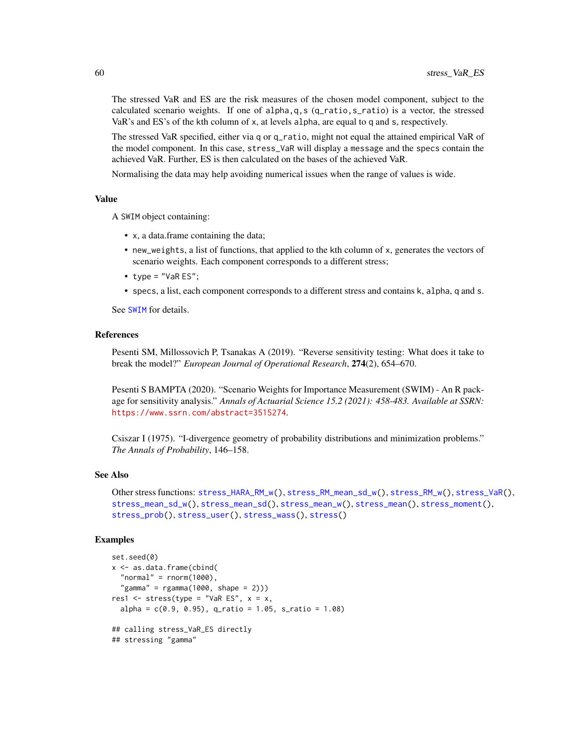The stressed VaR and ES are the risk measures of the chosen model component, subject to the calculated scenario weights. If one of alpha,q,s (q\_ratio,s\_ratio) is a vector, the stressed VaR's and ES's of the kth column of x, at levels alpha, are equal to q and s, respectively.

The stressed VaR specified, either via q or q\_ratio, might not equal the attained empirical VaR of the model component. In this case, stress\_VaR will display a message and the specs contain the achieved VaR. Further, ES is then calculated on the bases of the achieved VaR.

Normalising the data may help avoiding numerical issues when the range of values is wide.

#### Value

A SWIM object containing:

- x, a data.frame containing the data;
- new\_weights, a list of functions, that applied to the kth column of x, generates the vectors of scenario weights. Each component corresponds to a different stress;
- $\bullet$  type = "VaR ES";
- specs, a list, each component corresponds to a different stress and contains k, alpha, q and s.

See [SWIM](#page-64-1) for details.

#### References

Pesenti SM, Millossovich P, Tsanakas A (2019). "Reverse sensitivity testing: What does it take to break the model?" *European Journal of Operational Research*, 274(2), 654–670.

Pesenti S BAMPTA (2020). "Scenario Weights for Importance Measurement (SWIM) - An R package for sensitivity analysis." *Annals of Actuarial Science 15.2 (2021): 458-483. Available at SSRN:* <https://www.ssrn.com/abstract=3515274>.

Csiszar I (1975). "I-divergence geometry of probability distributions and minimization problems." *The Annals of Probability*, 146–158.

#### See Also

```
Other stress functions: stress_HARA_RM_w(), stress_RM_mean_sd_w(), stress_RM_w(), stress_VaR(),
stress_mean_sd_w(), stress_mean_sd(), stress_mean_w(), stress_mean(), stress_moment(),
stress_prob(), stress_user(), stress_wass(), stress()
```
#### Examples

```
set.seed(0)
x <- as.data.frame(cbind(
  "normal" = rnorm(1000),
  "gamma" = rgamma(1000, shape = 2)))res1 \le stress(type = "VaR ES", x = x,
 alpha = c(0.9, 0.95), q_ratio = 1.05, s_ratio = 1.08)
## calling stress_VaR_ES directly
## stressing "gamma"
```
<span id="page-59-0"></span>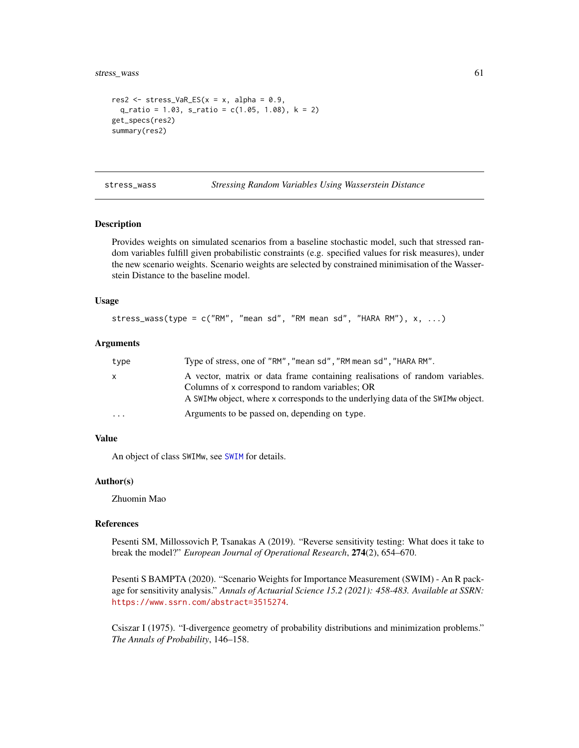<span id="page-60-0"></span>stress\_wass 61

```
res2 \le stress_VaR_ES(x = x, alpha = 0.9,
  q<sub>ratio</sub> = 1.03, s<sub>ratio</sub> = c(1.05, 1.08), k = 2)
get_specs(res2)
summary(res2)
```
<span id="page-60-1"></span>stress\_wass *Stressing Random Variables Using Wasserstein Distance*

#### **Description**

Provides weights on simulated scenarios from a baseline stochastic model, such that stressed random variables fulfill given probabilistic constraints (e.g. specified values for risk measures), under the new scenario weights. Scenario weights are selected by constrained minimisation of the Wasserstein Distance to the baseline model.

#### Usage

```
stress_wass(type = c("RM", "mean sd", "RM mean sd", "HARA RM"), x, ...)
```
#### Arguments

| type         | Type of stress, one of "RM", "mean sd", "RM mean sd", "HARA RM".                                                                                                                                                    |
|--------------|---------------------------------------------------------------------------------------------------------------------------------------------------------------------------------------------------------------------|
| $\mathsf{x}$ | A vector, matrix or data frame containing realisations of random variables.<br>Columns of x correspond to random variables; OR<br>A SWIM w object, where x corresponds to the underlying data of the SWIM w object. |
| $\cdot$      | Arguments to be passed on, depending on type.                                                                                                                                                                       |

#### Value

An object of class SWIMw, see [SWIM](#page-64-1) for details.

# Author(s)

Zhuomin Mao

#### References

Pesenti SM, Millossovich P, Tsanakas A (2019). "Reverse sensitivity testing: What does it take to break the model?" *European Journal of Operational Research*, 274(2), 654–670.

Pesenti S BAMPTA (2020). "Scenario Weights for Importance Measurement (SWIM) - An R package for sensitivity analysis." *Annals of Actuarial Science 15.2 (2021): 458-483. Available at SSRN:* <https://www.ssrn.com/abstract=3515274>.

Csiszar I (1975). "I-divergence geometry of probability distributions and minimization problems." *The Annals of Probability*, 146–158.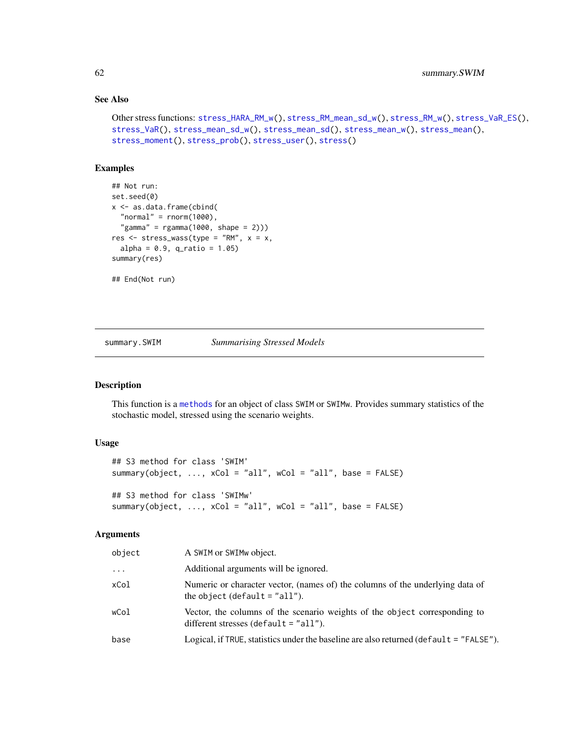# See Also

```
Other stress functions: stress_HARA_RM_w(), stress_RM_mean_sd_w(), stress_RM_w(), stress_VaR_ES(),
stress_VaR(), stress_mean_sd_w(), stress_mean_sd(), stress_mean_w(), stress_mean(),
stress_moment(), stress_prob(), stress_user(), stress()
```
# Examples

```
## Not run:
set.seed(0)
x <- as.data.frame(cbind(
 "normal" = <code>rnorm(1000)</code>,"gamma" = rgamma(1000, shape = 2)))res <- stress_wass(type = "RM", x = x,
 alpha = 0.9, q-ratio = 1.05)
summary(res)
## End(Not run)
```
summary.SWIM *Summarising Stressed Models*

# Description

This function is a [methods](#page-0-0) for an object of class SWIM or SWIMw. Provides summary statistics of the stochastic model, stressed using the scenario weights.

#### Usage

```
## S3 method for class 'SWIM'
summary(object, ..., xCol = "all", wCol = "all", base = FALSE)
## S3 method for class 'SWIMw'
summary(object, ..., xCol = "all", wCol = "all", base = FALSE)
```
# Arguments

| object   | A SWIM or SWIMw object.                                                                                               |
|----------|-----------------------------------------------------------------------------------------------------------------------|
| $\cdots$ | Additional arguments will be ignored.                                                                                 |
| xCol     | Numeric or character vector, (names of) the columns of the underlying data of<br>the object (default $=$ "all").      |
| wCol     | Vector, the columns of the scenario weights of the object corresponding to<br>different stresses (default $=$ "all"). |
| base     | Logical, if TRUE, statistics under the baseline are also returned ( $default = "FALSE"$ ).                            |

<span id="page-61-0"></span>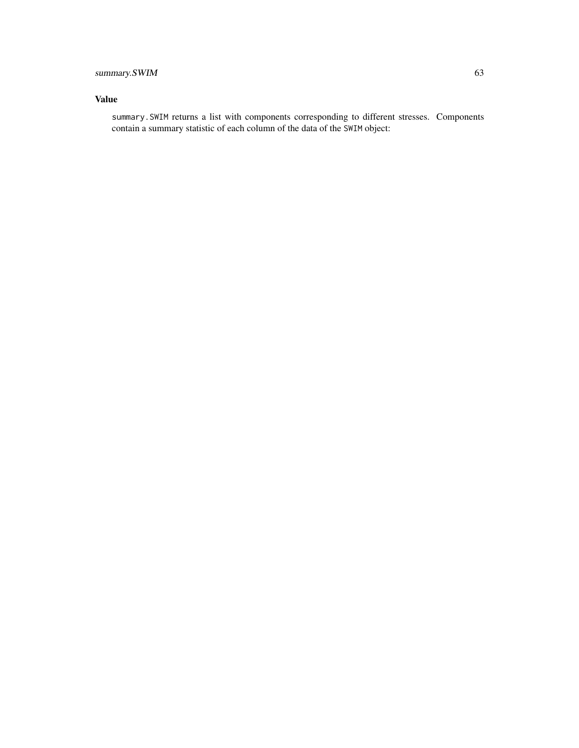# summary.SWIM 63

# Value

summary.SWIM returns a list with components corresponding to different stresses. Components contain a summary statistic of each column of the data of the SWIM object: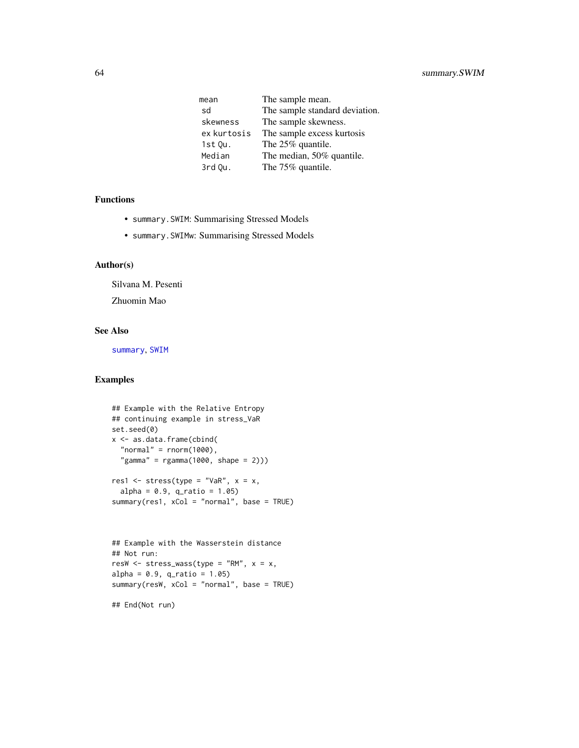<span id="page-63-0"></span>

| mean        | The sample mean.               |
|-------------|--------------------------------|
| sd          | The sample standard deviation. |
| skewness    | The sample skewness.           |
| ex kurtosis | The sample excess kurtosis     |
| $1st$ Qu.   | The 25% quantile.              |
| Median      | The median, 50% quantile.      |
| 3rd Qu.     | The 75% quantile.              |

#### Functions

- summary.SWIM: Summarising Stressed Models
- summary.SWIMw: Summarising Stressed Models

# Author(s)

Silvana M. Pesenti

Zhuomin Mao

#### See Also

[summary](#page-0-0), [SWIM](#page-64-1)

# Examples

```
## Example with the Relative Entropy
## continuing example in stress_VaR
set.seed(0)
x <- as.data.frame(cbind(
  "normal" = rnorm(1000),
  "gamma" = rgamma(1000, shape = 2)))res1 <- stress(type = "VaR", x = x,
  alpha = 0.9, q_{ratio} = 1.05)summary(res1, xCol = "normal", base = TRUE)
```

```
## Example with the Wasserstein distance
## Not run:
resW \leq stress_wass(type = "RM", x = x,
alpha = 0.9, q_{ratio} = 1.05)summary(resW, xCol = "normal", base = TRUE)
```
## End(Not run)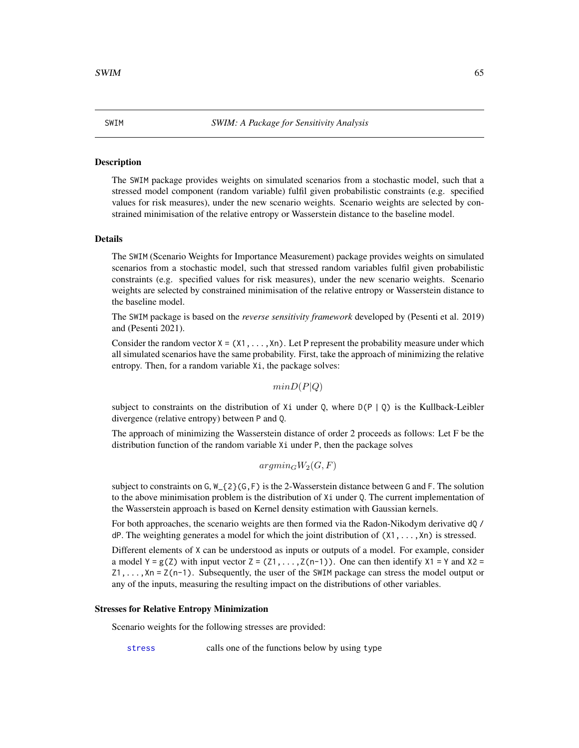The SWIM package provides weights on simulated scenarios from a stochastic model, such that a stressed model component (random variable) fulfil given probabilistic constraints (e.g. specified values for risk measures), under the new scenario weights. Scenario weights are selected by constrained minimisation of the relative entropy or Wasserstein distance to the baseline model.

#### Details

The SWIM (Scenario Weights for Importance Measurement) package provides weights on simulated scenarios from a stochastic model, such that stressed random variables fulfil given probabilistic constraints (e.g. specified values for risk measures), under the new scenario weights. Scenario weights are selected by constrained minimisation of the relative entropy or Wasserstein distance to the baseline model.

The SWIM package is based on the *reverse sensitivity framework* developed by (Pesenti et al. 2019) and (Pesenti 2021).

Consider the random vector  $X = (X1, \ldots, Xn)$ . Let P represent the probability measure under which all simulated scenarios have the same probability. First, take the approach of minimizing the relative entropy. Then, for a random variable Xi, the package solves:

 $minD(P|Q)$ 

subject to constraints on the distribution of Xi under Q, where  $D(P | Q)$  is the Kullback-Leibler divergence (relative entropy) between P and Q.

The approach of minimizing the Wasserstein distance of order 2 proceeds as follows: Let F be the distribution function of the random variable Xi under P, then the package solves

 $argmin_G W_2(G, F)$ 

subject to constraints on G, W\_{2}(G,F) is the 2-Wasserstein distance between G and F. The solution to the above minimisation problem is the distribution of Xi under Q. The current implementation of the Wasserstein approach is based on Kernel density estimation with Gaussian kernels.

For both approaches, the scenario weights are then formed via the Radon-Nikodym derivative dQ /  $dP$ . The weighting generates a model for which the joint distribution of  $(X1, \ldots, Xn)$  is stressed.

Different elements of X can be understood as inputs or outputs of a model. For example, consider a model Y =  $g(Z)$  with input vector Z =  $(21, \ldots, Z(n-1))$ . One can then identify X1 = Y and X2 =  $Z_1, \ldots, X_n = Z(n-1)$ . Subsequently, the user of the SWIM package can stress the model output or any of the inputs, measuring the resulting impact on the distributions of other variables.

#### Stresses for Relative Entropy Minimization

Scenario weights for the following stresses are provided:

[stress](#page-31-1) calls one of the functions below by using type

<span id="page-64-1"></span><span id="page-64-0"></span>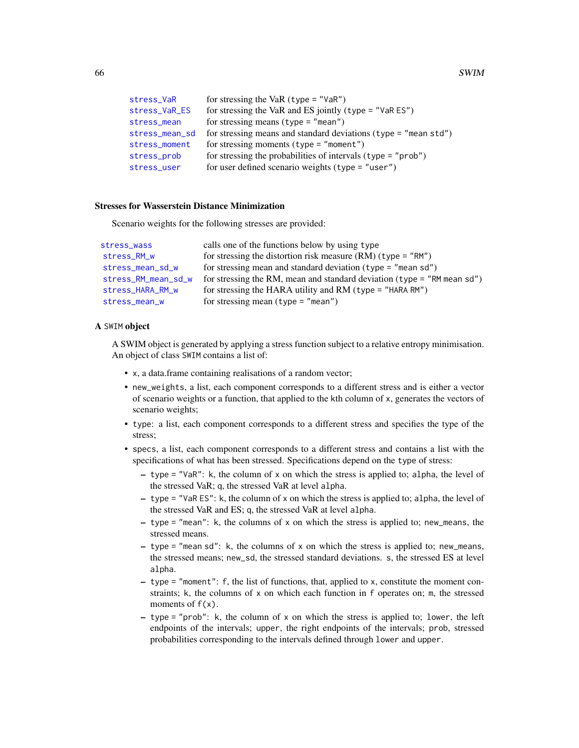<span id="page-65-0"></span>

| for stressing the VaR $(typ = "VaR")$                                |
|----------------------------------------------------------------------|
| for stressing the VaR and ES jointly (type = "VaR $ES$ ")            |
| for stressing means (type $=$ "mean")                                |
| for stressing means and standard deviations (type $=$ "mean $std"$ ) |
| for stressing moments ( $type = "moment"$ )                          |
| for stressing the probabilities of intervals $(type = "prob")$       |
| for user defined scenario weights (type = "user")                    |
|                                                                      |

# Stresses for Wasserstein Distance Minimization

Scenario weights for the following stresses are provided:

| stress_wass         | calls one of the functions below by using type                            |
|---------------------|---------------------------------------------------------------------------|
| stress_RM_w         | for stressing the distortion risk measure $(RM)(type = "RM")$             |
| stress_mean_sd_w    | for stressing mean and standard deviation ( $type = "mean sd"$ )          |
| stress_RM_mean_sd_w | for stressing the RM, mean and standard deviation (type = $"RM$ mean sd") |
| stress_HARA_RM_w    | for stressing the HARA utility and RM (type = "HARA RM")                  |
| stress_mean_w       | for stressing mean $(type = "mean")$                                      |

#### A SWIM object

A SWIM object is generated by applying a stress function subject to a relative entropy minimisation. An object of class SWIM contains a list of:

- x, a data.frame containing realisations of a random vector;
- new\_weights, a list, each component corresponds to a different stress and is either a vector of scenario weights or a function, that applied to the kth column of x, generates the vectors of scenario weights;
- type: a list, each component corresponds to a different stress and specifies the type of the stress;
- specs, a list, each component corresponds to a different stress and contains a list with the specifications of what has been stressed. Specifications depend on the type of stress:
	- type = "VaR": k, the column of x on which the stress is applied to; alpha, the level of the stressed VaR; q, the stressed VaR at level alpha.
	- type = "VaR ES": k, the column of x on which the stress is applied to; alpha, the level of the stressed VaR and ES; q, the stressed VaR at level alpha.
	- $-$  type = "mean": k, the columns of x on which the stress is applied to; new means, the stressed means.
	- type = "mean sd": k, the columns of x on which the stress is applied to; new\_means, the stressed means; new\_sd, the stressed standard deviations. s, the stressed ES at level alpha.
	- type = "moment": f, the list of functions, that, applied to x, constitute the moment constraints; k, the columns of x on which each function in f operates on; m, the stressed moments of  $f(x)$ .
	- $-$  type = "prob": k, the column of x on which the stress is applied to; lower, the left endpoints of the intervals; upper, the right endpoints of the intervals; prob, stressed probabilities corresponding to the intervals defined through lower and upper.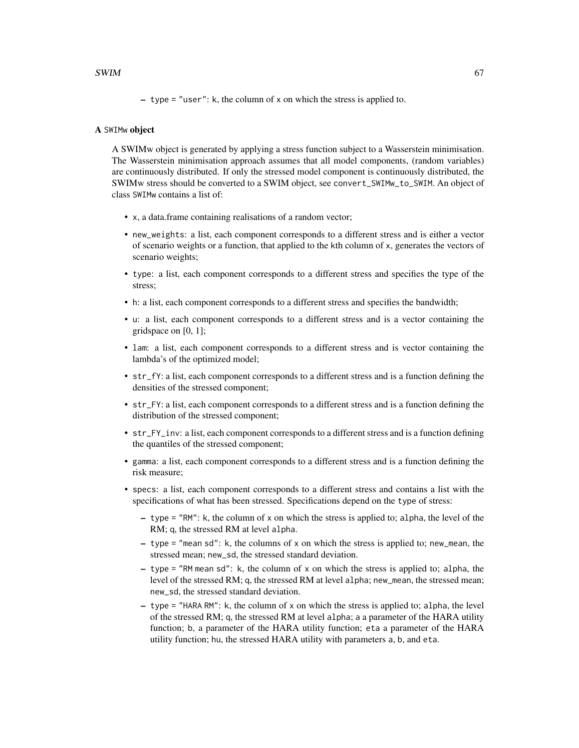– type = "user": k, the column of x on which the stress is applied to.

# A SWIMw object

A SWIMw object is generated by applying a stress function subject to a Wasserstein minimisation. The Wasserstein minimisation approach assumes that all model components, (random variables) are continuously distributed. If only the stressed model component is continuously distributed, the SWIMw stress should be converted to a SWIM object, see convert\_SWIMw\_to\_SWIM. An object of class SWIMw contains a list of:

- x, a data.frame containing realisations of a random vector;
- new\_weights: a list, each component corresponds to a different stress and is either a vector of scenario weights or a function, that applied to the kth column of x, generates the vectors of scenario weights;
- type: a list, each component corresponds to a different stress and specifies the type of the stress;
- h: a list, each component corresponds to a different stress and specifies the bandwidth;
- u: a list, each component corresponds to a different stress and is a vector containing the gridspace on [0, 1];
- lam: a list, each component corresponds to a different stress and is vector containing the lambda's of the optimized model;
- str\_fY: a list, each component corresponds to a different stress and is a function defining the densities of the stressed component;
- str\_FY: a list, each component corresponds to a different stress and is a function defining the distribution of the stressed component;
- str\_FY\_inv: a list, each component corresponds to a different stress and is a function defining the quantiles of the stressed component;
- gamma: a list, each component corresponds to a different stress and is a function defining the risk measure;
- specs: a list, each component corresponds to a different stress and contains a list with the specifications of what has been stressed. Specifications depend on the type of stress:
	- type = "RM": k, the column of x on which the stress is applied to; alpha, the level of the RM; q, the stressed RM at level alpha.
	- type = "mean sd": k, the columns of x on which the stress is applied to; new\_mean, the stressed mean; new\_sd, the stressed standard deviation.
	- $-$  type = "RM mean sd": k, the column of x on which the stress is applied to; alpha, the level of the stressed RM; q, the stressed RM at level alpha; new\_mean, the stressed mean; new\_sd, the stressed standard deviation.
	- type = "HARA RM": k, the column of x on which the stress is applied to; alpha, the level of the stressed RM; q, the stressed RM at level alpha; a a parameter of the HARA utility function; b, a parameter of the HARA utility function; eta a parameter of the HARA utility function; hu, the stressed HARA utility with parameters a, b, and eta.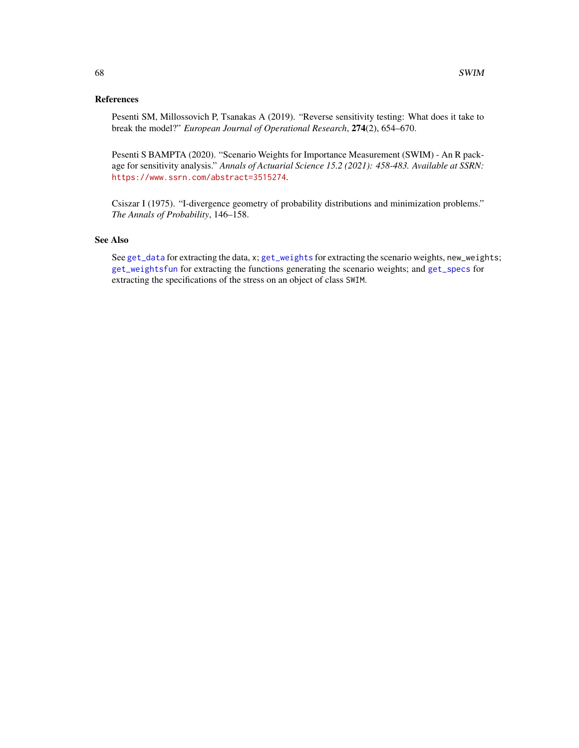# <span id="page-67-0"></span>References

Pesenti SM, Millossovich P, Tsanakas A (2019). "Reverse sensitivity testing: What does it take to break the model?" *European Journal of Operational Research*, 274(2), 654–670.

Pesenti S BAMPTA (2020). "Scenario Weights for Importance Measurement (SWIM) - An R package for sensitivity analysis." *Annals of Actuarial Science 15.2 (2021): 458-483. Available at SSRN:* <https://www.ssrn.com/abstract=3515274>.

Csiszar I (1975). "I-divergence geometry of probability distributions and minimization problems." *The Annals of Probability*, 146–158.

# See Also

See [get\\_data](#page-9-2) for extracting the data, x; [get\\_weights](#page-9-1) for extracting the scenario weights, new\_weights; [get\\_weightsfun](#page-9-1) for extracting the functions generating the scenario weights; and [get\\_specs](#page-9-1) for extracting the specifications of the stress on an object of class SWIM.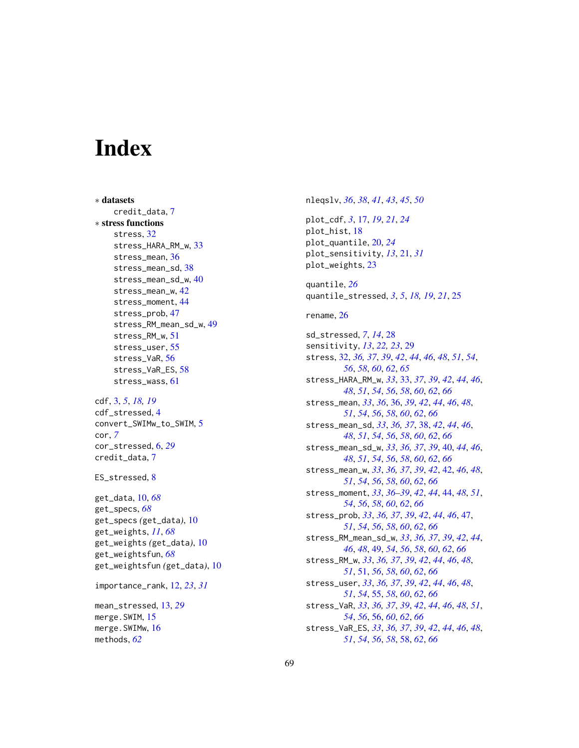# <span id="page-68-0"></span>**Index**

∗ datasets credit\_data, [7](#page-6-0) ∗ stress functions stress, [32](#page-31-0) stress\_HARA\_RM\_w, [33](#page-32-0) stress\_mean, [36](#page-35-0) stress\_mean\_sd, [38](#page-37-0) stress\_mean\_sd\_w, [40](#page-39-0) stress\_mean\_w, [42](#page-41-0) stress\_moment, [44](#page-43-0) stress\_prob, [47](#page-46-0) stress\_RM\_mean\_sd\_w, [49](#page-48-0) stress\_RM\_w, [51](#page-50-0) stress\_user, [55](#page-54-0) stress\_VaR, [56](#page-55-0) stress\_VaR\_ES, [58](#page-57-0) stress\_wass, [61](#page-60-0)

cdf, [3,](#page-2-0) *[5](#page-4-0)*, *[18,](#page-17-0) [19](#page-18-0)* cdf\_stressed, [4](#page-3-0) convert\_SWIMw\_to\_SWIM, [5](#page-4-0) cor, *[7](#page-6-0)* cor\_stressed, [6,](#page-5-0) *[29](#page-28-0)* credit\_data, [7](#page-6-0)

ES\_stressed, [8](#page-7-0)

get\_data, [10,](#page-9-0) *[68](#page-67-0)* get\_specs, *[68](#page-67-0)* get\_specs *(*get\_data*)*, [10](#page-9-0) get\_weights, *[11](#page-10-0)*, *[68](#page-67-0)* get\_weights *(*get\_data*)*, [10](#page-9-0) get\_weightsfun, *[68](#page-67-0)* get\_weightsfun *(*get\_data*)*, [10](#page-9-0)

importance\_rank, [12,](#page-11-0) *[23](#page-22-0)*, *[31](#page-30-0)*

mean\_stressed, [13,](#page-12-0) *[29](#page-28-0)* merge.SWIM, [15](#page-14-0) merge.SWIMw, [16](#page-15-0) methods, *[62](#page-61-0)*

nleqslv, *[36](#page-35-0)*, *[38](#page-37-0)*, *[41](#page-40-0)*, *[43](#page-42-0)*, *[45](#page-44-0)*, *[50](#page-49-0)* plot\_cdf, *[3](#page-2-0)*, [17,](#page-16-0) *[19](#page-18-0)*, *[21](#page-20-0)*, *[24](#page-23-0)* plot\_hist, [18](#page-17-0) plot\_quantile, [20,](#page-19-0) *[24](#page-23-0)* plot\_sensitivity, *[13](#page-12-0)*, [21,](#page-20-0) *[31](#page-30-0)* plot\_weights, [23](#page-22-0) quantile, *[26](#page-25-0)* quantile\_stressed, *[3](#page-2-0)*, *[5](#page-4-0)*, *[18,](#page-17-0) [19](#page-18-0)*, *[21](#page-20-0)*, [25](#page-24-0) rename, [26](#page-25-0) sd\_stressed, *[7](#page-6-0)*, *[14](#page-13-0)*, [28](#page-27-0) sensitivity, *[13](#page-12-0)*, *[22,](#page-21-0) [23](#page-22-0)*, [29](#page-28-0) stress, [32,](#page-31-0) *[36,](#page-35-0) [37](#page-36-0)*, *[39](#page-38-0)*, *[42](#page-41-0)*, *[44](#page-43-0)*, *[46](#page-45-0)*, *[48](#page-47-0)*, *[51](#page-50-0)*, *[54](#page-53-0)*, *[56](#page-55-0)*, *[58](#page-57-0)*, *[60](#page-59-0)*, *[62](#page-61-0)*, *[65](#page-64-0)* stress\_HARA\_RM\_w, *[33](#page-32-0)*, [33,](#page-32-0) *[37](#page-36-0)*, *[39](#page-38-0)*, *[42](#page-41-0)*, *[44](#page-43-0)*, *[46](#page-45-0)*, *[48](#page-47-0)*, *[51](#page-50-0)*, *[54](#page-53-0)*, *[56](#page-55-0)*, *[58](#page-57-0)*, *[60](#page-59-0)*, *[62](#page-61-0)*, *[66](#page-65-0)* stress\_mean, *[33](#page-32-0)*, *[36](#page-35-0)*, [36,](#page-35-0) *[39](#page-38-0)*, *[42](#page-41-0)*, *[44](#page-43-0)*, *[46](#page-45-0)*, *[48](#page-47-0)*, *[51](#page-50-0)*, *[54](#page-53-0)*, *[56](#page-55-0)*, *[58](#page-57-0)*, *[60](#page-59-0)*, *[62](#page-61-0)*, *[66](#page-65-0)* stress\_mean\_sd, *[33](#page-32-0)*, *[36,](#page-35-0) [37](#page-36-0)*, [38,](#page-37-0) *[42](#page-41-0)*, *[44](#page-43-0)*, *[46](#page-45-0)*, *[48](#page-47-0)*, *[51](#page-50-0)*, *[54](#page-53-0)*, *[56](#page-55-0)*, *[58](#page-57-0)*, *[60](#page-59-0)*, *[62](#page-61-0)*, *[66](#page-65-0)* stress\_mean\_sd\_w, *[33](#page-32-0)*, *[36,](#page-35-0) [37](#page-36-0)*, *[39](#page-38-0)*, [40,](#page-39-0) *[44](#page-43-0)*, *[46](#page-45-0)*, *[48](#page-47-0)*, *[51](#page-50-0)*, *[54](#page-53-0)*, *[56](#page-55-0)*, *[58](#page-57-0)*, *[60](#page-59-0)*, *[62](#page-61-0)*, *[66](#page-65-0)* stress\_mean\_w, *[33](#page-32-0)*, *[36,](#page-35-0) [37](#page-36-0)*, *[39](#page-38-0)*, *[42](#page-41-0)*, [42,](#page-41-0) *[46](#page-45-0)*, *[48](#page-47-0)*, *[51](#page-50-0)*, *[54](#page-53-0)*, *[56](#page-55-0)*, *[58](#page-57-0)*, *[60](#page-59-0)*, *[62](#page-61-0)*, *[66](#page-65-0)* stress\_moment, *[33](#page-32-0)*, *[36](#page-35-0)[–39](#page-38-0)*, *[42](#page-41-0)*, *[44](#page-43-0)*, [44,](#page-43-0) *[48](#page-47-0)*, *[51](#page-50-0)*, *[54](#page-53-0)*, *[56](#page-55-0)*, *[58](#page-57-0)*, *[60](#page-59-0)*, *[62](#page-61-0)*, *[66](#page-65-0)* stress\_prob, *[33](#page-32-0)*, *[36,](#page-35-0) [37](#page-36-0)*, *[39](#page-38-0)*, *[42](#page-41-0)*, *[44](#page-43-0)*, *[46](#page-45-0)*, [47,](#page-46-0) *[51](#page-50-0)*, *[54](#page-53-0)*, *[56](#page-55-0)*, *[58](#page-57-0)*, *[60](#page-59-0)*, *[62](#page-61-0)*, *[66](#page-65-0)* stress\_RM\_mean\_sd\_w, *[33](#page-32-0)*, *[36,](#page-35-0) [37](#page-36-0)*, *[39](#page-38-0)*, *[42](#page-41-0)*, *[44](#page-43-0)*, *[46](#page-45-0)*, *[48](#page-47-0)*, [49,](#page-48-0) *[54](#page-53-0)*, *[56](#page-55-0)*, *[58](#page-57-0)*, *[60](#page-59-0)*, *[62](#page-61-0)*, *[66](#page-65-0)* stress\_RM\_w, *[33](#page-32-0)*, *[36,](#page-35-0) [37](#page-36-0)*, *[39](#page-38-0)*, *[42](#page-41-0)*, *[44](#page-43-0)*, *[46](#page-45-0)*, *[48](#page-47-0)*, *[51](#page-50-0)*, [51,](#page-50-0) *[56](#page-55-0)*, *[58](#page-57-0)*, *[60](#page-59-0)*, *[62](#page-61-0)*, *[66](#page-65-0)* stress\_user, *[33](#page-32-0)*, *[36,](#page-35-0) [37](#page-36-0)*, *[39](#page-38-0)*, *[42](#page-41-0)*, *[44](#page-43-0)*, *[46](#page-45-0)*, *[48](#page-47-0)*, *[51](#page-50-0)*, *[54](#page-53-0)*, [55,](#page-54-0) *[58](#page-57-0)*, *[60](#page-59-0)*, *[62](#page-61-0)*, *[66](#page-65-0)* stress\_VaR, *[33](#page-32-0)*, *[36,](#page-35-0) [37](#page-36-0)*, *[39](#page-38-0)*, *[42](#page-41-0)*, *[44](#page-43-0)*, *[46](#page-45-0)*, *[48](#page-47-0)*, *[51](#page-50-0)*, *[54](#page-53-0)*, *[56](#page-55-0)*, [56,](#page-55-0) *[60](#page-59-0)*, *[62](#page-61-0)*, *[66](#page-65-0)* stress\_VaR\_ES, *[33](#page-32-0)*, *[36,](#page-35-0) [37](#page-36-0)*, *[39](#page-38-0)*, *[42](#page-41-0)*, *[44](#page-43-0)*, *[46](#page-45-0)*, *[48](#page-47-0)*, *[51](#page-50-0)*, *[54](#page-53-0)*, *[56](#page-55-0)*, *[58](#page-57-0)*, [58,](#page-57-0) *[62](#page-61-0)*, *[66](#page-65-0)*